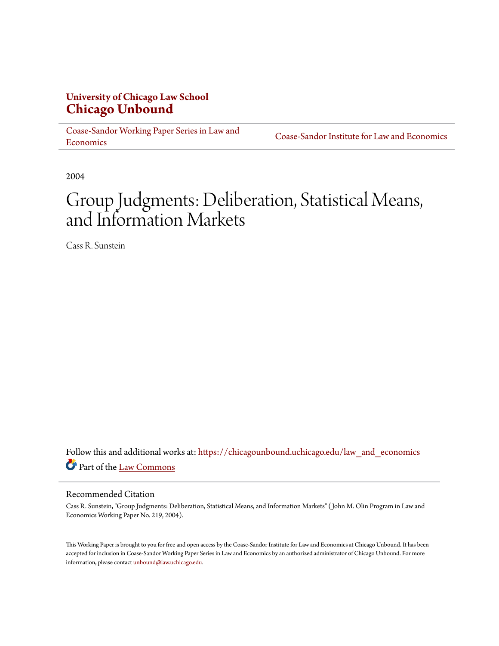### **University of Chicago Law School [Chicago Unbound](https://chicagounbound.uchicago.edu?utm_source=chicagounbound.uchicago.edu%2Flaw_and_economics%2F221&utm_medium=PDF&utm_campaign=PDFCoverPages)**

[Coase-Sandor Working Paper Series in Law and](https://chicagounbound.uchicago.edu/law_and_economics?utm_source=chicagounbound.uchicago.edu%2Flaw_and_economics%2F221&utm_medium=PDF&utm_campaign=PDFCoverPages) [Economics](https://chicagounbound.uchicago.edu/law_and_economics?utm_source=chicagounbound.uchicago.edu%2Flaw_and_economics%2F221&utm_medium=PDF&utm_campaign=PDFCoverPages)

[Coase-Sandor Institute for Law and Economics](https://chicagounbound.uchicago.edu/coase_sandor_institute?utm_source=chicagounbound.uchicago.edu%2Flaw_and_economics%2F221&utm_medium=PDF&utm_campaign=PDFCoverPages)

2004

# Group Judgments: Deliberation, Statistical Means, and Information Markets

Cass R. Sunstein

Follow this and additional works at: [https://chicagounbound.uchicago.edu/law\\_and\\_economics](https://chicagounbound.uchicago.edu/law_and_economics?utm_source=chicagounbound.uchicago.edu%2Flaw_and_economics%2F221&utm_medium=PDF&utm_campaign=PDFCoverPages) Part of the [Law Commons](http://network.bepress.com/hgg/discipline/578?utm_source=chicagounbound.uchicago.edu%2Flaw_and_economics%2F221&utm_medium=PDF&utm_campaign=PDFCoverPages)

#### Recommended Citation

Cass R. Sunstein, "Group Judgments: Deliberation, Statistical Means, and Information Markets" ( John M. Olin Program in Law and Economics Working Paper No. 219, 2004).

This Working Paper is brought to you for free and open access by the Coase-Sandor Institute for Law and Economics at Chicago Unbound. It has been accepted for inclusion in Coase-Sandor Working Paper Series in Law and Economics by an authorized administrator of Chicago Unbound. For more information, please contact [unbound@law.uchicago.edu.](mailto:unbound@law.uchicago.edu)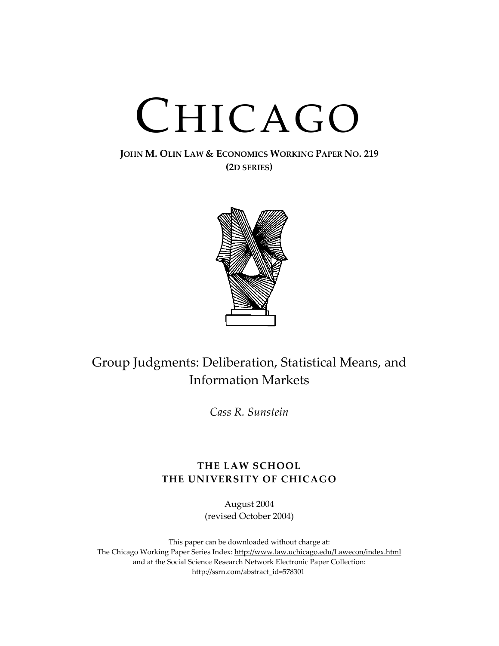# CHICAGO

#### **JOHN M. OLIN LAW & ECONOMICS WORKING PAPER NO. 219 (2D SERIES)**



# Group Judgments: Deliberation, Statistical Means, and Information Markets

*Cass R. Sunstein*

## **THE LAW SCHOOL THE UNIVERSITY OF CHICAGO**

August 2004 (revised October 2004)

[This paper can be downloaded witho](http://www.law.uchicago.edu/Publications/Working/index.html)ut charge at: The Chicago Working Paper Series Index: http://www.law.uchicago.edu/Lawecon/index.html and at the Social Science Research Network Electronic Paper Collection: http://ssrn.com/abstract\_id=578301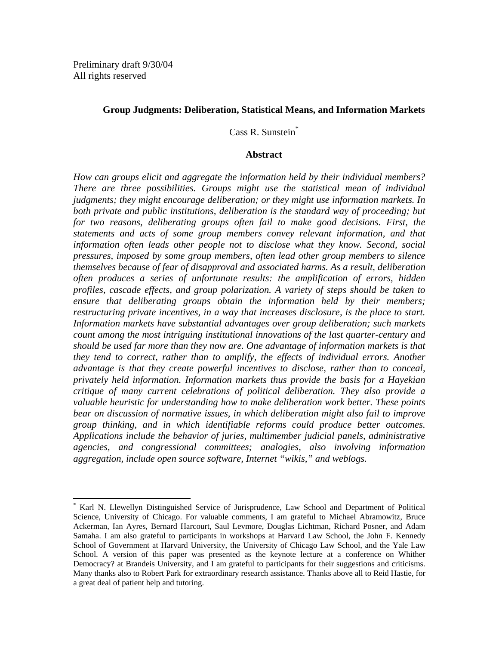$\overline{a}$ 

#### **Group Judgments: Deliberation, Statistical Means, and Information Markets**

Cass R. Sunstei[n\\*](#page-2-0)

#### **Abstract**

*How can groups elicit and aggregate the information held by their individual members? There are three possibilities. Groups might use the statistical mean of individual judgments; they might encourage deliberation; or they might use information markets. In both private and public institutions, deliberation is the standard way of proceeding; but for two reasons, deliberating groups often fail to make good decisions. First, the statements and acts of some group members convey relevant information, and that information often leads other people not to disclose what they know. Second, social pressures, imposed by some group members, often lead other group members to silence themselves because of fear of disapproval and associated harms. As a result, deliberation often produces a series of unfortunate results: the amplification of errors, hidden profiles, cascade effects, and group polarization. A variety of steps should be taken to ensure that deliberating groups obtain the information held by their members; restructuring private incentives, in a way that increases disclosure, is the place to start. Information markets have substantial advantages over group deliberation; such markets count among the most intriguing institutional innovations of the last quarter-century and should be used far more than they now are. One advantage of information markets is that they tend to correct, rather than to amplify, the effects of individual errors. Another advantage is that they create powerful incentives to disclose, rather than to conceal, privately held information. Information markets thus provide the basis for a Hayekian critique of many current celebrations of political deliberation. They also provide a valuable heuristic for understanding how to make deliberation work better. These points bear on discussion of normative issues, in which deliberation might also fail to improve group thinking, and in which identifiable reforms could produce better outcomes. Applications include the behavior of juries, multimember judicial panels, administrative agencies, and congressional committees; analogies, also involving information aggregation, include open source software, Internet "wikis," and weblogs.* 

<span id="page-2-0"></span><sup>\*</sup> Karl N. Llewellyn Distinguished Service of Jurisprudence, Law School and Department of Political Science, University of Chicago. For valuable comments, I am grateful to Michael Abramowitz, Bruce Ackerman, Ian Ayres, Bernard Harcourt, Saul Levmore, Douglas Lichtman, Richard Posner, and Adam Samaha. I am also grateful to participants in workshops at Harvard Law School, the John F. Kennedy School of Government at Harvard University, the University of Chicago Law School, and the Yale Law School. A version of this paper was presented as the keynote lecture at a conference on Whither Democracy? at Brandeis University, and I am grateful to participants for their suggestions and criticisms. Many thanks also to Robert Park for extraordinary research assistance. Thanks above all to Reid Hastie, for a great deal of patient help and tutoring.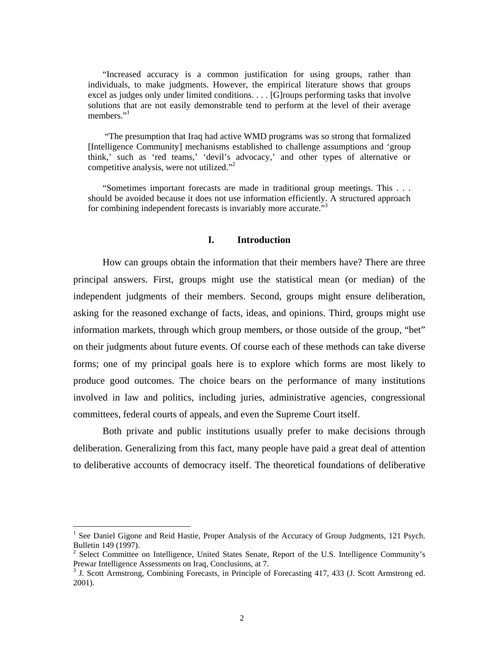"Increased accuracy is a common justification for using groups, rather than individuals, to make judgments. However, the empirical literature shows that groups excel as judges only under limited conditions. . . . [G]roups performing tasks that involve solutions that are not easily demonstrable tend to perform at the level of their average members."<sup>[1](#page-3-0)</sup>

"The presumption that Iraq had active WMD programs was so strong that formalized [Intelligence Community] mechanisms established to challenge assumptions and 'group think,' such as 'red teams,' 'devil's advocacy,' and other types of alternative or competitive analysis, were not utilized."<sup>2</sup>

"Sometimes important forecasts are made in traditional group meetings. This . . . should be avoided because it does not use information efficiently. A structured approach for combining independent forecasts is invariably more accurate."<sup>[3](#page-3-2)</sup>

#### **I. Introduction**

How can groups obtain the information that their members have? There are three principal answers. First, groups might use the statistical mean (or median) of the independent judgments of their members. Second, groups might ensure deliberation, asking for the reasoned exchange of facts, ideas, and opinions. Third, groups might use information markets, through which group members, or those outside of the group, "bet" on their judgments about future events. Of course each of these methods can take diverse forms; one of my principal goals here is to explore which forms are most likely to produce good outcomes. The choice bears on the performance of many institutions involved in law and politics, including juries, administrative agencies, congressional committees, federal courts of appeals, and even the Supreme Court itself.

Both private and public institutions usually prefer to make decisions through deliberation. Generalizing from this fact, many people have paid a great deal of attention to deliberative accounts of democracy itself. The theoretical foundations of deliberative

<span id="page-3-0"></span><sup>&</sup>lt;sup>1</sup> See Daniel Gigone and Reid Hastie, Proper Analysis of the Accuracy of Group Judgments, 121 Psych. Bulletin 149 (1997).<br><sup>2</sup> Select Committee on Intelligence, United States Senate, Report of the U.S. Intelligence Community's

<span id="page-3-1"></span>Prewar Intelligence Assessments on Iraq, Conclusions, at 7.

<span id="page-3-2"></span><sup>&</sup>lt;sup>3</sup> J. Scott Armstrong, Combining Forecasts, in Principle of Forecasting 417, 433 (J. Scott Armstrong ed. 2001).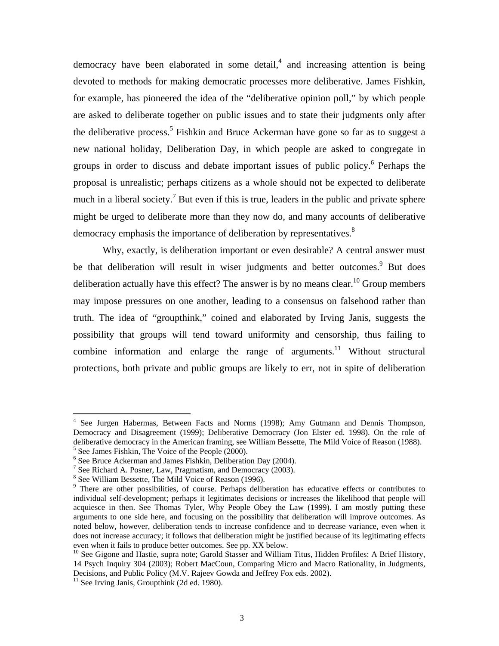democracy have been elaborated in some detail, $4$  and increasing attention is being devoted to methods for making democratic processes more deliberative. James Fishkin, for example, has pioneered the idea of the "deliberative opinion poll," by which people are asked to deliberate together on public issues and to state their judgments only after the deliberative process.<sup>[5](#page-4-1)</sup> Fishkin and Bruce Ackerman have gone so far as to suggest a new national holiday, Deliberation Day, in which people are asked to congregate in groups in order to discuss and debate important issues of public policy.<sup>6</sup> Perhaps the proposal is unrealistic; perhaps citizens as a whole should not be expected to deliberate much in a liberal society.<sup>[7](#page-4-3)</sup> But even if this is true, leaders in the public and private sphere might be urged to deliberate more than they now do, and many accounts of deliberative democracy emphasis the importance of deliberation by representatives.<sup>8</sup>

Why, exactly, is deliberation important or even desirable? A central answer must be that deliberation will result in wiser judgments and better outcomes.<sup>[9](#page-4-5)</sup> But does deliberation actually have this effect? The answer is by no means clear.<sup>10</sup> Group members may impose pressures on one another, leading to a consensus on falsehood rather than truth. The idea of "groupthink," coined and elaborated by Irving Janis, suggests the possibility that groups will tend toward uniformity and censorship, thus failing to combine information and enlarge the range of arguments.<sup>11</sup> Without structural protections, both private and public groups are likely to err, not in spite of deliberation

<span id="page-4-0"></span><sup>4</sup> See Jurgen Habermas, Between Facts and Norms (1998); Amy Gutmann and Dennis Thompson, Democracy and Disagreement (1999); Deliberative Democracy (Jon Elster ed. 1998). On the role of deliberative democracy in the American framing, see William Bessette, The Mild Voice of Reason (1988).  $<sup>5</sup>$  See James Fishkin, The Voice of the People (2000).</sup>

<span id="page-4-2"></span><span id="page-4-1"></span> $6$  See Bruce Ackerman and James Fishkin, Deliberation Day (2004).

<span id="page-4-3"></span> $\frac{7}{1}$  See Richard A. Posner, Law, Pragmatism, and Democracy (2003).

<span id="page-4-4"></span><sup>&</sup>lt;sup>8</sup> See William Bessette, The Mild Voice of Reason (1996).

<span id="page-4-5"></span><sup>&</sup>lt;sup>9</sup> There are other possibilities, of course. Perhaps deliberation has educative effects or contributes to individual self-development; perhaps it legitimates decisions or increases the likelihood that people will acquiesce in then. See Thomas Tyler, Why People Obey the Law (1999). I am mostly putting these arguments to one side here, and focusing on the possibility that deliberation will improve outcomes. As noted below, however, deliberation tends to increase confidence and to decrease variance, even when it does not increase accuracy; it follows that deliberation might be justified because of its legitimating effects even when it fails to produce better outcomes. See pp. XX below.

<span id="page-4-6"></span> $^{10}$  See Gigone and Hastie, supra note; Garold Stasser and William Titus, Hidden Profiles: A Brief History, 14 Psych Inquiry 304 (2003); Robert MacCoun, Comparing Micro and Macro Rationality, in Judgments, Decisions, and Public Policy (M.V. Rajeev Gowda and Jeffrey Fox eds. 2002).<br><sup>11</sup> See Irving Janis, Groupthink (2d ed. 1980).

<span id="page-4-7"></span>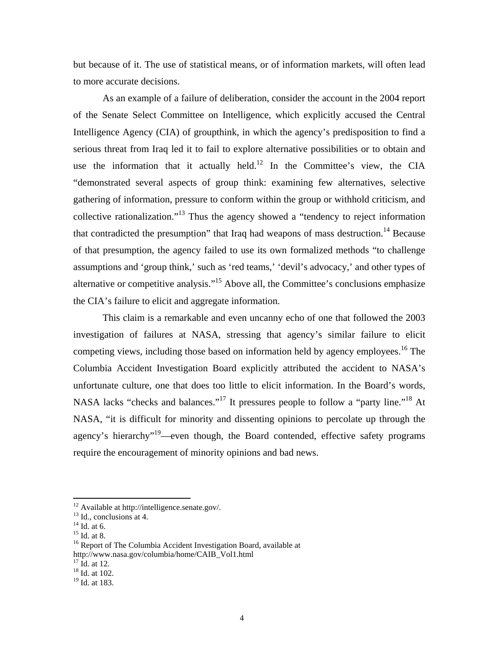but because of it. The use of statistical means, or of information markets, will often lead to more accurate decisions.

As an example of a failure of deliberation, consider the account in the 2004 report of the Senate Select Committee on Intelligence, which explicitly accused the Central Intelligence Agency (CIA) of groupthink, in which the agency's predisposition to find a serious threat from Iraq led it to fail to explore alternative possibilities or to obtain and use the information that it actually held.<sup>12</sup> In the Committee's view, the CIA "demonstrated several aspects of group think: examining few alternatives, selective gathering of information, pressure to conform within the group or withhold criticism, and collective rationalization."<sup>13</sup> Thus the agency showed a "tendency to reject information that contradicted the presumption" that Iraq had weapons of mass destruction.<sup>14</sup> Because of that presumption, the agency failed to use its own formalized methods "to challenge assumptions and 'group think,' such as 'red teams,' 'devil's advocacy,' and other types of alternative or competitive analysis.["15](#page-5-3) Above all, the Committee's conclusions emphasize the CIA's failure to elicit and aggregate information.

This claim is a remarkable and even uncanny echo of one that followed the 2003 investigation of failures at NASA, stressing that agency's similar failure to elicit competing views, including those based on information held by agency employees.<sup>16</sup> The Columbia Accident Investigation Board explicitly attributed the accident to NASA's unfortunate culture, one that does too little to elicit information. In the Board's words, NASA lacks "checks and balances."<sup>17</sup> It pressures people to follow a "party line."<sup>18</sup> At NASA, "it is difficult for minority and dissenting opinions to percolate up through the agency's hierarchy<sup>19</sup>—even though, the Board contended, effective safety programs require the encouragement of minority opinions and bad news.

<span id="page-5-0"></span><sup>&</sup>lt;sup>12</sup> Available at http://intelligence.senate.gov/.<br><sup>13</sup> Id., conclusions at 4.<br><sup>14</sup> Id. at 6.

<span id="page-5-1"></span>

<span id="page-5-2"></span>

<span id="page-5-3"></span><sup>&</sup>lt;sup>15</sup> Id. at 8.

<span id="page-5-4"></span><sup>&</sup>lt;sup>16</sup> Report of The Columbia Accident Investigation Board, available at http://www.nasa.gov/columbia/home/CAIB\_Vol1.html 17 Id. at 12.

<span id="page-5-5"></span>

<span id="page-5-6"></span><sup>18</sup> Id. at 102.

<span id="page-5-7"></span><sup>19</sup> Id. at 183.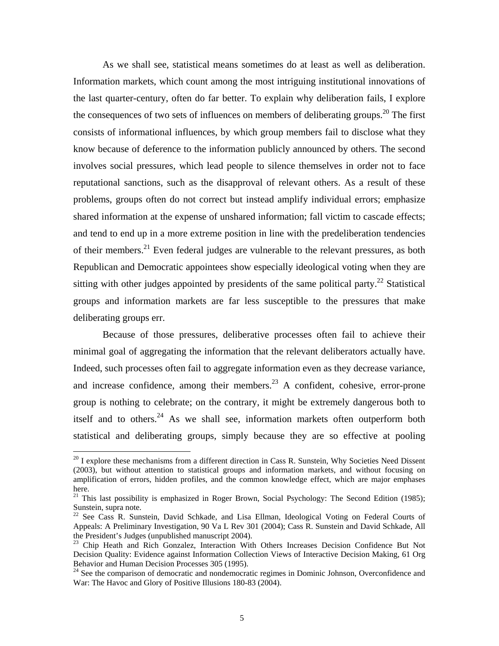As we shall see, statistical means sometimes do at least as well as deliberation. Information markets, which count among the most intriguing institutional innovations of the last quarter-century, often do far better. To explain why deliberation fails, I explore the consequences of two sets of influences on members of deliberating groups.<sup>20</sup> The first consists of informational influences, by which group members fail to disclose what they know because of deference to the information publicly announced by others. The second involves social pressures, which lead people to silence themselves in order not to face reputational sanctions, such as the disapproval of relevant others. As a result of these problems, groups often do not correct but instead amplify individual errors; emphasize shared information at the expense of unshared information; fall victim to cascade effects; and tend to end up in a more extreme position in line with the predeliberation tendencies of their members.<sup>21</sup> Even federal judges are vulnerable to the relevant pressures, as both Republican and Democratic appointees show especially ideological voting when they are sitting with other judges appointed by presidents of the same political party.<sup>22</sup> Statistical groups and information markets are far less susceptible to the pressures that make deliberating groups err.

Because of those pressures, deliberative processes often fail to achieve their minimal goal of aggregating the information that the relevant deliberators actually have. Indeed, such processes often fail to aggregate information even as they decrease variance, and increase confidence, among their members. $^{23}$  A confident, cohesive, error-prone group is nothing to celebrate; on the contrary, it might be extremely dangerous both to itself and to others.<sup>24</sup> As we shall see, information markets often outperform both statistical and deliberating groups, simply because they are so effective at pooling

<span id="page-6-0"></span> $20$  I explore these mechanisms from a different direction in Cass R. Sunstein, Why Societies Need Dissent (2003), but without attention to statistical groups and information markets, and without focusing on amplification of errors, hidden profiles, and the common knowledge effect, which are major emphases here.

<span id="page-6-1"></span><sup>&</sup>lt;sup>21</sup> This last possibility is emphasized in Roger Brown, Social Psychology: The Second Edition (1985); Sunstein, supra note.

<span id="page-6-2"></span><sup>&</sup>lt;sup>22</sup> See Cass R. Sunstein, David Schkade, and Lisa Ellman, Ideological Voting on Federal Courts of Appeals: A Preliminary Investigation, 90 Va L Rev 301 (2004); Cass R. Sunstein and David Schkade, All the President's Judges (unpublished manuscript 2004).

<span id="page-6-3"></span><sup>&</sup>lt;sup>23</sup> Chip Heath and Rich Gonzalez, Interaction With Others Increases Decision Confidence But Not Decision Quality: Evidence against Information Collection Views of Interactive Decision Making, 61 Org Behavior and Human Decision Processes 305 (1995).

<span id="page-6-4"></span> $24$  See the comparison of democratic and nondemocratic regimes in Dominic Johnson, Overconfidence and War: The Havoc and Glory of Positive Illusions 180-83 (2004).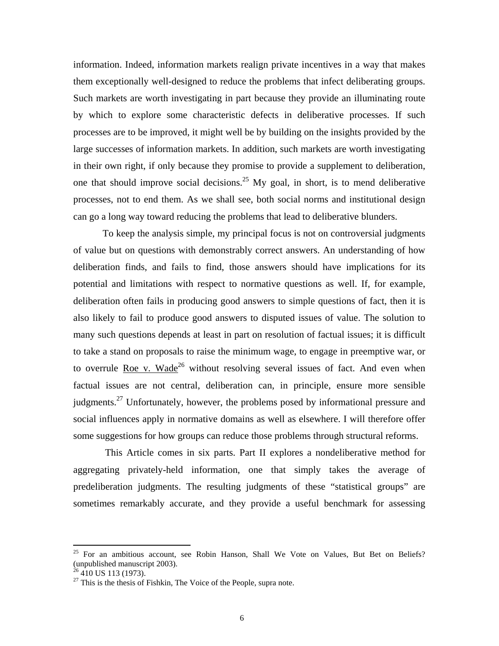information. Indeed, information markets realign private incentives in a way that makes them exceptionally well-designed to reduce the problems that infect deliberating groups. Such markets are worth investigating in part because they provide an illuminating route by which to explore some characteristic defects in deliberative processes. If such processes are to be improved, it might well be by building on the insights provided by the large successes of information markets. In addition, such markets are worth investigating in their own right, if only because they promise to provide a supplement to deliberation, one that should improve social decisions.<sup>25</sup> My goal, in short, is to mend deliberative processes, not to end them. As we shall see, both social norms and institutional design can go a long way toward reducing the problems that lead to deliberative blunders.

To keep the analysis simple, my principal focus is not on controversial judgments of value but on questions with demonstrably correct answers. An understanding of how deliberation finds, and fails to find, those answers should have implications for its potential and limitations with respect to normative questions as well. If, for example, deliberation often fails in producing good answers to simple questions of fact, then it is also likely to fail to produce good answers to disputed issues of value. The solution to many such questions depends at least in part on resolution of factual issues; it is difficult to take a stand on proposals to raise the minimum wage, to engage in preemptive war, or to overrule Roe v. Wade<sup>26</sup> without resolving several issues of fact. And even when factual issues are not central, deliberation can, in principle, ensure more sensible judgments.[27](#page-7-2) Unfortunately, however, the problems posed by informational pressure and social influences apply in normative domains as well as elsewhere. I will therefore offer some suggestions for how groups can reduce those problems through structural reforms.

This Article comes in six parts. Part II explores a nondeliberative method for aggregating privately-held information, one that simply takes the average of predeliberation judgments. The resulting judgments of these "statistical groups" are sometimes remarkably accurate, and they provide a useful benchmark for assessing

<span id="page-7-0"></span><sup>&</sup>lt;sup>25</sup> For an ambitious account, see Robin Hanson, Shall We Vote on Values, But Bet on Beliefs? (unpublished manuscript 2003).

<span id="page-7-1"></span> $26\overline{410}$  US 113 (1973).

<span id="page-7-2"></span> $27$  This is the thesis of Fishkin, The Voice of the People, supra note.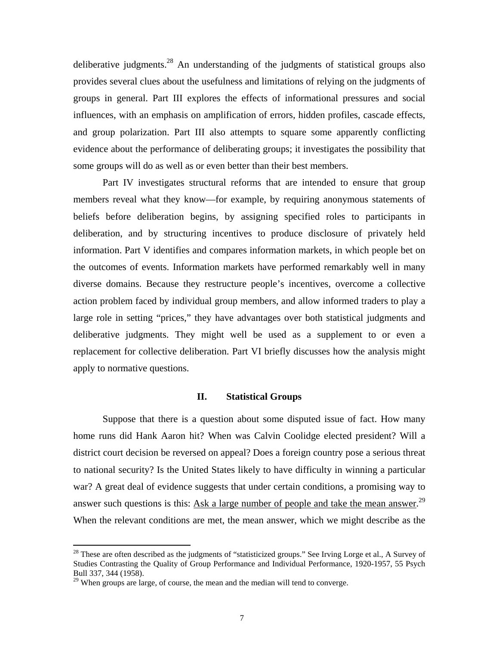deliberative judgments.<sup>28</sup> An understanding of the judgments of statistical groups also provides several clues about the usefulness and limitations of relying on the judgments of groups in general. Part III explores the effects of informational pressures and social influences, with an emphasis on amplification of errors, hidden profiles, cascade effects, and group polarization. Part III also attempts to square some apparently conflicting evidence about the performance of deliberating groups; it investigates the possibility that some groups will do as well as or even better than their best members.

Part IV investigates structural reforms that are intended to ensure that group members reveal what they know—for example, by requiring anonymous statements of beliefs before deliberation begins, by assigning specified roles to participants in deliberation, and by structuring incentives to produce disclosure of privately held information. Part V identifies and compares information markets, in which people bet on the outcomes of events. Information markets have performed remarkably well in many diverse domains. Because they restructure people's incentives, overcome a collective action problem faced by individual group members, and allow informed traders to play a large role in setting "prices," they have advantages over both statistical judgments and deliberative judgments. They might well be used as a supplement to or even a replacement for collective deliberation. Part VI briefly discusses how the analysis might apply to normative questions.

#### **II. Statistical Groups**

Suppose that there is a question about some disputed issue of fact. How many home runs did Hank Aaron hit? When was Calvin Coolidge elected president? Will a district court decision be reversed on appeal? Does a foreign country pose a serious threat to national security? Is the United States likely to have difficulty in winning a particular war? A great deal of evidence suggests that under certain conditions, a promising way to answer such questions is this:  $\underline{Ask}$  a large number of people and take the mean answer.<sup>[29](#page-8-1)</sup> When the relevant conditions are met, the mean answer, which we might describe as the

<span id="page-8-0"></span> $^{28}$  These are often described as the judgments of "statisticized groups." See Irving Lorge et al., A Survey of Studies Contrasting the Quality of Group Performance and Individual Performance, 1920-1957, 55 Psych Bull 337, 344 (1958).

<span id="page-8-1"></span> $29$  When groups are large, of course, the mean and the median will tend to converge.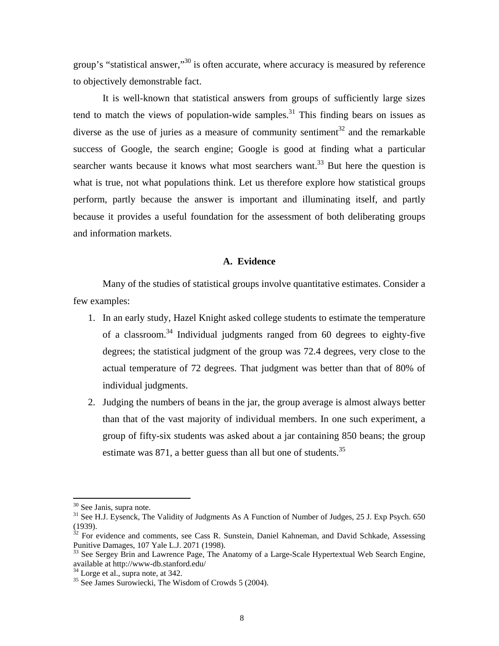group's "statistical answer,"<sup>30</sup> is often accurate, where accuracy is measured by reference to objectively demonstrable fact.

It is well-known that statistical answers from groups of sufficiently large sizes tend to match the views of population-wide samples. $31$  This finding bears on issues as diverse as the use of juries as a measure of community sentiment<sup>32</sup> and the remarkable success of Google, the search engine; Google is good at finding what a particular searcher wants because it knows what most searchers want.<sup>33</sup> But here the question is what is true, not what populations think. Let us therefore explore how statistical groups perform, partly because the answer is important and illuminating itself, and partly because it provides a useful foundation for the assessment of both deliberating groups and information markets.

#### **A. Evidence**

Many of the studies of statistical groups involve quantitative estimates. Consider a few examples:

- 1. In an early study, Hazel Knight asked college students to estimate the temperature of a classroom.<sup>34</sup> Individual judgments ranged from 60 degrees to eighty-five degrees; the statistical judgment of the group was 72.4 degrees, very close to the actual temperature of 72 degrees. That judgment was better than that of 80% of individual judgments.
- 2. Judging the numbers of beans in the jar, the group average is almost always better than that of the vast majority of individual members. In one such experiment, a group of fifty-six students was asked about a jar containing 850 beans; the group estimate was  $871$ , a better guess than all but one of students.<sup>35</sup>

<span id="page-9-1"></span><span id="page-9-0"></span>

 $30$  See Janis, supra note.<br> $31$  See H.J. Eysenck, The Validity of Judgments As A Function of Number of Judges, 25 J. Exp Psych. 650 (1939).

<span id="page-9-2"></span> $32$  For evidence and comments, see Cass R. Sunstein, Daniel Kahneman, and David Schkade, Assessing Punitive Damages, 107 Yale L.J. 2071 (1998).<br><sup>33</sup> See Sergey Brin and Lawrence Page, The Anatomy of a Large-Scale Hypertextual Web Search Engine,

<span id="page-9-3"></span>available at http://www-db.stanford.edu/<br><sup>34</sup> Lorge et al., supra note, at 342.

<span id="page-9-4"></span>

<span id="page-9-5"></span> $35$  See James Surowiecki, The Wisdom of Crowds 5 (2004).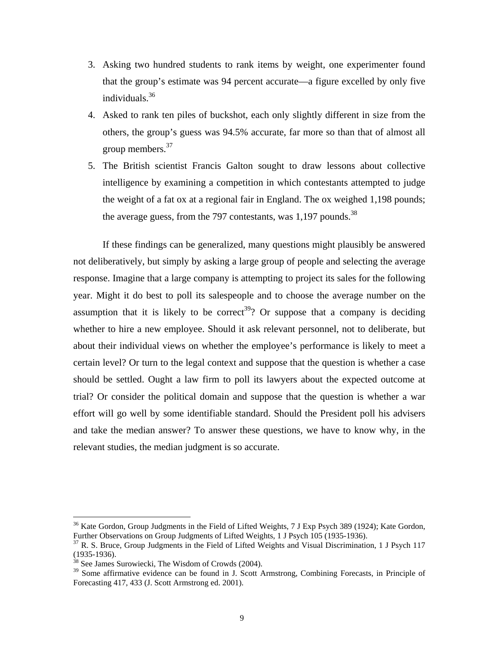- 3. Asking two hundred students to rank items by weight, one experimenter found that the group's estimate was 94 percent accurate—a figure excelled by only five individuals. $36$
- 4. Asked to rank ten piles of buckshot, each only slightly different in size from the others, the group's guess was 94.5% accurate, far more so than that of almost all group members.<sup>37</sup>
- 5. The British scientist Francis Galton sought to draw lessons about collective intelligence by examining a competition in which contestants attempted to judge the weight of a fat ox at a regional fair in England. The ox weighed 1,198 pounds; the average guess, from the 797 contestants, was 1,197 pounds.<sup>38</sup>

If these findings can be generalized, many questions might plausibly be answered not deliberatively, but simply by asking a large group of people and selecting the average response. Imagine that a large company is attempting to project its sales for the following year. Might it do best to poll its salespeople and to choose the average number on the assumption that it is likely to be correct<sup>39</sup>? Or suppose that a company is deciding whether to hire a new employee. Should it ask relevant personnel, not to deliberate, but about their individual views on whether the employee's performance is likely to meet a certain level? Or turn to the legal context and suppose that the question is whether a case should be settled. Ought a law firm to poll its lawyers about the expected outcome at trial? Or consider the political domain and suppose that the question is whether a war effort will go well by some identifiable standard. Should the President poll his advisers and take the median answer? To answer these questions, we have to know why, in the relevant studies, the median judgment is so accurate.

<span id="page-10-0"></span><sup>&</sup>lt;sup>36</sup> Kate Gordon, Group Judgments in the Field of Lifted Weights, 7 J Exp Psych 389 (1924); Kate Gordon, Further Observations on Group Judgments of Lifted Weights, 1 J Psych 105 (1935-1936).

<span id="page-10-1"></span> $<sup>37</sup>$  R. S. Bruce, Group Judgments in the Field of Lifted Weights and Visual Discrimination, 1 J Psych 117</sup> (1935-1936).

<span id="page-10-2"></span> $38$  See James Surowiecki, The Wisdom of Crowds (2004).

<span id="page-10-3"></span><sup>&</sup>lt;sup>39</sup> Some affirmative evidence can be found in J. Scott Armstrong, Combining Forecasts, in Principle of Forecasting 417, 433 (J. Scott Armstrong ed. 2001).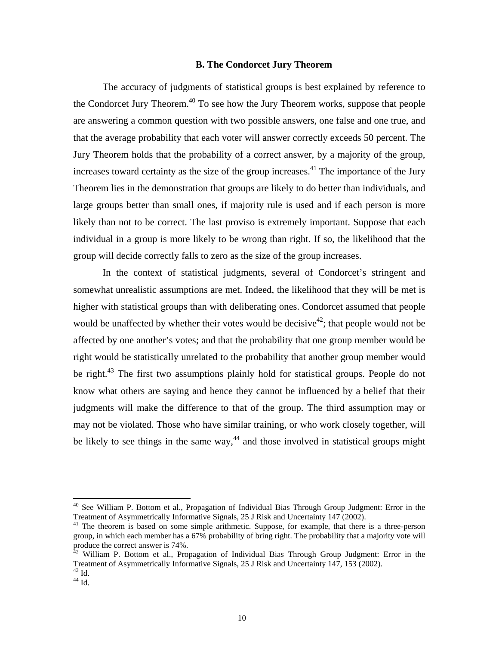#### **B. The Condorcet Jury Theorem**

The accuracy of judgments of statistical groups is best explained by reference to the Condorcet Jury Theorem.<sup>40</sup> To see how the Jury Theorem works, suppose that people are answering a common question with two possible answers, one false and one true, and that the average probability that each voter will answer correctly exceeds 50 percent. The Jury Theorem holds that the probability of a correct answer, by a majority of the group, increases toward certainty as the size of the group increases.<sup>41</sup> The importance of the Jury Theorem lies in the demonstration that groups are likely to do better than individuals, and large groups better than small ones, if majority rule is used and if each person is more likely than not to be correct. The last proviso is extremely important. Suppose that each individual in a group is more likely to be wrong than right. If so, the likelihood that the group will decide correctly falls to zero as the size of the group increases.

In the context of statistical judgments, several of Condorcet's stringent and somewhat unrealistic assumptions are met. Indeed, the likelihood that they will be met is higher with statistical groups than with deliberating ones. Condorcet assumed that people would be unaffected by whether their votes would be decisive<sup>42</sup>; that people would not be affected by one another's votes; and that the probability that one group member would be right would be statistically unrelated to the probability that another group member would be right.<sup>43</sup> The first two assumptions plainly hold for statistical groups. People do not know what others are saying and hence they cannot be influenced by a belief that their judgments will make the difference to that of the group. The third assumption may or may not be violated. Those who have similar training, or who work closely together, will be likely to see things in the same way, $44$  and those involved in statistical groups might

<span id="page-11-0"></span> $40$  See William P. Bottom et al., Propagation of Individual Bias Through Group Judgment: Error in the Treatment of Asymmetrically Informative Signals, 25 J Risk and Uncertainty 147 (2002).<br><sup>41</sup> The theorem is based on some simple arithmetic. Suppose, for example, that there is a three-person

<span id="page-11-1"></span>group, in which each member has a 67% probability of bring right. The probability that a majority vote will produce the correct answer is 74%.

<span id="page-11-2"></span> $42$  William P. Bottom et al., Propagation of Individual Bias Through Group Judgment: Error in the Treatment of Asymmetrically Informative Signals, 25 J Risk and Uncertainty 147, 153 (2002).

<span id="page-11-3"></span> $^{43}$  Id.<br> $^{44}$  Id.

<span id="page-11-4"></span>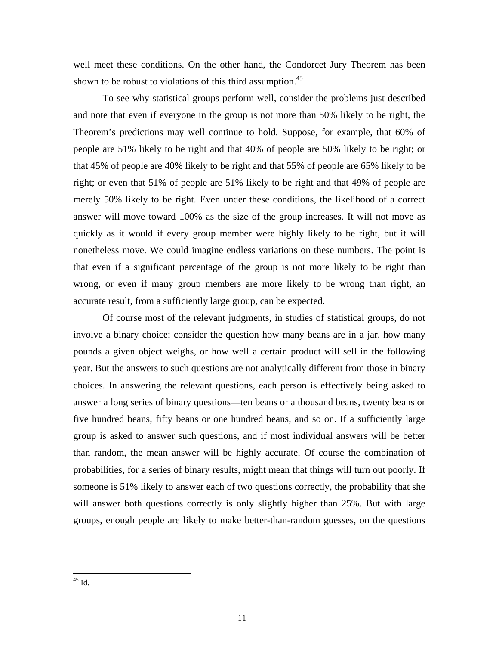well meet these conditions. On the other hand, the Condorcet Jury Theorem has been shown to be robust to violations of this third assumption.<sup>[45](#page-12-0)</sup>

To see why statistical groups perform well, consider the problems just described and note that even if everyone in the group is not more than 50% likely to be right, the Theorem's predictions may well continue to hold. Suppose, for example, that 60% of people are 51% likely to be right and that 40% of people are 50% likely to be right; or that 45% of people are 40% likely to be right and that 55% of people are 65% likely to be right; or even that 51% of people are 51% likely to be right and that 49% of people are merely 50% likely to be right. Even under these conditions, the likelihood of a correct answer will move toward 100% as the size of the group increases. It will not move as quickly as it would if every group member were highly likely to be right, but it will nonetheless move. We could imagine endless variations on these numbers. The point is that even if a significant percentage of the group is not more likely to be right than wrong, or even if many group members are more likely to be wrong than right, an accurate result, from a sufficiently large group, can be expected.

<span id="page-12-0"></span>Of course most of the relevant judgments, in studies of statistical groups, do not involve a binary choice; consider the question how many beans are in a jar, how many pounds a given object weighs, or how well a certain product will sell in the following year. But the answers to such questions are not analytically different from those in binary choices. In answering the relevant questions, each person is effectively being asked to answer a long series of binary questions—ten beans or a thousand beans, twenty beans or five hundred beans, fifty beans or one hundred beans, and so on. If a sufficiently large group is asked to answer such questions, and if most individual answers will be better than random, the mean answer will be highly accurate. Of course the combination of probabilities, for a series of binary results, might mean that things will turn out poorly. If someone is 51% likely to answer each of two questions correctly, the probability that she will answer both questions correctly is only slightly higher than 25%. But with large groups, enough people are likely to make better-than-random guesses, on the questions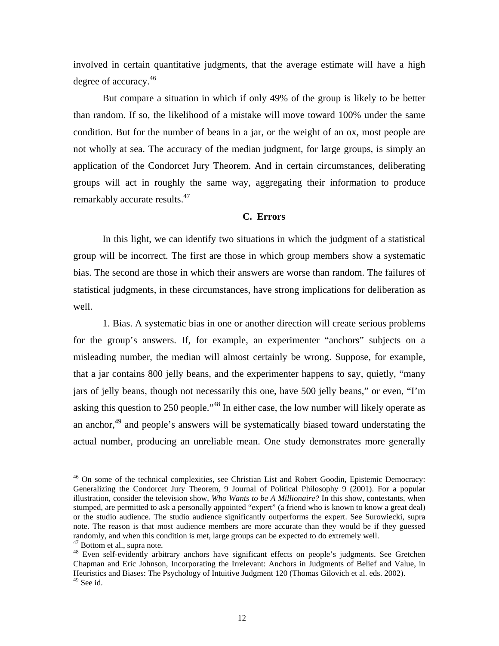involved in certain quantitative judgments, that the average estimate will have a high degree of accuracy.[46](#page-13-0)

But compare a situation in which if only 49% of the group is likely to be better than random. If so, the likelihood of a mistake will move toward 100% under the same condition. But for the number of beans in a jar, or the weight of an ox, most people are not wholly at sea. The accuracy of the median judgment, for large groups, is simply an application of the Condorcet Jury Theorem. And in certain circumstances, deliberating groups will act in roughly the same way, aggregating their information to produce remarkably accurate results.<sup>[47](#page-13-1)</sup>

#### **C. Errors**

In this light, we can identify two situations in which the judgment of a statistical group will be incorrect. The first are those in which group members show a systematic bias. The second are those in which their answers are worse than random. The failures of statistical judgments, in these circumstances, have strong implications for deliberation as well.

1. Bias. A systematic bias in one or another direction will create serious problems for the group's answers. If, for example, an experimenter "anchors" subjects on a misleading number, the median will almost certainly be wrong. Suppose, for example, that a jar contains 800 jelly beans, and the experimenter happens to say, quietly, "many jars of jelly beans, though not necessarily this one, have 500 jelly beans," or even, "I'm asking this question to 250 people."<sup>48</sup> In either case, the low number will likely operate as an anchor, $49$  and people's answers will be systematically biased toward understating the actual number, producing an unreliable mean. One study demonstrates more generally

<span id="page-13-0"></span><sup>&</sup>lt;sup>46</sup> On some of the technical complexities, see Christian List and Robert Goodin, Epistemic Democracy: Generalizing the Condorcet Jury Theorem, 9 Journal of Political Philosophy 9 (2001). For a popular illustration, consider the television show, *Who Wants to be A Millionaire?* In this show, contestants, when stumped, are permitted to ask a personally appointed "expert" (a friend who is known to know a great deal) or the studio audience. The studio audience significantly outperforms the expert. See Surowiecki, supra note. The reason is that most audience members are more accurate than they would be if they guessed randomly, and when this condition is met, large groups can be expected to do extremely well.<br><sup>47</sup> Bottom et al., supra note.<br><sup>48</sup> Even self-evidently arbitrary anchors have significant effects on people's judgments. See Gr

<span id="page-13-1"></span>

<span id="page-13-3"></span><span id="page-13-2"></span>Chapman and Eric Johnson, Incorporating the Irrelevant: Anchors in Judgments of Belief and Value, in Heuristics and Biases: The Psychology of Intuitive Judgment 120 (Thomas Gilovich et al. eds. 2002).  $49$  See id.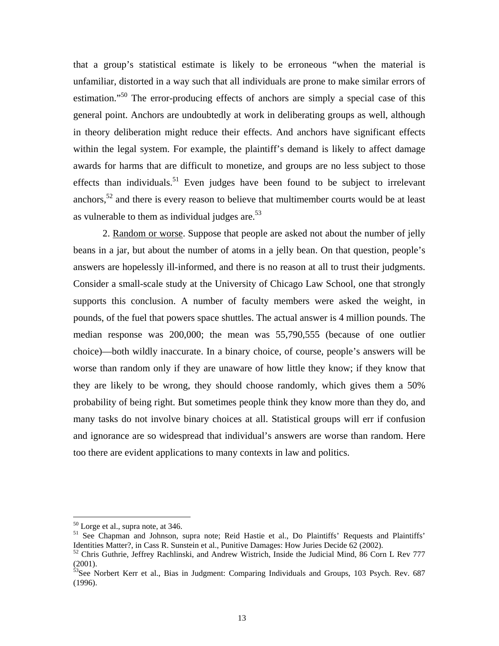that a group's statistical estimate is likely to be erroneous "when the material is unfamiliar, distorted in a way such that all individuals are prone to make similar errors of estimation."<sup>50</sup> The error-producing effects of anchors are simply a special case of this general point. Anchors are undoubtedly at work in deliberating groups as well, although in theory deliberation might reduce their effects. And anchors have significant effects within the legal system. For example, the plaintiff's demand is likely to affect damage awards for harms that are difficult to monetize, and groups are no less subject to those effects than individuals.<sup>51</sup> Even judges have been found to be subject to irrelevant anchors,<sup>52</sup> and there is every reason to believe that multimember courts would be at least as vulnerable to them as individual judges are. $53$ 

2. Random or worse. Suppose that people are asked not about the number of jelly beans in a jar, but about the number of atoms in a jelly bean. On that question, people's answers are hopelessly ill-informed, and there is no reason at all to trust their judgments. Consider a small-scale study at the University of Chicago Law School, one that strongly supports this conclusion. A number of faculty members were asked the weight, in pounds, of the fuel that powers space shuttles. The actual answer is 4 million pounds. The median response was 200,000; the mean was 55,790,555 (because of one outlier choice)—both wildly inaccurate. In a binary choice, of course, people's answers will be worse than random only if they are unaware of how little they know; if they know that they are likely to be wrong, they should choose randomly, which gives them a 50% probability of being right. But sometimes people think they know more than they do, and many tasks do not involve binary choices at all. Statistical groups will err if confusion and ignorance are so widespread that individual's answers are worse than random. Here too there are evident applications to many contexts in law and politics.

<span id="page-14-0"></span> $50$  Lorge et al., supra note, at 346.

<span id="page-14-1"></span><sup>&</sup>lt;sup>51</sup> See Chapman and Johnson, supra note; Reid Hastie et al., Do Plaintiffs' Requests and Plaintiffs' Identities Matter?, in Cass R. Sunstein et al., Punitive Damages: How Juries Decide 62 (2002).<br><sup>52</sup> Chris Guthrie, Jeffrey Rachlinski, and Andrew Wistrich, Inside the Judicial Mind, 86 Corn L Rev 777

<span id="page-14-2"></span><sup>(2001).</sup> 

<span id="page-14-3"></span><sup>&</sup>lt;sup>53</sup>See Norbert Kerr et al., Bias in Judgment: Comparing Individuals and Groups, 103 Psych. Rev. 687 (1996).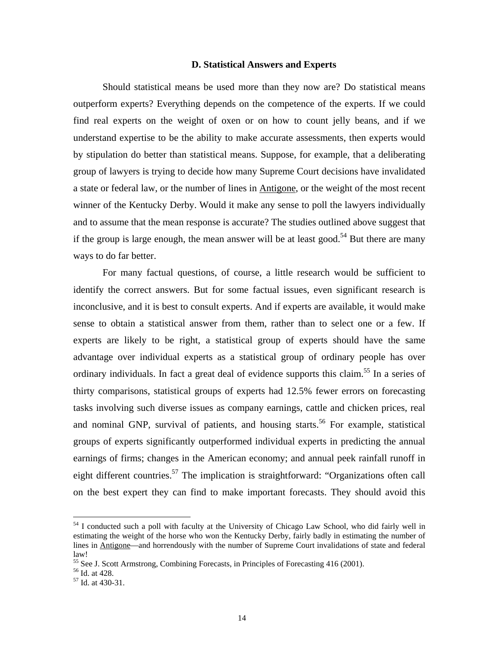#### **D. Statistical Answers and Experts**

Should statistical means be used more than they now are? Do statistical means outperform experts? Everything depends on the competence of the experts. If we could find real experts on the weight of oxen or on how to count jelly beans, and if we understand expertise to be the ability to make accurate assessments, then experts would by stipulation do better than statistical means. Suppose, for example, that a deliberating group of lawyers is trying to decide how many Supreme Court decisions have invalidated a state or federal law, or the number of lines in Antigone, or the weight of the most recent winner of the Kentucky Derby. Would it make any sense to poll the lawyers individually and to assume that the mean response is accurate? The studies outlined above suggest that if the group is large enough, the mean answer will be at least good.<sup>54</sup> But there are many ways to do far better.

For many factual questions, of course, a little research would be sufficient to identify the correct answers. But for some factual issues, even significant research is inconclusive, and it is best to consult experts. And if experts are available, it would make sense to obtain a statistical answer from them, rather than to select one or a few. If experts are likely to be right, a statistical group of experts should have the same advantage over individual experts as a statistical group of ordinary people has over ordinary individuals. In fact a great deal of evidence supports this claim.<sup>55</sup> In a series of thirty comparisons, statistical groups of experts had 12.5% fewer errors on forecasting tasks involving such diverse issues as company earnings, cattle and chicken prices, real and nominal GNP, survival of patients, and housing starts.<sup>56</sup> For example, statistical groups of experts significantly outperformed individual experts in predicting the annual earnings of firms; changes in the American economy; and annual peek rainfall runoff in eight different countries.<sup>57</sup> The implication is straightforward: "Organizations often call on the best expert they can find to make important forecasts. They should avoid this

<span id="page-15-0"></span> $54$  I conducted such a poll with faculty at the University of Chicago Law School, who did fairly well in estimating the weight of the horse who won the Kentucky Derby, fairly badly in estimating the number of lines in Antigone—and horrendously with the number of Supreme Court invalidations of state and federal law!

<span id="page-15-1"></span><sup>&</sup>lt;sup>55</sup> See J. Scott Armstrong, Combining Forecasts, in Principles of Forecasting 416 (2001).<br><sup>56</sup> Id. at 428.<br><sup>57</sup> Id. at 430-31.

<span id="page-15-2"></span>

<span id="page-15-3"></span>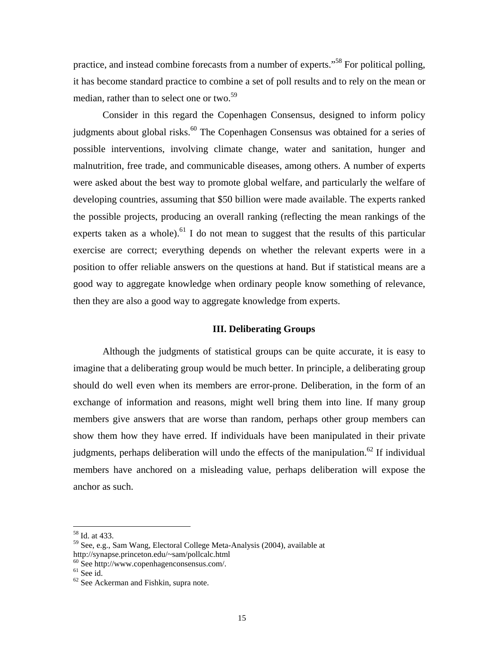practice, and instead combine forecasts from a number of experts."[58 F](#page-16-0)or political polling, it has become standard practice to combine a set of poll results and to rely on the mean or median, rather than to select one or two.<sup>[59](#page-16-1)</sup>

Consider in this regard the Copenhagen Consensus, designed to inform policy judgments about global risks.<sup>60</sup> The Copenhagen Consensus was obtained for a series of possible interventions, involving climate change, water and sanitation, hunger and malnutrition, free trade, and communicable diseases, among others. A number of experts were asked about the best way to promote global welfare, and particularly the welfare of developing countries, assuming that \$50 billion were made available. The experts ranked the possible projects, producing an overall ranking (reflecting the mean rankings of the experts taken as a whole).<sup>61</sup> I do not mean to suggest that the results of this particular exercise are correct; everything depends on whether the relevant experts were in a position to offer reliable answers on the questions at hand. But if statistical means are a good way to aggregate knowledge when ordinary people know something of relevance, then they are also a good way to aggregate knowledge from experts.

#### **III. Deliberating Groups**

Although the judgments of statistical groups can be quite accurate, it is easy to imagine that a deliberating group would be much better. In principle, a deliberating group should do well even when its members are error-prone. Deliberation, in the form of an exchange of information and reasons, might well bring them into line. If many group members give answers that are worse than random, perhaps other group members can show them how they have erred. If individuals have been manipulated in their private judgments, perhaps deliberation will undo the effects of the manipulation.<sup>62</sup> If individual members have anchored on a misleading value, perhaps deliberation will expose the anchor as such.

<span id="page-16-0"></span><sup>58</sup> Id. at 433.

<span id="page-16-1"></span><sup>&</sup>lt;sup>59</sup> See, e.g., Sam Wang, Electoral College Meta-Analysis (2004), available at http://synapse.princeton.edu/~sam/pollcalc.html

<span id="page-16-2"></span> $h^{60}$  See http://www.copenhagenconsensus.com/.  $h^{61}$  See id.

<span id="page-16-3"></span>

<span id="page-16-4"></span> $62$  See Ackerman and Fishkin, supra note.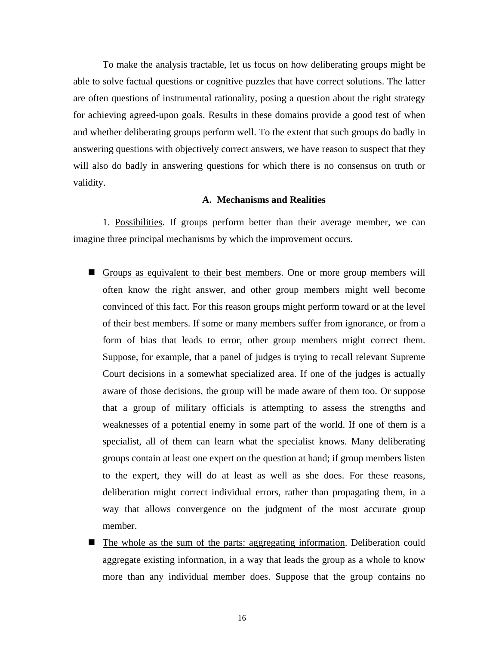To make the analysis tractable, let us focus on how deliberating groups might be able to solve factual questions or cognitive puzzles that have correct solutions. The latter are often questions of instrumental rationality, posing a question about the right strategy for achieving agreed-upon goals. Results in these domains provide a good test of when and whether deliberating groups perform well. To the extent that such groups do badly in answering questions with objectively correct answers, we have reason to suspect that they will also do badly in answering questions for which there is no consensus on truth or validity.

#### **A. Mechanisms and Realities**

1. Possibilities. If groups perform better than their average member, we can imagine three principal mechanisms by which the improvement occurs.

- Groups as equivalent to their best members. One or more group members will often know the right answer, and other group members might well become convinced of this fact. For this reason groups might perform toward or at the level of their best members. If some or many members suffer from ignorance, or from a form of bias that leads to error, other group members might correct them. Suppose, for example, that a panel of judges is trying to recall relevant Supreme Court decisions in a somewhat specialized area. If one of the judges is actually aware of those decisions, the group will be made aware of them too. Or suppose that a group of military officials is attempting to assess the strengths and weaknesses of a potential enemy in some part of the world. If one of them is a specialist, all of them can learn what the specialist knows. Many deliberating groups contain at least one expert on the question at hand; if group members listen to the expert, they will do at least as well as she does. For these reasons, deliberation might correct individual errors, rather than propagating them, in a way that allows convergence on the judgment of the most accurate group member.
- The whole as the sum of the parts: aggregating information. Deliberation could aggregate existing information, in a way that leads the group as a whole to know more than any individual member does. Suppose that the group contains no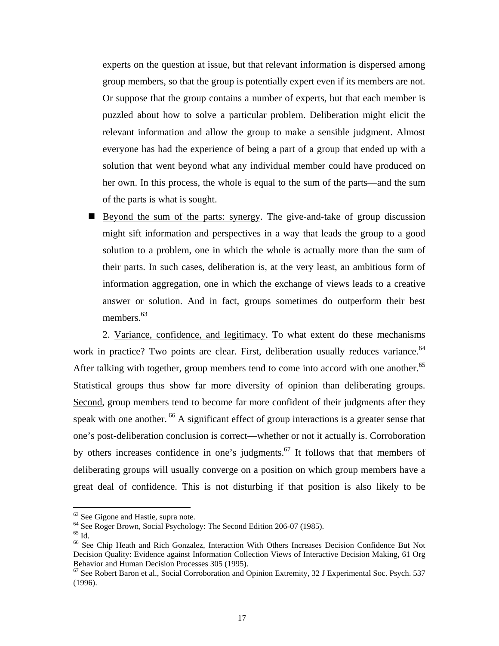experts on the question at issue, but that relevant information is dispersed among group members, so that the group is potentially expert even if its members are not. Or suppose that the group contains a number of experts, but that each member is puzzled about how to solve a particular problem. Deliberation might elicit the relevant information and allow the group to make a sensible judgment. Almost everyone has had the experience of being a part of a group that ended up with a solution that went beyond what any individual member could have produced on her own. In this process, the whole is equal to the sum of the parts—and the sum of the parts is what is sought.

 Beyond the sum of the parts: synergy. The give-and-take of group discussion might sift information and perspectives in a way that leads the group to a good solution to a problem, one in which the whole is actually more than the sum of their parts. In such cases, deliberation is, at the very least, an ambitious form of information aggregation, one in which the exchange of views leads to a creative answer or solution. And in fact, groups sometimes do outperform their best members. [63](#page-18-0)

2. Variance, confidence, and legitimacy. To what extent do these mechanisms work in practice? Two points are clear. First, deliberation usually reduces variance.<sup>64</sup> After talking with together, group members tend to come into accord with one another.<sup>65</sup> Statistical groups thus show far more diversity of opinion than deliberating groups. Second, group members tend to become far more confident of their judgments after they speak with one another. <sup>66</sup> A significant effect of group interactions is a greater sense that one's post-deliberation conclusion is correct—whether or not it actually is. Corroboration by others increases confidence in one's judgments. $67$  It follows that that members of deliberating groups will usually converge on a position on which group members have a great deal of confidence. This is not disturbing if that position is also likely to be

<span id="page-18-1"></span><span id="page-18-0"></span>

<sup>&</sup>lt;sup>63</sup> See Gigone and Hastie, supra note.<br><sup>64</sup> See Roger Brown, Social Psychology: The Second Edition 206-07 (1985).<br><sup>65</sup> Id.

<span id="page-18-2"></span>

<span id="page-18-3"></span><sup>66</sup> See Chip Heath and Rich Gonzalez, Interaction With Others Increases Decision Confidence But Not Decision Quality: Evidence against Information Collection Views of Interactive Decision Making, 61 Org Behavior and Human Decision Processes 305 (1995).<br><sup>67</sup> See Robert Baron et al., Social Corroboration and Opinion Extremity, 32 J Experimental Soc. Psych. 537

<span id="page-18-4"></span><sup>(1996).</sup>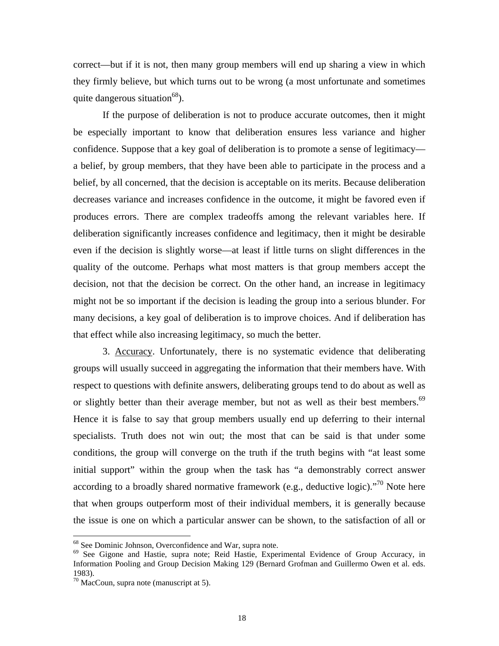correct—but if it is not, then many group members will end up sharing a view in which they firmly believe, but which turns out to be wrong (a most unfortunate and sometimes quite dangerous situation<sup>68</sup>).

If the purpose of deliberation is not to produce accurate outcomes, then it might be especially important to know that deliberation ensures less variance and higher confidence. Suppose that a key goal of deliberation is to promote a sense of legitimacy a belief, by group members, that they have been able to participate in the process and a belief, by all concerned, that the decision is acceptable on its merits. Because deliberation decreases variance and increases confidence in the outcome, it might be favored even if produces errors. There are complex tradeoffs among the relevant variables here. If deliberation significantly increases confidence and legitimacy, then it might be desirable even if the decision is slightly worse—at least if little turns on slight differences in the quality of the outcome. Perhaps what most matters is that group members accept the decision, not that the decision be correct. On the other hand, an increase in legitimacy might not be so important if the decision is leading the group into a serious blunder. For many decisions, a key goal of deliberation is to improve choices. And if deliberation has that effect while also increasing legitimacy, so much the better.

3. Accuracy. Unfortunately, there is no systematic evidence that deliberating groups will usually succeed in aggregating the information that their members have. With respect to questions with definite answers, deliberating groups tend to do about as well as or slightly better than their average member, but not as well as their best members.<sup>69</sup> Hence it is false to say that group members usually end up deferring to their internal specialists. Truth does not win out; the most that can be said is that under some conditions, the group will converge on the truth if the truth begins with "at least some initial support" within the group when the task has "a demonstrably correct answer according to a broadly shared normative framework (e.g., deductive logic). $170$  Note here that when groups outperform most of their individual members, it is generally because the issue is one on which a particular answer can be shown, to the satisfaction of all or

<span id="page-19-1"></span><span id="page-19-0"></span>

<sup>&</sup>lt;sup>68</sup> See Dominic Johnson, Overconfidence and War, supra note.<br><sup>69</sup> See Gigone and Hastie, supra note; Reid Hastie, Experimental Evidence of Group Accuracy, in Information Pooling and Group Decision Making 129 (Bernard Grofman and Guillermo Owen et al. eds. 1983).

<span id="page-19-2"></span> $70$  MacCoun, supra note (manuscript at 5).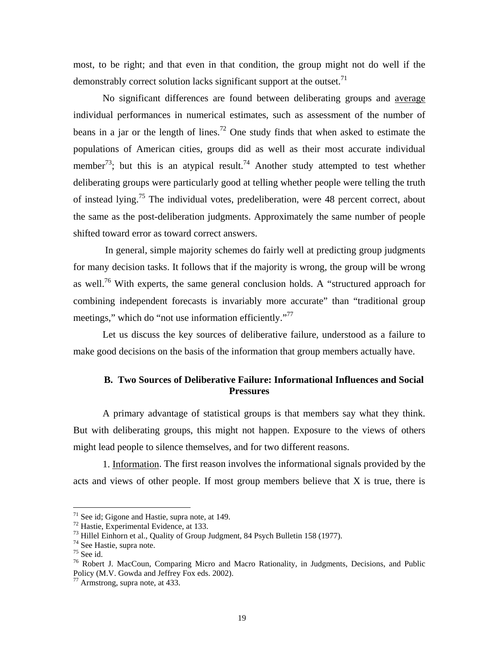most, to be right; and that even in that condition, the group might not do well if the demonstrably correct solution lacks significant support at the outset.<sup>71</sup>

No significant differences are found between deliberating groups and average individual performances in numerical estimates, such as assessment of the number of beans in a jar or the length of lines.<sup>72</sup> One study finds that when asked to estimate the populations of American cities, groups did as well as their most accurate individual member<sup>73</sup>; but this is an atypical result.<sup>74</sup> Another study attempted to test whether deliberating groups were particularly good at telling whether people were telling the truth of instead lying.[75](#page-20-4) The individual votes, predeliberation, were 48 percent correct, about the same as the post-deliberation judgments. Approximately the same number of people shifted toward error as toward correct answers.

In general, simple majority schemes do fairly well at predicting group judgments for many decision tasks. It follows that if the majority is wrong, the group will be wrong as well.<sup>76</sup> With experts, the same general conclusion holds. A "structured approach for combining independent forecasts is invariably more accurate" than "traditional group meetings," which do "not use information efficiently."<sup>77</sup>

Let us discuss the key sources of deliberative failure, understood as a failure to make good decisions on the basis of the information that group members actually have.

#### **B. Two Sources of Deliberative Failure: Informational Influences and Social Pressures**

A primary advantage of statistical groups is that members say what they think. But with deliberating groups, this might not happen. Exposure to the views of others might lead people to silence themselves, and for two different reasons.

1. Information. The first reason involves the informational signals provided by the acts and views of other people. If most group members believe that X is true, there is

<span id="page-20-0"></span>

<span id="page-20-2"></span><span id="page-20-1"></span>

<sup>&</sup>lt;sup>71</sup> See id; Gigone and Hastie, supra note, at 149.<br><sup>72</sup> Hastie, Experimental Evidence, at 133.<br><sup>73</sup> Hillel Einhorn et al., Quality of Group Judgment, 84 Psych Bulletin 158 (1977).<br><sup>74</sup> See Hastie, supra note.

<span id="page-20-3"></span>

<span id="page-20-4"></span><sup>75</sup> See id.

<span id="page-20-5"></span><sup>76</sup> Robert J. MacCoun, Comparing Micro and Macro Rationality, in Judgments, Decisions, and Public Policy (M.V. Gowda and Jeffrey Fox eds. 2002).<br><sup>77</sup> Armstrong, supra note, at 433.

<span id="page-20-6"></span>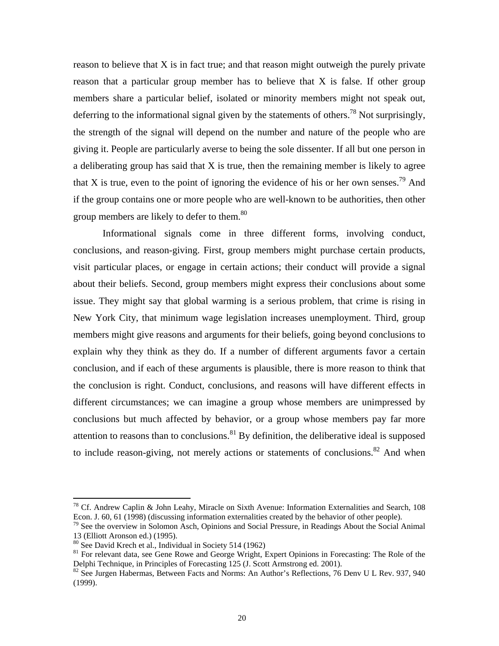reason to believe that X is in fact true; and that reason might outweigh the purely private reason that a particular group member has to believe that X is false. If other group members share a particular belief, isolated or minority members might not speak out, deferring to the informational signal given by the statements of others.<sup>78</sup> Not surprisingly, the strength of the signal will depend on the number and nature of the people who are giving it. People are particularly averse to being the sole dissenter. If all but one person in a deliberating group has said that X is true, then the remaining member is likely to agree that X is true, even to the point of ignoring the evidence of his or her own senses.<sup>79</sup> And if the group contains one or more people who are well-known to be authorities, then other group members are likely to defer to them.<sup>[80](#page-21-2)</sup>

Informational signals come in three different forms, involving conduct, conclusions, and reason-giving. First, group members might purchase certain products, visit particular places, or engage in certain actions; their conduct will provide a signal about their beliefs. Second, group members might express their conclusions about some issue. They might say that global warming is a serious problem, that crime is rising in New York City, that minimum wage legislation increases unemployment. Third, group members might give reasons and arguments for their beliefs, going beyond conclusions to explain why they think as they do. If a number of different arguments favor a certain conclusion, and if each of these arguments is plausible, there is more reason to think that the conclusion is right. Conduct, conclusions, and reasons will have different effects in different circumstances; we can imagine a group whose members are unimpressed by conclusions but much affected by behavior, or a group whose members pay far more attention to reasons than to conclusions. ${}^{81}$  By definition, the deliberative ideal is supposed to include reason-giving, not merely actions or statements of conclusions.<sup>82</sup> And when

<span id="page-21-0"></span><sup>&</sup>lt;sup>78</sup> Cf. Andrew Caplin & John Leahy, Miracle on Sixth Avenue: Information Externalities and Search, 108 Econ. J. 60, 61 (1998) (discussing information externalities created by the behavior of other people). <sup>79</sup> See the overview in Solomon Asch, Opinions and Social Pressure, in Readings About the Social Animal

<span id="page-21-1"></span><sup>13 (</sup>Elliott Aronson ed.) (1995).

<span id="page-21-3"></span>

<span id="page-21-2"></span><sup>&</sup>lt;sup>80</sup> See David Krech et al., Individual in Society 514 (1962)<br><sup>81</sup> For relevant data, see Gene Rowe and George Wright, Expert Opinions in Forecasting: The Role of the Delphi Technique, in Principles of Forecasting 125 (J.

<span id="page-21-4"></span> $82$  See Jurgen Habermas, Between Facts and Norms: An Author's Reflections, 76 Denv U L Rev. 937, 940 (1999).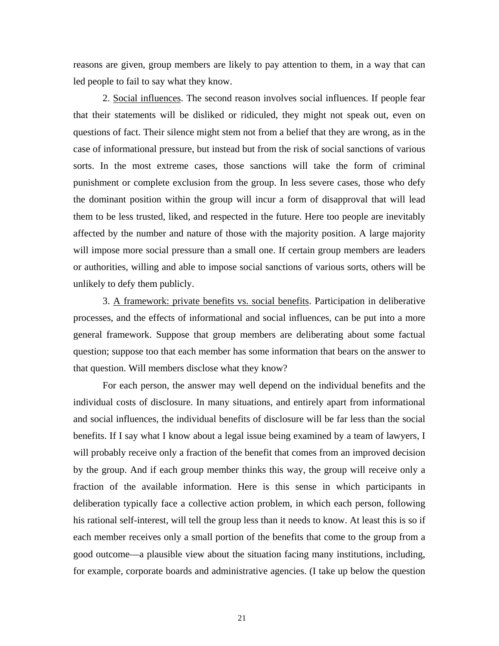reasons are given, group members are likely to pay attention to them, in a way that can led people to fail to say what they know.

2. Social influences. The second reason involves social influences. If people fear that their statements will be disliked or ridiculed, they might not speak out, even on questions of fact. Their silence might stem not from a belief that they are wrong, as in the case of informational pressure, but instead but from the risk of social sanctions of various sorts. In the most extreme cases, those sanctions will take the form of criminal punishment or complete exclusion from the group. In less severe cases, those who defy the dominant position within the group will incur a form of disapproval that will lead them to be less trusted, liked, and respected in the future. Here too people are inevitably affected by the number and nature of those with the majority position. A large majority will impose more social pressure than a small one. If certain group members are leaders or authorities, willing and able to impose social sanctions of various sorts, others will be unlikely to defy them publicly.

3. A framework: private benefits vs. social benefits. Participation in deliberative processes, and the effects of informational and social influences, can be put into a more general framework. Suppose that group members are deliberating about some factual question; suppose too that each member has some information that bears on the answer to that question. Will members disclose what they know?

For each person, the answer may well depend on the individual benefits and the individual costs of disclosure. In many situations, and entirely apart from informational and social influences, the individual benefits of disclosure will be far less than the social benefits. If I say what I know about a legal issue being examined by a team of lawyers, I will probably receive only a fraction of the benefit that comes from an improved decision by the group. And if each group member thinks this way, the group will receive only a fraction of the available information. Here is this sense in which participants in deliberation typically face a collective action problem, in which each person, following his rational self-interest, will tell the group less than it needs to know. At least this is so if each member receives only a small portion of the benefits that come to the group from a good outcome—a plausible view about the situation facing many institutions, including, for example, corporate boards and administrative agencies. (I take up below the question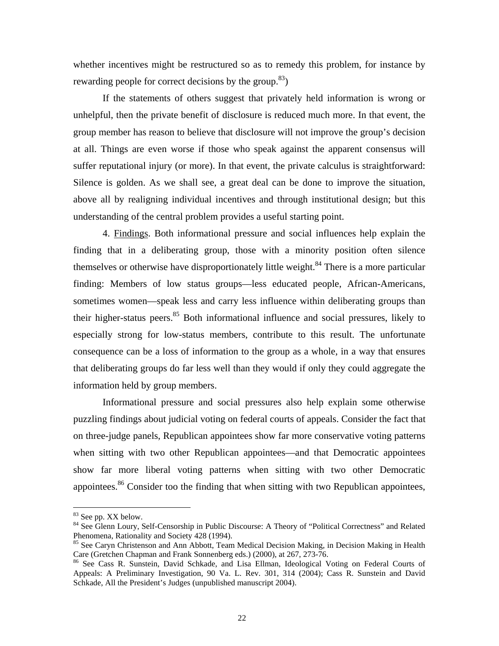whether incentives might be restructured so as to remedy this problem, for instance by rewarding people for correct decisions by the group.<sup>83</sup>)

If the statements of others suggest that privately held information is wrong or unhelpful, then the private benefit of disclosure is reduced much more. In that event, the group member has reason to believe that disclosure will not improve the group's decision at all. Things are even worse if those who speak against the apparent consensus will suffer reputational injury (or more). In that event, the private calculus is straightforward: Silence is golden. As we shall see, a great deal can be done to improve the situation, above all by realigning individual incentives and through institutional design; but this understanding of the central problem provides a useful starting point.

4. Findings. Both informational pressure and social influences help explain the finding that in a deliberating group, those with a minority position often silence themselves or otherwise have disproportionately little weight.<sup>84</sup> There is a more particular finding: Members of low status groups—less educated people, African-Americans, sometimes women—speak less and carry less influence within deliberating groups than their higher-status peers.<sup>85</sup> Both informational influence and social pressures, likely to especially strong for low-status members, contribute to this result. The unfortunate consequence can be a loss of information to the group as a whole, in a way that ensures that deliberating groups do far less well than they would if only they could aggregate the information held by group members.

Informational pressure and social pressures also help explain some otherwise puzzling findings about judicial voting on federal courts of appeals. Consider the fact that on three-judge panels, Republican appointees show far more conservative voting patterns when sitting with two other Republican appointees—and that Democratic appointees show far more liberal voting patterns when sitting with two other Democratic appointees.<sup>86</sup> Consider too the finding that when sitting with two Republican appointees,

<span id="page-23-1"></span><span id="page-23-0"></span>

<sup>&</sup>lt;sup>83</sup> See pp. XX below.<br><sup>84</sup> See Glenn Loury, Self-Censorship in Public Discourse: A Theory of "Political Correctness" and Related Phenomena, Rationality and Society 428 (1994).

<span id="page-23-2"></span><sup>&</sup>lt;sup>85</sup> See Caryn Christenson and Ann Abbott, Team Medical Decision Making, in Decision Making in Health Care (Gretchen Chapman and Frank Sonnenberg eds.) (2000), at  $267, 273-76$ .

<span id="page-23-3"></span><sup>&</sup>lt;sup>86</sup> See Cass R. Sunstein, David Schkade, and Lisa Ellman, Ideological Voting on Federal Courts of Appeals: A Preliminary Investigation, 90 Va. L. Rev. 301, 314 (2004); Cass R. Sunstein and David Schkade, All the President's Judges (unpublished manuscript 2004).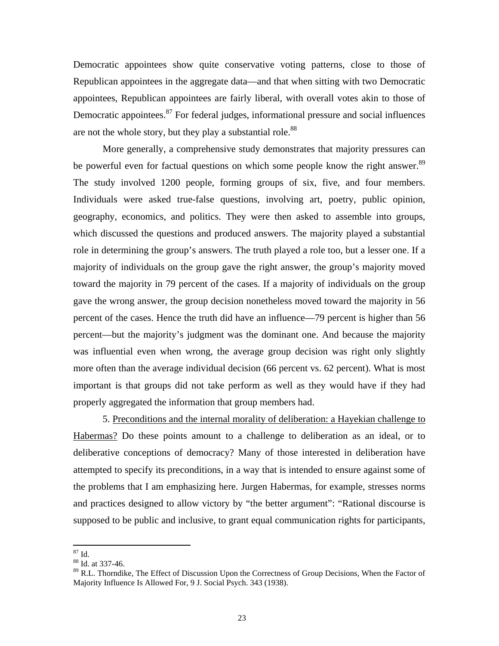Democratic appointees show quite conservative voting patterns, close to those of Republican appointees in the aggregate data—and that when sitting with two Democratic appointees, Republican appointees are fairly liberal, with overall votes akin to those of Democratic appointees.<sup>87</sup> For federal judges, informational pressure and social influences are not the whole story, but they play a substantial role.<sup>88</sup>

More generally, a comprehensive study demonstrates that majority pressures can be powerful even for factual questions on which some people know the right answer.<sup>89</sup> The study involved 1200 people, forming groups of six, five, and four members. Individuals were asked true-false questions, involving art, poetry, public opinion, geography, economics, and politics. They were then asked to assemble into groups, which discussed the questions and produced answers. The majority played a substantial role in determining the group's answers. The truth played a role too, but a lesser one. If a majority of individuals on the group gave the right answer, the group's majority moved toward the majority in 79 percent of the cases. If a majority of individuals on the group gave the wrong answer, the group decision nonetheless moved toward the majority in 56 percent of the cases. Hence the truth did have an influence—79 percent is higher than 56 percent—but the majority's judgment was the dominant one. And because the majority was influential even when wrong, the average group decision was right only slightly more often than the average individual decision (66 percent vs. 62 percent). What is most important is that groups did not take perform as well as they would have if they had properly aggregated the information that group members had.

5. Preconditions and the internal morality of deliberation: a Hayekian challenge to Habermas? Do these points amount to a challenge to deliberation as an ideal, or to deliberative conceptions of democracy? Many of those interested in deliberation have attempted to specify its preconditions, in a way that is intended to ensure against some of the problems that I am emphasizing here. Jurgen Habermas, for example, stresses norms and practices designed to allow victory by "the better argument": "Rational discourse is supposed to be public and inclusive, to grant equal communication rights for participants,

<span id="page-24-0"></span> $^{87}$  Id.

<span id="page-24-1"></span><sup>88</sup> Id. at 337-46.

<span id="page-24-2"></span><sup>&</sup>lt;sup>89</sup> R.L. Thorndike, The Effect of Discussion Upon the Correctness of Group Decisions, When the Factor of Majority Influence Is Allowed For, 9 J. Social Psych. 343 (1938).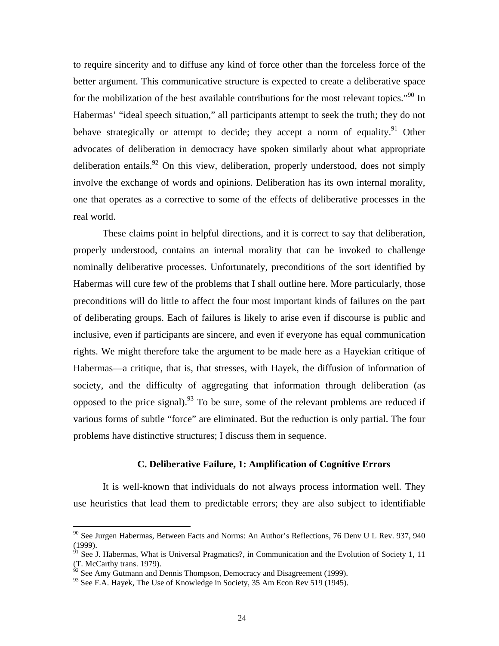to require sincerity and to diffuse any kind of force other than the forceless force of the better argument. This communicative structure is expected to create a deliberative space for the mobilization of the best available contributions for the most relevant topics."<sup>90</sup> In Habermas' "ideal speech situation," all participants attempt to seek the truth; they do not behave strategically or attempt to decide; they accept a norm of equality.<sup>91</sup> Other advocates of deliberation in democracy have spoken similarly about what appropriate deliberation entails.<sup>92</sup> On this view, deliberation, properly understood, does not simply involve the exchange of words and opinions. Deliberation has its own internal morality, one that operates as a corrective to some of the effects of deliberative processes in the real world.

These claims point in helpful directions, and it is correct to say that deliberation, properly understood, contains an internal morality that can be invoked to challenge nominally deliberative processes. Unfortunately, preconditions of the sort identified by Habermas will cure few of the problems that I shall outline here. More particularly, those preconditions will do little to affect the four most important kinds of failures on the part of deliberating groups. Each of failures is likely to arise even if discourse is public and inclusive, even if participants are sincere, and even if everyone has equal communication rights. We might therefore take the argument to be made here as a Hayekian critique of Habermas—a critique, that is, that stresses, with Hayek, the diffusion of information of society, and the difficulty of aggregating that information through deliberation (as opposed to the price signal).<sup>93</sup> To be sure, some of the relevant problems are reduced if various forms of subtle "force" are eliminated. But the reduction is only partial. The four problems have distinctive structures; I discuss them in sequence.

#### **C. Deliberative Failure, 1: Amplification of Cognitive Errors**

It is well-known that individuals do not always process information well. They use heuristics that lead them to predictable errors; they are also subject to identifiable

<span id="page-25-0"></span> $90$  See Jurgen Habermas, Between Facts and Norms: An Author's Reflections, 76 Denv U L Rev. 937, 940 (1999).

<span id="page-25-1"></span> $91$  See J. Habermas, What is Universal Pragmatics?, in Communication and the Evolution of Society 1, 11 (T. McCarthy trans. 1979). (T. McCarthy trans. 1979).<br><sup>92</sup> See Amy Gutmann and Dennis Thompson, Democracy and Disagreement (1999).

<span id="page-25-2"></span>

<span id="page-25-3"></span><sup>&</sup>lt;sup>93</sup> See F.A. Hayek, The Use of Knowledge in Society, 35 Am Econ Rev 519 (1945).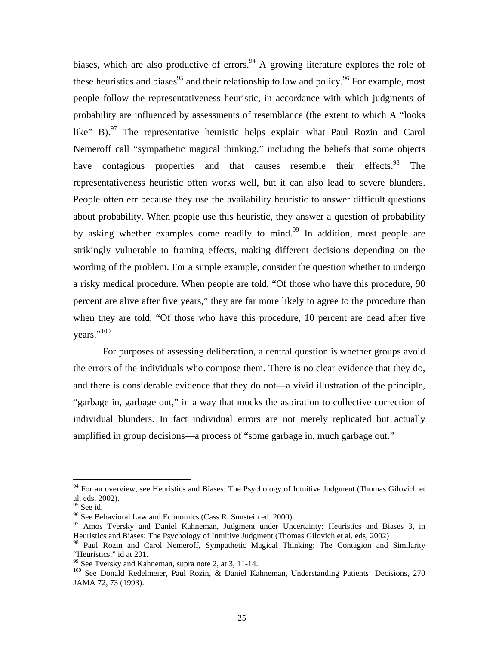biases, which are also productive of errors.<sup>94</sup> A growing literature explores the role of these heuristics and biases<sup>95</sup> and their relationship to law and policy.<sup>96</sup> For example, most people follow the representativeness heuristic, in accordance with which judgments of probability are influenced by assessments of resemblance (the extent to which A "looks like" B). $^{97}$  The representative heuristic helps explain what Paul Rozin and Carol Nemeroff call "sympathetic magical thinking," including the beliefs that some objects have contagious properties and that causes resemble their effects.<sup>98</sup> The representativeness heuristic often works well, but it can also lead to severe blunders. People often err because they use the availability heuristic to answer difficult questions about probability. When people use this heuristic, they answer a question of probability by asking whether examples come readily to mind.<sup>99</sup> In addition, most people are strikingly vulnerable to framing effects, making different decisions depending on the wording of the problem. For a simple example, consider the question whether to undergo a risky medical procedure. When people are told, "Of those who have this procedure, 90 percent are alive after five years," they are far more likely to agree to the procedure than when they are told, "Of those who have this procedure, 10 percent are dead after five years."<sup>100</sup>

For purposes of assessing deliberation, a central question is whether groups avoid the errors of the individuals who compose them. There is no clear evidence that they do, and there is considerable evidence that they do not—a vivid illustration of the principle, "garbage in, garbage out," in a way that mocks the aspiration to collective correction of individual blunders. In fact individual errors are not merely replicated but actually amplified in group decisions—a process of "some garbage in, much garbage out."

<span id="page-26-0"></span><sup>&</sup>lt;sup>94</sup> For an overview, see Heuristics and Biases: The Psychology of Intuitive Judgment (Thomas Gilovich et al. eds. 2002).

<span id="page-26-2"></span><span id="page-26-1"></span>

<sup>&</sup>lt;sup>95</sup> See id.  $\frac{95}{96}$  See Behavioral Law and Economics (Cass R. Sunstein ed. 2000).

<span id="page-26-3"></span><sup>&</sup>lt;sup>97</sup> Amos Tversky and Daniel Kahneman, Judgment under Uncertainty: Heuristics and Biases 3, in Heuristics and Biases: The Psychology of Intuitive Judgment (Thomas Gilovich et al. eds, 2002)

<span id="page-26-4"></span><sup>&</sup>lt;sup>98</sup> Paul Rozin and Carol Nemeroff, Sympathetic Magical Thinking: The Contagion and Similarity "Heuristics," id at 201.<br><sup>99</sup> See Tversky and Kahneman, supra note 2, at 3, 11-14.<br><sup>100</sup> See Donald Redelmeier, Paul Rozin, & Daniel Kahneman, Understanding Patients' Decisions, 270

<span id="page-26-5"></span>

<span id="page-26-6"></span>JAMA 72, 73 (1993).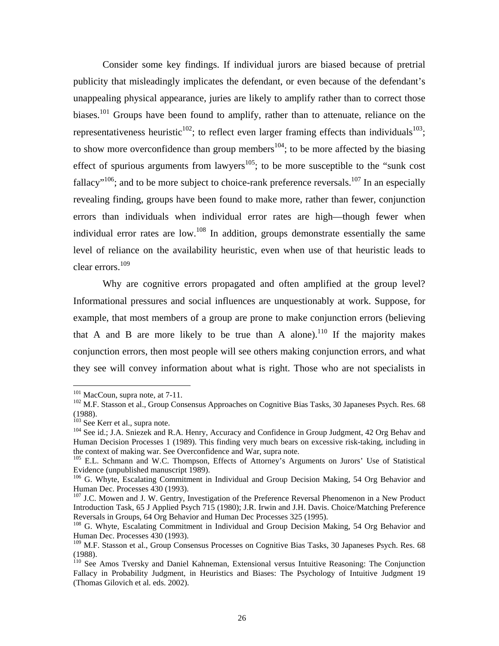Consider some key findings. If individual jurors are biased because of pretrial publicity that misleadingly implicates the defendant, or even because of the defendant's unappealing physical appearance, juries are likely to amplify rather than to correct those biases.<sup>101</sup> Groups have been found to amplify, rather than to attenuate, reliance on the representativeness heuristic<sup>102</sup>; to reflect even larger framing effects than individuals<sup>103</sup>; to show more overconfidence than group members<sup>104</sup>; to be more affected by the biasing effect of spurious arguments from lawyers<sup>105</sup>; to be more susceptible to the "sunk cost" fallacy<sup> $106$ </sup>; and to be more subject to choice-rank preference reversals.<sup>107</sup> In an especially revealing finding, groups have been found to make more, rather than fewer, conjunction errors than individuals when individual error rates are high—though fewer when individual error rates are low.<sup>108</sup> In addition, groups demonstrate essentially the same level of reliance on the availability heuristic, even when use of that heuristic leads to clear errors.[109](#page-27-8)

Why are cognitive errors propagated and often amplified at the group level? Informational pressures and social influences are unquestionably at work. Suppose, for example, that most members of a group are prone to make conjunction errors (believing that A and B are more likely to be true than A alone).<sup>110</sup> If the majority makes conjunction errors, then most people will see others making conjunction errors, and what they see will convey information about what is right. Those who are not specialists in

<u>.</u>

<span id="page-27-1"></span><span id="page-27-0"></span>

<sup>&</sup>lt;sup>101</sup> MacCoun, supra note, at 7-11.<br><sup>102</sup> M.F. Stasson et al., Group Consensus Approaches on Cognitive Bias Tasks, 30 Japaneses Psych. Res. 68  $(1988)$ .<br> $^{103}$  See Kerr et al., supra note.

<span id="page-27-2"></span>

<span id="page-27-3"></span> $104$  See id.; J.A. Sniezek and R.A. Henry, Accuracy and Confidence in Group Judgment, 42 Org Behav and Human Decision Processes 1 (1989). This finding very much bears on excessive risk-taking, including in the context of making war. See Overconfidence and War, supra note.<br><sup>105</sup> E.L. Schmann and W.C. Thompson, Effects of Attorney's Arguments on Jurors' Use of Statistical

<span id="page-27-4"></span>

<span id="page-27-5"></span>Evidence (unpublished manuscript 1989).<br><sup>106</sup> G. Whyte, Escalating Commitment in Individual and Group Decision Making, 54 Org Behavior and<br>Human Dec. Processes 430 (1993).

<span id="page-27-6"></span> $107$  J.C. Mowen and J. W. Gentry, Investigation of the Preference Reversal Phenomenon in a New Product Introduction Task, 65 J Applied Psych 715 (1980); J.R. Irwin and J.H. Davis. Choice/Matching Preference

<span id="page-27-7"></span> $R_{\text{R}}$  G. Whyte, Escalating Commitment in Individual and Group Decision Making, 54 Org Behavior and Human Dec. Processes 430 (1993).

<span id="page-27-8"></span><sup>&</sup>lt;sup>109</sup> M.F. Stasson et al., Group Consensus Processes on Cognitive Bias Tasks, 30 Japaneses Psych. Res. 68 (1988).

<span id="page-27-9"></span><sup>110</sup> See Amos Tversky and Daniel Kahneman, Extensional versus Intuitive Reasoning: The Conjunction Fallacy in Probability Judgment, in Heuristics and Biases: The Psychology of Intuitive Judgment 19 (Thomas Gilovich et al. eds. 2002).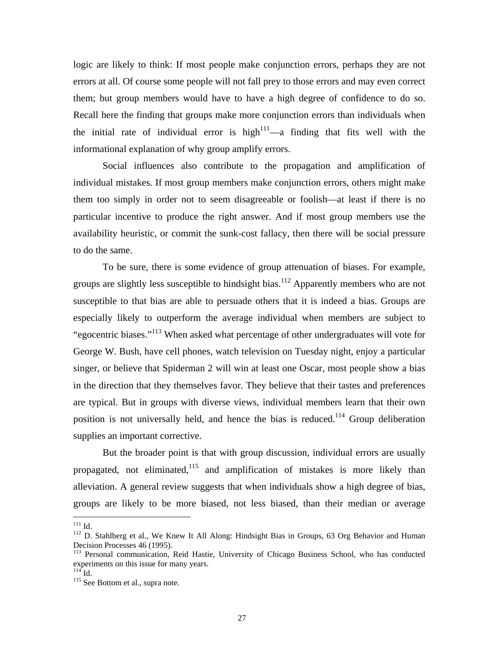logic are likely to think: If most people make conjunction errors, perhaps they are not errors at all. Of course some people will not fall prey to those errors and may even correct them; but group members would have to have a high degree of confidence to do so. Recall here the finding that groups make more conjunction errors than individuals when the initial rate of individual error is  $high<sup>111</sup>—a$  finding that fits well with the informational explanation of why group amplify errors.

Social influences also contribute to the propagation and amplification of individual mistakes. If most group members make conjunction errors, others might make them too simply in order not to seem disagreeable or foolish—at least if there is no particular incentive to produce the right answer. And if most group members use the availability heuristic, or commit the sunk-cost fallacy, then there will be social pressure to do the same.

To be sure, there is some evidence of group attenuation of biases. For example, groups are slightly less susceptible to hindsight bias.<sup>112</sup> Apparently members who are not susceptible to that bias are able to persuade others that it is indeed a bias. Groups are especially likely to outperform the average individual when members are subject to "egocentric biases.["113 W](#page-28-2)hen asked what percentage of other undergraduates will vote for George W. Bush, have cell phones, watch television on Tuesday night, enjoy a particular singer, or believe that Spiderman 2 will win at least one Oscar, most people show a bias in the direction that they themselves favor. They believe that their tastes and preferences are typical. But in groups with diverse views, individual members learn that their own position is not universally held, and hence the bias is reduced.<sup>114</sup> Group deliberation supplies an important corrective.

But the broader point is that with group discussion, individual errors are usually propagated, not eliminated,<sup>115</sup> and amplification of mistakes is more likely than alleviation. A general review suggests that when individuals show a high degree of bias, groups are likely to be more biased, not less biased, than their median or average

<span id="page-28-0"></span> $111$  Id.

<span id="page-28-1"></span> $112$  D. Stahlberg et al., We Knew It All Along: Hindsight Bias in Groups, 63 Org Behavior and Human Decision Processes 46 (1995).

<span id="page-28-2"></span><sup>&</sup>lt;sup>113</sup> Personal communication, Reid Hastie, University of Chicago Business School, who has conducted experiments on this issue for many years.<br><sup>114</sup> Id.<br><sup>115</sup> See Bottom et al., supra note.

<span id="page-28-3"></span>

<span id="page-28-4"></span>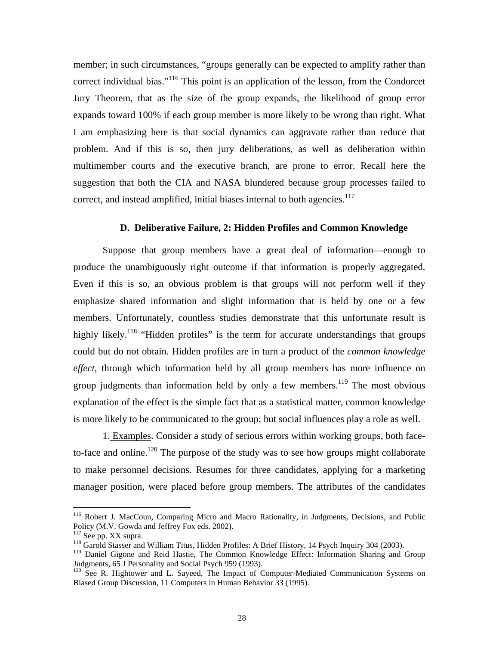member; in such circumstances, "groups generally can be expected to amplify rather than correct individual bias."<sup>116</sup> This point is an application of the lesson, from the Condorcet Jury Theorem, that as the size of the group expands, the likelihood of group error expands toward 100% if each group member is more likely to be wrong than right. What I am emphasizing here is that social dynamics can aggravate rather than reduce that problem. And if this is so, then jury deliberations, as well as deliberation within multimember courts and the executive branch, are prone to error. Recall here the suggestion that both the CIA and NASA blundered because group processes failed to correct, and instead amplified, initial biases internal to both agencies.<sup>[117](#page-29-1)</sup>

#### **D. Deliberative Failure, 2: Hidden Profiles and Common Knowledge**

Suppose that group members have a great deal of information—enough to produce the unambiguously right outcome if that information is properly aggregated. Even if this is so, an obvious problem is that groups will not perform well if they emphasize shared information and slight information that is held by one or a few members. Unfortunately, countless studies demonstrate that this unfortunate result is highly likely.<sup>118</sup> "Hidden profiles" is the term for accurate understandings that groups could but do not obtain. Hidden profiles are in turn a product of the *common knowledge effect*, through which information held by all group members has more influence on group judgments than information held by only a few members.<sup>119</sup> The most obvious explanation of the effect is the simple fact that as a statistical matter, common knowledge is more likely to be communicated to the group; but social influences play a role as well.

1. Examples. Consider a study of serious errors within working groups, both faceto-face and online.<sup>120</sup> The purpose of the study was to see how groups might collaborate to make personnel decisions. Resumes for three candidates, applying for a marketing manager position, were placed before group members. The attributes of the candidates

<span id="page-29-0"></span><sup>&</sup>lt;sup>116</sup> Robert J. MacCoun, Comparing Micro and Macro Rationality, in Judgments, Decisions, and Public Policy (M.V. Gowda and Jeffrey Fox eds. 2002).

<span id="page-29-2"></span><span id="page-29-1"></span>

<sup>&</sup>lt;sup>117</sup> See pp. XX supra.<br><sup>118</sup> Garold Stasser and William Titus, Hidden Profiles: A Brief History, 14 Psych Inquiry 304 (2003).

<span id="page-29-3"></span><sup>&</sup>lt;sup>119</sup> Daniel Gigone and Reid Hastie, The Common Knowledge Effect: Information Sharing and Group Judgments, 65 J Personality and Social Psych 959 (1993).

<span id="page-29-4"></span> $120$  See R. Hightower and L. Sayeed, The Impact of Computer-Mediated Communication Systems on Biased Group Discussion, 11 Computers in Human Behavior 33 (1995).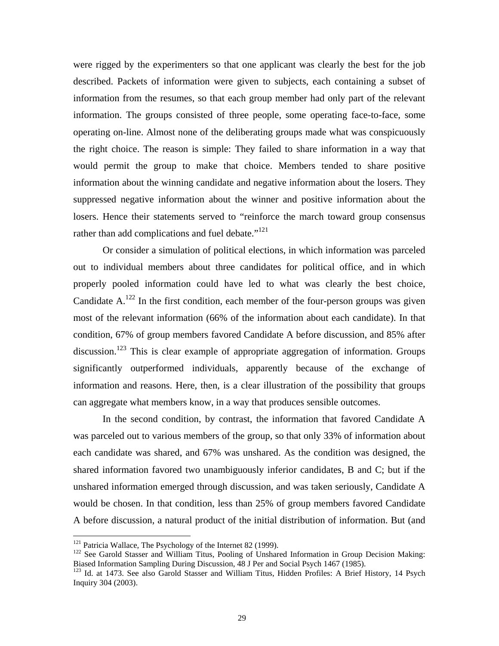were rigged by the experimenters so that one applicant was clearly the best for the job described. Packets of information were given to subjects, each containing a subset of information from the resumes, so that each group member had only part of the relevant information. The groups consisted of three people, some operating face-to-face, some operating on-line. Almost none of the deliberating groups made what was conspicuously the right choice. The reason is simple: They failed to share information in a way that would permit the group to make that choice. Members tended to share positive information about the winning candidate and negative information about the losers. They suppressed negative information about the winner and positive information about the losers. Hence their statements served to "reinforce the march toward group consensus rather than add complications and fuel debate."<sup>[121](#page-30-0)</sup>

Or consider a simulation of political elections, in which information was parceled out to individual members about three candidates for political office, and in which properly pooled information could have led to what was clearly the best choice, Candidate  $A<sup>122</sup>$  In the first condition, each member of the four-person groups was given most of the relevant information (66% of the information about each candidate). In that condition, 67% of group members favored Candidate A before discussion, and 85% after discussion.<sup>123</sup> This is clear example of appropriate aggregation of information. Groups significantly outperformed individuals, apparently because of the exchange of information and reasons. Here, then, is a clear illustration of the possibility that groups can aggregate what members know, in a way that produces sensible outcomes.

In the second condition, by contrast, the information that favored Candidate A was parceled out to various members of the group, so that only 33% of information about each candidate was shared, and 67% was unshared. As the condition was designed, the shared information favored two unambiguously inferior candidates, B and C; but if the unshared information emerged through discussion, and was taken seriously, Candidate A would be chosen. In that condition, less than 25% of group members favored Candidate A before discussion, a natural product of the initial distribution of information. But (and

<span id="page-30-0"></span> $121$  Patricia Wallace, The Psychology of the Internet 82 (1999).

<span id="page-30-1"></span><sup>&</sup>lt;sup>122</sup> See Garold Stasser and William Titus, Pooling of Unshared Information in Group Decision Making:<br>Biased Information Sampling During Discussion, 48 J Per and Social Psych 1467 (1985).

<span id="page-30-2"></span><sup>&</sup>lt;sup>123</sup> Id. at 1473. See also Garold Stasser and William Titus, Hidden Profiles: A Brief History, 14 Psych Inquiry 304 (2003).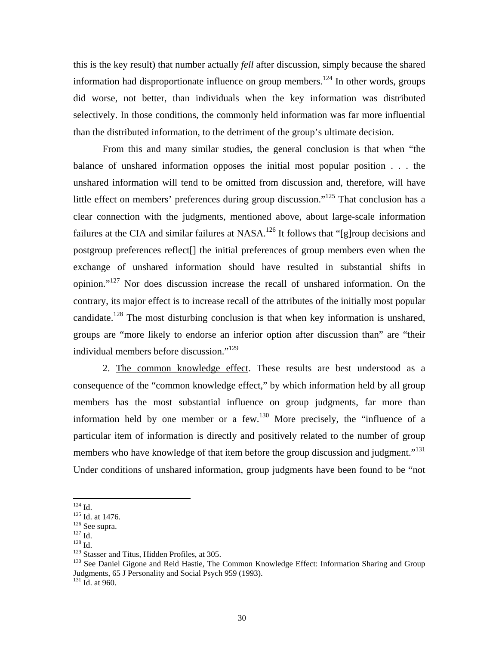this is the key result) that number actually *fell* after discussion, simply because the shared information had disproportionate influence on group members.<sup>124</sup> In other words, groups did worse, not better, than individuals when the key information was distributed selectively. In those conditions, the commonly held information was far more influential than the distributed information, to the detriment of the group's ultimate decision.

From this and many similar studies, the general conclusion is that when "the balance of unshared information opposes the initial most popular position . . . the unshared information will tend to be omitted from discussion and, therefore, will have little effect on members' preferences during group discussion."<sup>125</sup> That conclusion has a clear connection with the judgments, mentioned above, about large-scale information failures at the CIA and similar failures at NASA.<sup>126</sup> It follows that "[g]roup decisions and postgroup preferences reflect[] the initial preferences of group members even when the exchange of unshared information should have resulted in substantial shifts in opinion."[127](#page-31-3) Nor does discussion increase the recall of unshared information. On the contrary, its major effect is to increase recall of the attributes of the initially most popular candidate.<sup>128</sup> The most disturbing conclusion is that when key information is unshared, groups are "more likely to endorse an inferior option after discussion than" are "their individual members before discussion."<sup>[129](#page-31-5)</sup>

2. The common knowledge effect. These results are best understood as a consequence of the "common knowledge effect," by which information held by all group members has the most substantial influence on group judgments, far more than information held by one member or a few.<sup>130</sup> More precisely, the "influence of a particular item of information is directly and positively related to the number of group members who have knowledge of that item before the group discussion and judgment."<sup>131</sup> Under conditions of unshared information, group judgments have been found to be "not

<span id="page-31-0"></span> $124$  Id.

<span id="page-31-1"></span>

<span id="page-31-2"></span>

<span id="page-31-3"></span>

<span id="page-31-5"></span><span id="page-31-4"></span>

<sup>&</sup>lt;sup>125</sup> Id. at 1476.<br>
<sup>126</sup> See supra.<br>
<sup>127</sup> Id.<br>
<sup>128</sup> Id.<br>
<sup>129</sup> Stasser and Titus, Hidden Profiles, at 305.

<span id="page-31-6"></span><sup>&</sup>lt;sup>130</sup> See Daniel Gigone and Reid Hastie, The Common Knowledge Effect: Information Sharing and Group Judgments, 65 J Personality and Social Psych 959 (1993). 131 Id. at 960.

<span id="page-31-7"></span>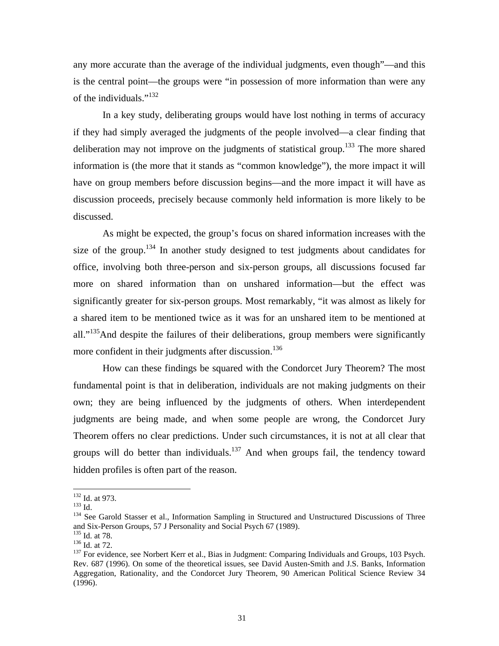any more accurate than the average of the individual judgments, even though"—and this is the central point—the groups were "in possession of more information than were any of the individuals." $132$ 

In a key study, deliberating groups would have lost nothing in terms of accuracy if they had simply averaged the judgments of the people involved—a clear finding that deliberation may not improve on the judgments of statistical group.<sup>133</sup> The more shared information is (the more that it stands as "common knowledge"), the more impact it will have on group members before discussion begins—and the more impact it will have as discussion proceeds, precisely because commonly held information is more likely to be discussed.

As might be expected, the group's focus on shared information increases with the size of the group.<sup>134</sup> In another study designed to test judgments about candidates for office, involving both three-person and six-person groups, all discussions focused far more on shared information than on unshared information—but the effect was significantly greater for six-person groups. Most remarkably, "it was almost as likely for a shared item to be mentioned twice as it was for an unshared item to be mentioned at all."<sup>135</sup>And despite the failures of their deliberations, group members were significantly more confident in their judgments after discussion.<sup>136</sup>

How can these findings be squared with the Condorcet Jury Theorem? The most fundamental point is that in deliberation, individuals are not making judgments on their own; they are being influenced by the judgments of others. When interdependent judgments are being made, and when some people are wrong, the Condorcet Jury Theorem offers no clear predictions. Under such circumstances, it is not at all clear that groups will do better than individuals.<sup>137</sup> And when groups fail, the tendency toward hidden profiles is often part of the reason.

<span id="page-32-0"></span><sup>&</sup>lt;sup>132</sup> Id. at 973.

<span id="page-32-2"></span><span id="page-32-1"></span>

<sup>133</sup> Id. at 973.<br>
133 Id. 134 See Garold Stasser et al., Information Sampling in Structured and Unstructured Discussions of Three<br>
2134 See Garold Stasser et al., Information Sampling in Structured and Unstructured Discussi

<span id="page-32-5"></span><span id="page-32-4"></span>

<span id="page-32-3"></span><sup>&</sup>lt;sup>135</sup> Id. at 78. **136** Id. at 72. **136 Id. at 72.** 136 Id. at 72. **137** For evidence, see Norbert Kerr et al., Bias in Judgment: Comparing Individuals and Groups, 103 Psych. Rev. 687 (1996). On some of the theoretical issues, see David Austen-Smith and J.S. Banks, Information Aggregation, Rationality, and the Condorcet Jury Theorem, 90 American Political Science Review 34 (1996).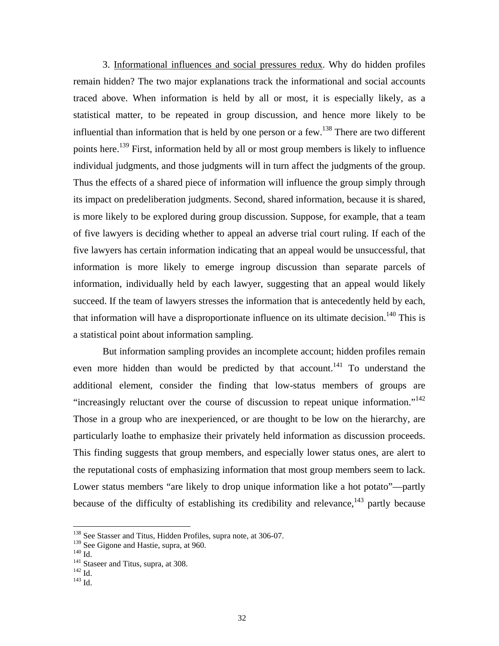3. Informational influences and social pressures redux. Why do hidden profiles remain hidden? The two major explanations track the informational and social accounts traced above. When information is held by all or most, it is especially likely, as a statistical matter, to be repeated in group discussion, and hence more likely to be influential than information that is held by one person or a few.<sup>138</sup> There are two different points here.<sup>139</sup> First, information held by all or most group members is likely to influence individual judgments, and those judgments will in turn affect the judgments of the group. Thus the effects of a shared piece of information will influence the group simply through its impact on predeliberation judgments. Second, shared information, because it is shared, is more likely to be explored during group discussion. Suppose, for example, that a team of five lawyers is deciding whether to appeal an adverse trial court ruling. If each of the five lawyers has certain information indicating that an appeal would be unsuccessful, that information is more likely to emerge ingroup discussion than separate parcels of information, individually held by each lawyer, suggesting that an appeal would likely succeed. If the team of lawyers stresses the information that is antecedently held by each, that information will have a disproportionate influence on its ultimate decision.<sup>140</sup> This is a statistical point about information sampling.

But information sampling provides an incomplete account; hidden profiles remain even more hidden than would be predicted by that account.<sup>141</sup> To understand the additional element, consider the finding that low-status members of groups are "increasingly reluctant over the course of discussion to repeat unique information."<sup>142</sup> Those in a group who are inexperienced, or are thought to be low on the hierarchy, are particularly loathe to emphasize their privately held information as discussion proceeds. This finding suggests that group members, and especially lower status ones, are alert to the reputational costs of emphasizing information that most group members seem to lack. Lower status members "are likely to drop unique information like a hot potato"—partly because of the difficulty of establishing its credibility and relevance, $143$  partly because

<span id="page-33-0"></span><sup>&</sup>lt;sup>138</sup> See Stasser and Titus, Hidden Profiles, supra note, at 306-07.

<span id="page-33-1"></span><sup>&</sup>lt;sup>139</sup> See Gigone and Hastie, supra, at 960.<br><sup>140</sup> Id. <sup>141</sup> Staseer and Titus, supra, at 308.<br><sup>142</sup> Id. <sup>143</sup> Id.

<span id="page-33-2"></span>

<span id="page-33-3"></span>

<span id="page-33-4"></span>

<span id="page-33-5"></span>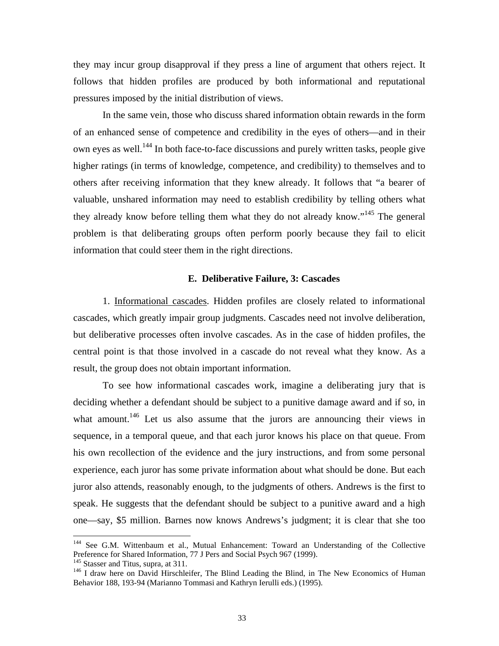they may incur group disapproval if they press a line of argument that others reject. It follows that hidden profiles are produced by both informational and reputational pressures imposed by the initial distribution of views.

In the same vein, those who discuss shared information obtain rewards in the form of an enhanced sense of competence and credibility in the eyes of others—and in their own eyes as well.<sup>144</sup> In both face-to-face discussions and purely written tasks, people give higher ratings (in terms of knowledge, competence, and credibility) to themselves and to others after receiving information that they knew already. It follows that "a bearer of valuable, unshared information may need to establish credibility by telling others what they already know before telling them what they do not already know."[145](#page-34-1) The general problem is that deliberating groups often perform poorly because they fail to elicit information that could steer them in the right directions.

#### **E. Deliberative Failure, 3: Cascades**

1. Informational cascades. Hidden profiles are closely related to informational cascades, which greatly impair group judgments. Cascades need not involve deliberation, but deliberative processes often involve cascades. As in the case of hidden profiles, the central point is that those involved in a cascade do not reveal what they know. As a result, the group does not obtain important information.

To see how informational cascades work, imagine a deliberating jury that is deciding whether a defendant should be subject to a punitive damage award and if so, in what amount.<sup>146</sup> Let us also assume that the jurors are announcing their views in sequence, in a temporal queue, and that each juror knows his place on that queue. From his own recollection of the evidence and the jury instructions, and from some personal experience, each juror has some private information about what should be done. But each juror also attends, reasonably enough, to the judgments of others. Andrews is the first to speak. He suggests that the defendant should be subject to a punitive award and a high one—say, \$5 million. Barnes now knows Andrews's judgment; it is clear that she too

<span id="page-34-0"></span><sup>&</sup>lt;sup>144</sup> See G.M. Wittenbaum et al., Mutual Enhancement: Toward an Understanding of the Collective Preference for Shared Information, 77 J Pers and Social Psych 967 (1999).<br><sup>145</sup> Stasser and Titus, supra, at 311.<br><sup>146</sup> I draw here on David Hirschleifer, The Blind Leading the Blind, in The New Economics of Human

<span id="page-34-2"></span><span id="page-34-1"></span>Behavior 188, 193-94 (Marianno Tommasi and Kathryn Ierulli eds.) (1995).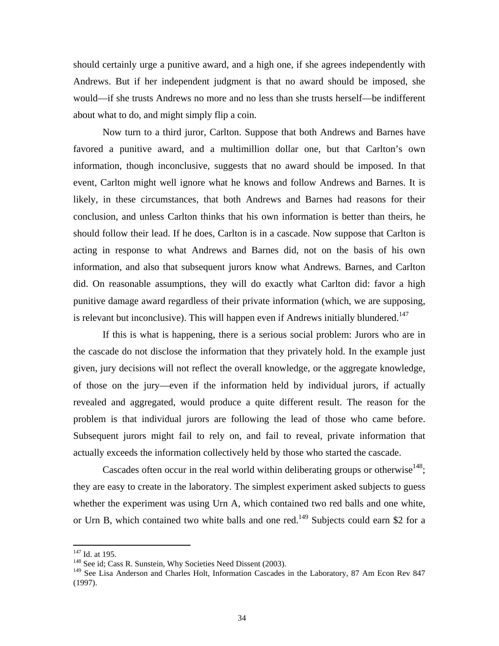should certainly urge a punitive award, and a high one, if she agrees independently with Andrews. But if her independent judgment is that no award should be imposed, she would—if she trusts Andrews no more and no less than she trusts herself—be indifferent about what to do, and might simply flip a coin.

Now turn to a third juror, Carlton. Suppose that both Andrews and Barnes have favored a punitive award, and a multimillion dollar one, but that Carlton's own information, though inconclusive, suggests that no award should be imposed. In that event, Carlton might well ignore what he knows and follow Andrews and Barnes. It is likely, in these circumstances, that both Andrews and Barnes had reasons for their conclusion, and unless Carlton thinks that his own information is better than theirs, he should follow their lead. If he does, Carlton is in a cascade. Now suppose that Carlton is acting in response to what Andrews and Barnes did, not on the basis of his own information, and also that subsequent jurors know what Andrews. Barnes, and Carlton did. On reasonable assumptions, they will do exactly what Carlton did: favor a high punitive damage award regardless of their private information (which, we are supposing, is relevant but inconclusive). This will happen even if Andrews initially blundered.<sup>147</sup>

If this is what is happening, there is a serious social problem: Jurors who are in the cascade do not disclose the information that they privately hold. In the example just given, jury decisions will not reflect the overall knowledge, or the aggregate knowledge, of those on the jury—even if the information held by individual jurors, if actually revealed and aggregated, would produce a quite different result. The reason for the problem is that individual jurors are following the lead of those who came before. Subsequent jurors might fail to rely on, and fail to reveal, private information that actually exceeds the information collectively held by those who started the cascade.

Cascades often occur in the real world within deliberating groups or otherwise<sup>148</sup>; they are easy to create in the laboratory. The simplest experiment asked subjects to guess whether the experiment was using Urn A, which contained two red balls and one white, or Urn B, which contained two white balls and one red.<sup>149</sup> Subjects could earn \$2 for a

<span id="page-35-0"></span><sup>&</sup>lt;sup>147</sup> Id. at 195.

<span id="page-35-1"></span><sup>&</sup>lt;sup>148</sup> See id; Cass R. Sunstein, Why Societies Need Dissent (2003).

<span id="page-35-2"></span><sup>&</sup>lt;sup>149</sup> See Lisa Anderson and Charles Holt, Information Cascades in the Laboratory, 87 Am Econ Rev 847 (1997).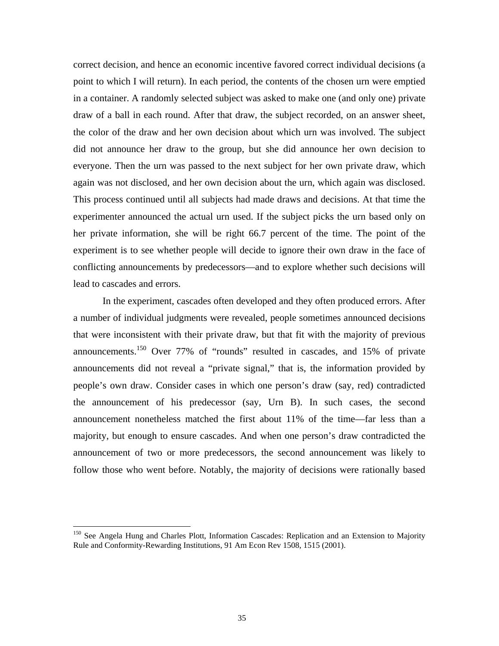correct decision, and hence an economic incentive favored correct individual decisions (a point to which I will return). In each period, the contents of the chosen urn were emptied in a container. A randomly selected subject was asked to make one (and only one) private draw of a ball in each round. After that draw, the subject recorded, on an answer sheet, the color of the draw and her own decision about which urn was involved. The subject did not announce her draw to the group, but she did announce her own decision to everyone. Then the urn was passed to the next subject for her own private draw, which again was not disclosed, and her own decision about the urn, which again was disclosed. This process continued until all subjects had made draws and decisions. At that time the experimenter announced the actual urn used. If the subject picks the urn based only on her private information, she will be right 66.7 percent of the time. The point of the experiment is to see whether people will decide to ignore their own draw in the face of conflicting announcements by predecessors—and to explore whether such decisions will lead to cascades and errors.

In the experiment, cascades often developed and they often produced errors. After a number of individual judgments were revealed, people sometimes announced decisions that were inconsistent with their private draw, but that fit with the majority of previous announcements.[150](#page-36-0) Over 77% of "rounds" resulted in cascades, and 15% of private announcements did not reveal a "private signal," that is, the information provided by people's own draw. Consider cases in which one person's draw (say, red) contradicted the announcement of his predecessor (say, Urn B). In such cases, the second announcement nonetheless matched the first about 11% of the time—far less than a majority, but enough to ensure cascades. And when one person's draw contradicted the announcement of two or more predecessors, the second announcement was likely to follow those who went before. Notably, the majority of decisions were rationally based

<span id="page-36-0"></span><sup>&</sup>lt;sup>150</sup> See Angela Hung and Charles Plott, Information Cascades: Replication and an Extension to Majority Rule and Conformity-Rewarding Institutions, 91 Am Econ Rev 1508, 1515 (2001).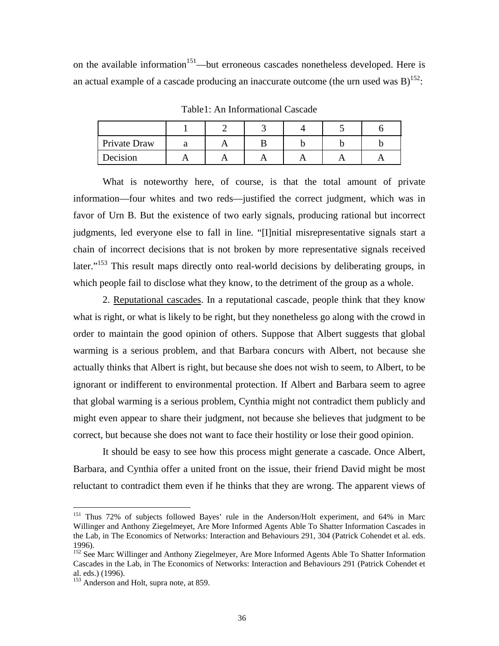on the available information<sup>151</sup>—but erroneous cascades nonetheless developed. Here is an actual example of a cascade producing an inaccurate outcome (the urn used was  $B$ )<sup>152</sup>:

| Private Draw |  |  |  |
|--------------|--|--|--|
| Decision     |  |  |  |

Table1: An Informational Cascade

What is noteworthy here, of course, is that the total amount of private information—four whites and two reds—justified the correct judgment, which was in favor of Urn B. But the existence of two early signals, producing rational but incorrect judgments, led everyone else to fall in line. "[I]nitial misrepresentative signals start a chain of incorrect decisions that is not broken by more representative signals received later."<sup>153</sup> This result maps directly onto real-world decisions by deliberating groups, in which people fail to disclose what they know, to the detriment of the group as a whole.

2. Reputational cascades. In a reputational cascade, people think that they know what is right, or what is likely to be right, but they nonetheless go along with the crowd in order to maintain the good opinion of others. Suppose that Albert suggests that global warming is a serious problem, and that Barbara concurs with Albert, not because she actually thinks that Albert is right, but because she does not wish to seem, to Albert, to be ignorant or indifferent to environmental protection. If Albert and Barbara seem to agree that global warming is a serious problem, Cynthia might not contradict them publicly and might even appear to share their judgment, not because she believes that judgment to be correct, but because she does not want to face their hostility or lose their good opinion.

It should be easy to see how this process might generate a cascade. Once Albert, Barbara, and Cynthia offer a united front on the issue, their friend David might be most reluctant to contradict them even if he thinks that they are wrong. The apparent views of

<span id="page-37-0"></span><sup>&</sup>lt;sup>151</sup> Thus 72% of subjects followed Bayes' rule in the Anderson/Holt experiment, and 64% in Marc Willinger and Anthony Ziegelmeyet, Are More Informed Agents Able To Shatter Information Cascades in the Lab, in The Economics of Networks: Interaction and Behaviours 291, 304 (Patrick Cohendet et al. eds. 1996).

<span id="page-37-1"></span><sup>&</sup>lt;sup>152</sup> See Marc Willinger and Anthony Ziegelmeyer, Are More Informed Agents Able To Shatter Information Cascades in the Lab, in The Economics of Networks: Interaction and Behaviours 291 (Patrick Cohendet et

<span id="page-37-2"></span> $153$  Anderson and Holt, supra note, at 859.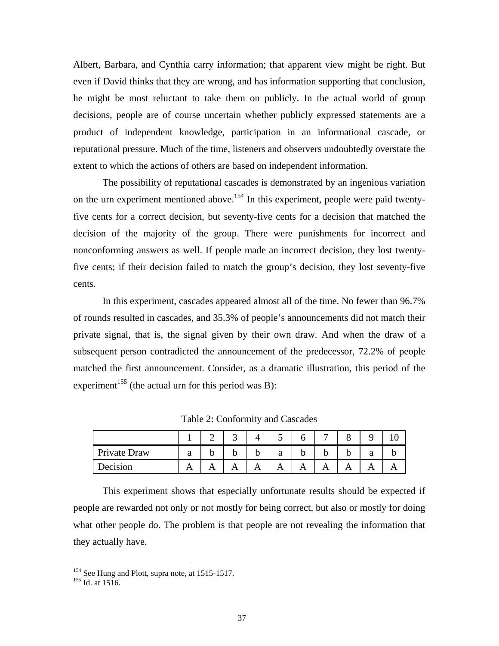Albert, Barbara, and Cynthia carry information; that apparent view might be right. But even if David thinks that they are wrong, and has information supporting that conclusion, he might be most reluctant to take them on publicly. In the actual world of group decisions, people are of course uncertain whether publicly expressed statements are a product of independent knowledge, participation in an informational cascade, or reputational pressure. Much of the time, listeners and observers undoubtedly overstate the extent to which the actions of others are based on independent information.

The possibility of reputational cascades is demonstrated by an ingenious variation on the urn experiment mentioned above.<sup>154</sup> In this experiment, people were paid twentyfive cents for a correct decision, but seventy-five cents for a decision that matched the decision of the majority of the group. There were punishments for incorrect and nonconforming answers as well. If people made an incorrect decision, they lost twentyfive cents; if their decision failed to match the group's decision, they lost seventy-five cents.

In this experiment, cascades appeared almost all of the time. No fewer than 96.7% of rounds resulted in cascades, and 35.3% of people's announcements did not match their private signal, that is, the signal given by their own draw. And when the draw of a subsequent person contradicted the announcement of the predecessor, 72.2% of people matched the first announcement. Consider, as a dramatic illustration, this period of the experiment<sup>155</sup> (the actual urn for this period was B):

| Private Draw | a |              |   | n | a |   |   | a |  |
|--------------|---|--------------|---|---|---|---|---|---|--|
| Decision     | A | $\mathbf{I}$ | A | A | A | A | A |   |  |

Table 2: Conformity and Cascades

This experiment shows that especially unfortunate results should be expected if people are rewarded not only or not mostly for being correct, but also or mostly for doing what other people do. The problem is that people are not revealing the information that they actually have.

 $\overline{a}$ 

<span id="page-38-0"></span><sup>&</sup>lt;sup>154</sup> See Hung and Plott, supra note, at 1515-1517.<br><sup>155</sup> Id. at 1516.

<span id="page-38-1"></span>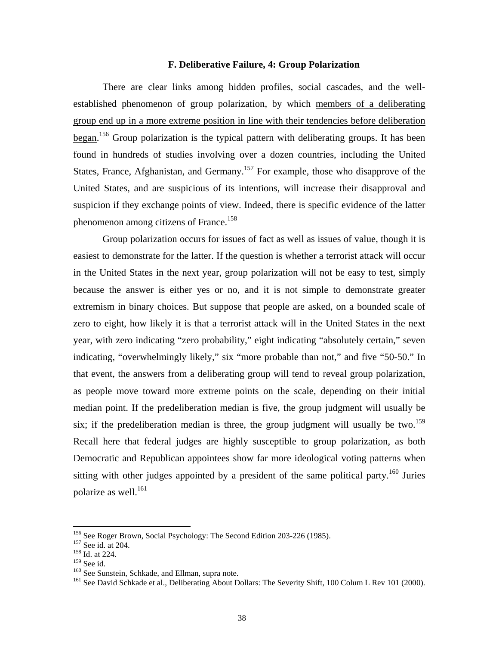### **F. Deliberative Failure, 4: Group Polarization**

There are clear links among hidden profiles, social cascades, and the wellestablished phenomenon of group polarization, by which members of a deliberating group end up in a more extreme position in line with their tendencies before deliberation began.<sup>156</sup> Group polarization is the typical pattern with deliberating groups. It has been found in hundreds of studies involving over a dozen countries, including the United States, France, Afghanistan, and Germany.<sup>157</sup> For example, those who disapprove of the United States, and are suspicious of its intentions, will increase their disapproval and suspicion if they exchange points of view. Indeed, there is specific evidence of the latter phenomenon among citizens of France.<sup>158</sup>

Group polarization occurs for issues of fact as well as issues of value, though it is easiest to demonstrate for the latter. If the question is whether a terrorist attack will occur in the United States in the next year, group polarization will not be easy to test, simply because the answer is either yes or no, and it is not simple to demonstrate greater extremism in binary choices. But suppose that people are asked, on a bounded scale of zero to eight, how likely it is that a terrorist attack will in the United States in the next year, with zero indicating "zero probability," eight indicating "absolutely certain," seven indicating, "overwhelmingly likely," six "more probable than not," and five "50-50." In that event, the answers from a deliberating group will tend to reveal group polarization, as people move toward more extreme points on the scale, depending on their initial median point. If the predeliberation median is five, the group judgment will usually be six; if the predeliberation median is three, the group judgment will usually be two.<sup>159</sup> Recall here that federal judges are highly susceptible to group polarization, as both Democratic and Republican appointees show far more ideological voting patterns when sitting with other judges appointed by a president of the same political party.<sup>160</sup> Juries polarize as well.<sup>161</sup>

 $\overline{a}$ 

<span id="page-39-0"></span><sup>&</sup>lt;sup>156</sup> See Roger Brown, Social Psychology: The Second Edition 203-226 (1985). <sup>157</sup> See id. at 204.<br><sup>158</sup> Id. at 224.

<span id="page-39-1"></span>

<span id="page-39-2"></span>

<span id="page-39-3"></span>

<span id="page-39-5"></span><span id="page-39-4"></span>

<sup>159</sup> Sec id. at 204.<br>
<sup>159</sup> See id.<br>
<sup>159</sup> See id.<br>
<sup>160</sup> See Sunstein, Schkade, and Ellman, supra note.<br>
<sup>161</sup> See David Schkade et al., Deliberating About Dollars: The Severity Shift, 100 Colum L Rev 101 (2000).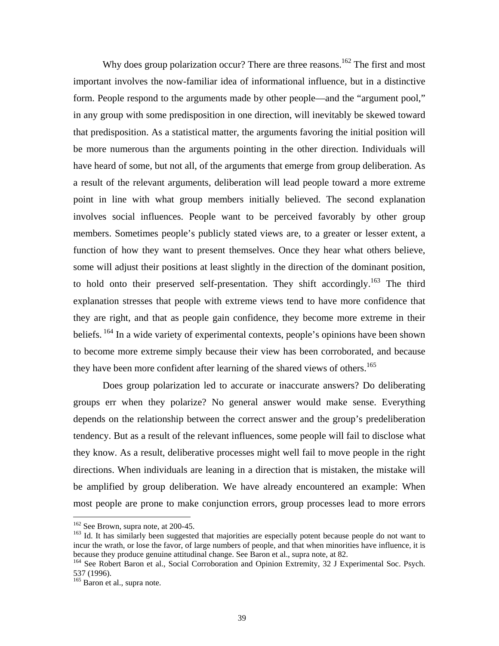Why does group polarization occur? There are three reasons.<sup>162</sup> The first and most important involves the now-familiar idea of informational influence, but in a distinctive form. People respond to the arguments made by other people—and the "argument pool," in any group with some predisposition in one direction, will inevitably be skewed toward that predisposition. As a statistical matter, the arguments favoring the initial position will be more numerous than the arguments pointing in the other direction. Individuals will have heard of some, but not all, of the arguments that emerge from group deliberation. As a result of the relevant arguments, deliberation will lead people toward a more extreme point in line with what group members initially believed. The second explanation involves social influences. People want to be perceived favorably by other group members. Sometimes people's publicly stated views are, to a greater or lesser extent, a function of how they want to present themselves. Once they hear what others believe, some will adjust their positions at least slightly in the direction of the dominant position, to hold onto their preserved self-presentation. They shift accordingly.<sup>163</sup> The third explanation stresses that people with extreme views tend to have more confidence that they are right, and that as people gain confidence, they become more extreme in their beliefs. <sup>164</sup> In a wide variety of experimental contexts, people's opinions have been shown to become more extreme simply because their view has been corroborated, and because they have been more confident after learning of the shared views of others.<sup>[165](#page-40-3)</sup>

Does group polarization led to accurate or inaccurate answers? Do deliberating groups err when they polarize? No general answer would make sense. Everything depends on the relationship between the correct answer and the group's predeliberation tendency. But as a result of the relevant influences, some people will fail to disclose what they know. As a result, deliberative processes might well fail to move people in the right directions. When individuals are leaning in a direction that is mistaken, the mistake will be amplified by group deliberation. We have already encountered an example: When most people are prone to make conjunction errors, group processes lead to more errors

<span id="page-40-0"></span> $162$  See Brown, supra note, at 200-45.

<span id="page-40-1"></span><sup>&</sup>lt;sup>163</sup> Id. It has similarly been suggested that majorities are especially potent because people do not want to incur the wrath, or lose the favor, of large numbers of people, and that when minorities have influence, it is because they produce genuine attitudinal change. See Baron et al., supra note, at 82.<br><sup>164</sup> See Robert Baron et al., Social Corroboration and Opinion Extremity, 32 J Experimental Soc. Psych.

<span id="page-40-2"></span><sup>537 (1996).</sup> 

<span id="page-40-3"></span><sup>&</sup>lt;sup>165</sup> Baron et al., supra note.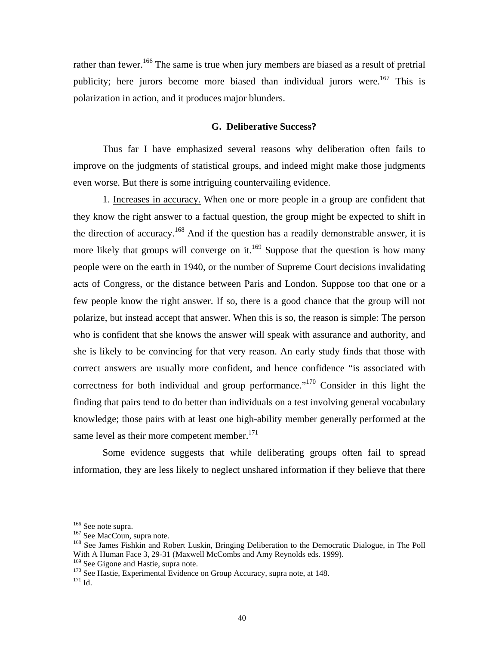rather than fewer.<sup>166</sup> The same is true when jury members are biased as a result of pretrial publicity; here jurors become more biased than individual jurors were.<sup>167</sup> This is polarization in action, and it produces major blunders.

## **G. Deliberative Success?**

Thus far I have emphasized several reasons why deliberation often fails to improve on the judgments of statistical groups, and indeed might make those judgments even worse. But there is some intriguing countervailing evidence.

1. Increases in accuracy. When one or more people in a group are confident that they know the right answer to a factual question, the group might be expected to shift in the direction of accuracy.<sup>168</sup> And if the question has a readily demonstrable answer, it is more likely that groups will converge on it.<sup>169</sup> Suppose that the question is how many people were on the earth in 1940, or the number of Supreme Court decisions invalidating acts of Congress, or the distance between Paris and London. Suppose too that one or a few people know the right answer. If so, there is a good chance that the group will not polarize, but instead accept that answer. When this is so, the reason is simple: The person who is confident that she knows the answer will speak with assurance and authority, and she is likely to be convincing for that very reason. An early study finds that those with correct answers are usually more confident, and hence confidence "is associated with correctness for both individual and group performance."<sup>170</sup> Consider in this light the finding that pairs tend to do better than individuals on a test involving general vocabulary knowledge; those pairs with at least one high-ability member generally performed at the same level as their more competent member. $171$ 

Some evidence suggests that while deliberating groups often fail to spread information, they are less likely to neglect unshared information if they believe that there

<span id="page-41-0"></span><sup>&</sup>lt;sup>166</sup> See note supra.

<span id="page-41-2"></span><span id="page-41-1"></span>

<sup>&</sup>lt;sup>167</sup> See MacCoun, supra note.<br><sup>168</sup> See James Fishkin and Robert Luskin, Bringing Deliberation to the Democratic Dialogue, in The Poll With A Human Face 3, 29-31 (Maxwell McCombs and Amy Reynolds eds. 1999).<br><sup>169</sup> See Gigone and Hastie, supra note.

<span id="page-41-3"></span>

<span id="page-41-4"></span><sup>&</sup>lt;sup>170</sup> See Hastie, Experimental Evidence on Group Accuracy, supra note, at 148.  $171$  Id.

<span id="page-41-5"></span>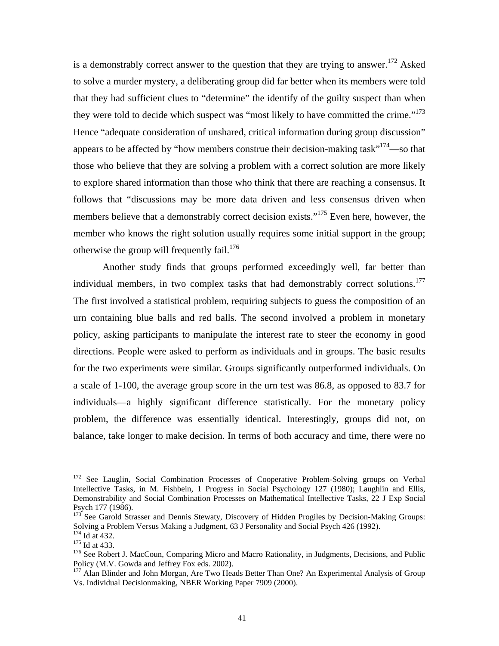is a demonstrably correct answer to the question that they are trying to answer.<sup>172</sup> Asked to solve a murder mystery, a deliberating group did far better when its members were told that they had sufficient clues to "determine" the identify of the guilty suspect than when they were told to decide which suspect was "most likely to have committed the crime."<sup>173</sup> Hence "adequate consideration of unshared, critical information during group discussion" appears to be affected by "how members construe their decision-making task"<sup>174</sup>—so that those who believe that they are solving a problem with a correct solution are more likely to explore shared information than those who think that there are reaching a consensus. It follows that "discussions may be more data driven and less consensus driven when members believe that a demonstrably correct decision exists."<sup>175</sup> Even here, however, the member who knows the right solution usually requires some initial support in the group; otherwise the group will frequently fail.<sup>176</sup>

Another study finds that groups performed exceedingly well, far better than individual members, in two complex tasks that had demonstrably correct solutions.<sup>177</sup> The first involved a statistical problem, requiring subjects to guess the composition of an urn containing blue balls and red balls. The second involved a problem in monetary policy, asking participants to manipulate the interest rate to steer the economy in good directions. People were asked to perform as individuals and in groups. The basic results for the two experiments were similar. Groups significantly outperformed individuals. On a scale of 1-100, the average group score in the urn test was 86.8, as opposed to 83.7 for individuals—a highly significant difference statistically. For the monetary policy problem, the difference was essentially identical. Interestingly, groups did not, on balance, take longer to make decision. In terms of both accuracy and time, there were no

<span id="page-42-0"></span><sup>&</sup>lt;sup>172</sup> See Lauglin, Social Combination Processes of Cooperative Problem-Solving groups on Verbal Intellective Tasks, in M. Fishbein, 1 Progress in Social Psychology 127 (1980); Laughlin and Ellis, Demonstrability and Social Combination Processes on Mathematical Intellective Tasks, 22 J Exp Social

<span id="page-42-1"></span>Psych 177 (1986).<br><sup>173</sup> See Garold Strasser and Dennis Stewaty, Discovery of Hidden Progiles by Decision-Making Groups:<br>Solving a Problem Versus Making a Judgment, 63 J Personality and Social Psych 426 (1992).

<span id="page-42-4"></span><span id="page-42-3"></span>

<span id="page-42-2"></span><sup>&</sup>lt;sup>174</sup> Id at 432.<br><sup>175</sup> Id at 433.<br><sup>176</sup> See Robert J. MacCoun, Comparing Micro and Macro Rationality, in Judgments, Decisions, and Public<br>Policy (M.V. Gowda and Jeffrey Fox eds. 2002).

<span id="page-42-5"></span><sup>&</sup>lt;sup>177</sup> Alan Blinder and John Morgan, Are Two Heads Better Than One? An Experimental Analysis of Group Vs. Individual Decisionmaking, NBER Working Paper 7909 (2000).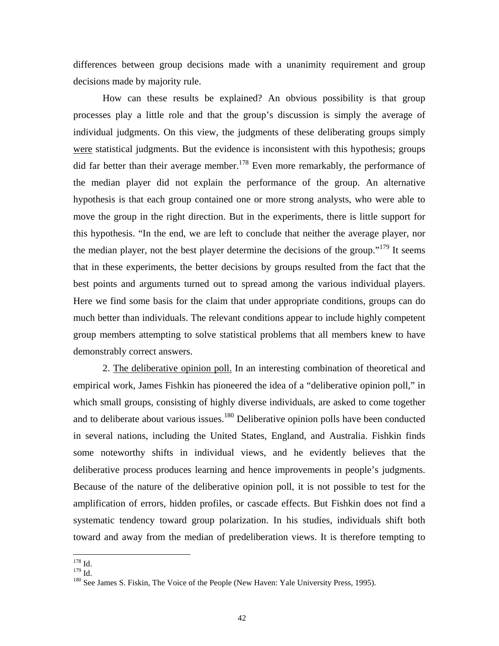differences between group decisions made with a unanimity requirement and group decisions made by majority rule.

How can these results be explained? An obvious possibility is that group processes play a little role and that the group's discussion is simply the average of individual judgments. On this view, the judgments of these deliberating groups simply were statistical judgments. But the evidence is inconsistent with this hypothesis; groups did far better than their average member.<sup>178</sup> Even more remarkably, the performance of the median player did not explain the performance of the group. An alternative hypothesis is that each group contained one or more strong analysts, who were able to move the group in the right direction. But in the experiments, there is little support for this hypothesis. "In the end, we are left to conclude that neither the average player, nor the median player, not the best player determine the decisions of the group."<sup>179</sup> It seems that in these experiments, the better decisions by groups resulted from the fact that the best points and arguments turned out to spread among the various individual players. Here we find some basis for the claim that under appropriate conditions, groups can do much better than individuals. The relevant conditions appear to include highly competent group members attempting to solve statistical problems that all members knew to have demonstrably correct answers.

2. The deliberative opinion poll. In an interesting combination of theoretical and empirical work, James Fishkin has pioneered the idea of a "deliberative opinion poll," in which small groups, consisting of highly diverse individuals, are asked to come together and to deliberate about various issues.<sup>180</sup> Deliberative opinion polls have been conducted in several nations, including the United States, England, and Australia. Fishkin finds some noteworthy shifts in individual views, and he evidently believes that the deliberative process produces learning and hence improvements in people's judgments. Because of the nature of the deliberative opinion poll, it is not possible to test for the amplification of errors, hidden profiles, or cascade effects. But Fishkin does not find a systematic tendency toward group polarization. In his studies, individuals shift both toward and away from the median of predeliberation views. It is therefore tempting to

<span id="page-43-0"></span> $^{178}$  Id.

<span id="page-43-2"></span><span id="page-43-1"></span>

 $179$  Id.<br><sup>179</sup> Id. 180 See James S. Fiskin, The Voice of the People (New Haven: Yale University Press, 1995).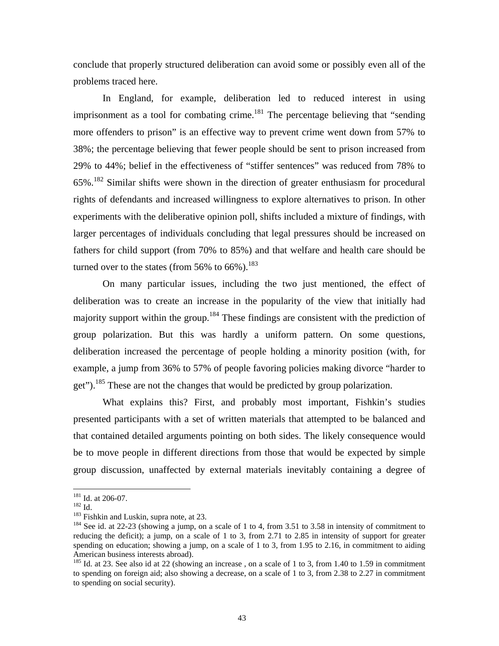conclude that properly structured deliberation can avoid some or possibly even all of the problems traced here.

In England, for example, deliberation led to reduced interest in using imprisonment as a tool for combating crime.<sup>181</sup> The percentage believing that "sending more offenders to prison" is an effective way to prevent crime went down from 57% to 38%; the percentage believing that fewer people should be sent to prison increased from 29% to 44%; belief in the effectiveness of "stiffer sentences" was reduced from 78% to  $65\%$ <sup>182</sup> Similar shifts were shown in the direction of greater enthusiasm for procedural rights of defendants and increased willingness to explore alternatives to prison. In other experiments with the deliberative opinion poll, shifts included a mixture of findings, with larger percentages of individuals concluding that legal pressures should be increased on fathers for child support (from 70% to 85%) and that welfare and health care should be turned over to the states (from 56% to 66%).<sup>183</sup>

On many particular issues, including the two just mentioned, the effect of deliberation was to create an increase in the popularity of the view that initially had majority support within the group.<sup>184</sup> These findings are consistent with the prediction of group polarization. But this was hardly a uniform pattern. On some questions, deliberation increased the percentage of people holding a minority position (with, for example, a jump from 36% to 57% of people favoring policies making divorce "harder to get")[.185 T](#page-44-4)hese are not the changes that would be predicted by group polarization.

What explains this? First, and probably most important, Fishkin's studies presented participants with a set of written materials that attempted to be balanced and that contained detailed arguments pointing on both sides. The likely consequence would be to move people in different directions from those that would be expected by simple group discussion, unaffected by external materials inevitably containing a degree of

<span id="page-44-0"></span><sup>&</sup>lt;sup>181</sup> Id. at 206-07.

<span id="page-44-1"></span>

<span id="page-44-3"></span><span id="page-44-2"></span>

<sup>&</sup>lt;sup>182</sup> Id. at 200<sup>-07.</sup><br><sup>183</sup> Fishkin and Luskin, supra note, at 23.<br><sup>184</sup> See id. at 22-23 (showing a jump, on a scale of 1 to 4, from 3.51 to 3.58 in intensity of commitment to reducing the deficit); a jump, on a scale of 1 to 3, from 2.71 to 2.85 in intensity of support for greater spending on education; showing a jump, on a scale of 1 to 3, from 1.95 to 2.16, in commitment to aiding American business interests abroad).<br><sup>185</sup> Id. at 23. See also id at 22 (showing an increase, on a scale of 1 to 3, from 1.40 to 1.59 in commitment

<span id="page-44-4"></span>to spending on foreign aid; also showing a decrease, on a scale of 1 to 3, from 2.38 to 2.27 in commitment to spending on social security).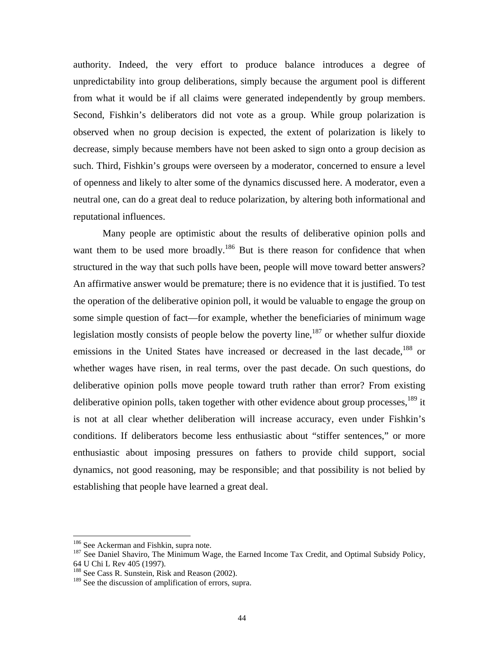authority. Indeed, the very effort to produce balance introduces a degree of unpredictability into group deliberations, simply because the argument pool is different from what it would be if all claims were generated independently by group members. Second, Fishkin's deliberators did not vote as a group. While group polarization is observed when no group decision is expected, the extent of polarization is likely to decrease, simply because members have not been asked to sign onto a group decision as such. Third, Fishkin's groups were overseen by a moderator, concerned to ensure a level of openness and likely to alter some of the dynamics discussed here. A moderator, even a neutral one, can do a great deal to reduce polarization, by altering both informational and reputational influences.

Many people are optimistic about the results of deliberative opinion polls and want them to be used more broadly.<sup>186</sup> But is there reason for confidence that when structured in the way that such polls have been, people will move toward better answers? An affirmative answer would be premature; there is no evidence that it is justified. To test the operation of the deliberative opinion poll, it would be valuable to engage the group on some simple question of fact—for example, whether the beneficiaries of minimum wage legislation mostly consists of people below the poverty line,  $187$  or whether sulfur dioxide emissions in the United States have increased or decreased in the last decade,  $188$  or whether wages have risen, in real terms, over the past decade. On such questions, do deliberative opinion polls move people toward truth rather than error? From existing deliberative opinion polls, taken together with other evidence about group processes,  $^{189}$  it is not at all clear whether deliberation will increase accuracy, even under Fishkin's conditions. If deliberators become less enthusiastic about "stiffer sentences," or more enthusiastic about imposing pressures on fathers to provide child support, social dynamics, not good reasoning, may be responsible; and that possibility is not belied by establishing that people have learned a great deal.

<span id="page-45-0"></span><sup>&</sup>lt;sup>186</sup> See Ackerman and Fishkin, supra note.

<span id="page-45-1"></span><sup>&</sup>lt;sup>187</sup> See Daniel Shaviro, The Minimum Wage, the Earned Income Tax Credit, and Optimal Subsidy Policy, 64 U Chi L Rev 405 (1997).

<span id="page-45-2"></span> $188$  See Cass R. Sunstein, Risk and Reason (2002).

<span id="page-45-3"></span><sup>&</sup>lt;sup>189</sup> See the discussion of amplification of errors, supra.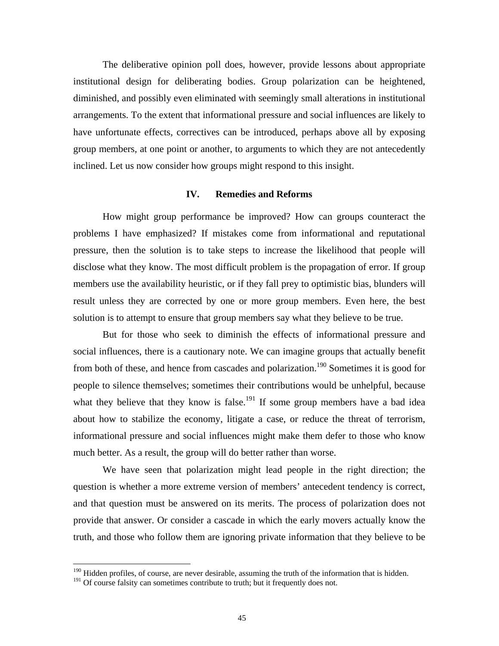The deliberative opinion poll does, however, provide lessons about appropriate institutional design for deliberating bodies. Group polarization can be heightened, diminished, and possibly even eliminated with seemingly small alterations in institutional arrangements. To the extent that informational pressure and social influences are likely to have unfortunate effects, correctives can be introduced, perhaps above all by exposing group members, at one point or another, to arguments to which they are not antecedently inclined. Let us now consider how groups might respond to this insight.

## **IV. Remedies and Reforms**

How might group performance be improved? How can groups counteract the problems I have emphasized? If mistakes come from informational and reputational pressure, then the solution is to take steps to increase the likelihood that people will disclose what they know. The most difficult problem is the propagation of error. If group members use the availability heuristic, or if they fall prey to optimistic bias, blunders will result unless they are corrected by one or more group members. Even here, the best solution is to attempt to ensure that group members say what they believe to be true.

But for those who seek to diminish the effects of informational pressure and social influences, there is a cautionary note. We can imagine groups that actually benefit from both of these, and hence from cascades and polarization.<sup>190</sup> Sometimes it is good for people to silence themselves; sometimes their contributions would be unhelpful, because what they believe that they know is false.<sup>191</sup> If some group members have a bad idea about how to stabilize the economy, litigate a case, or reduce the threat of terrorism, informational pressure and social influences might make them defer to those who know much better. As a result, the group will do better rather than worse.

We have seen that polarization might lead people in the right direction; the question is whether a more extreme version of members' antecedent tendency is correct, and that question must be answered on its merits. The process of polarization does not provide that answer. Or consider a cascade in which the early movers actually know the truth, and those who follow them are ignoring private information that they believe to be

<span id="page-46-0"></span><sup>&</sup>lt;sup>190</sup> Hidden profiles, of course, are never desirable, assuming the truth of the information that is hidden.

<span id="page-46-1"></span><sup>&</sup>lt;sup>191</sup> Of course falsity can sometimes contribute to truth; but it frequently does not.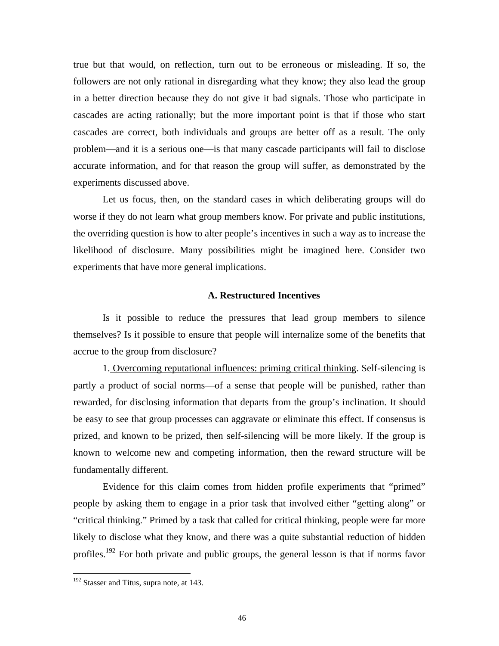true but that would, on reflection, turn out to be erroneous or misleading. If so, the followers are not only rational in disregarding what they know; they also lead the group in a better direction because they do not give it bad signals. Those who participate in cascades are acting rationally; but the more important point is that if those who start cascades are correct, both individuals and groups are better off as a result. The only problem—and it is a serious one—is that many cascade participants will fail to disclose accurate information, and for that reason the group will suffer, as demonstrated by the experiments discussed above.

Let us focus, then, on the standard cases in which deliberating groups will do worse if they do not learn what group members know. For private and public institutions, the overriding question is how to alter people's incentives in such a way as to increase the likelihood of disclosure. Many possibilities might be imagined here. Consider two experiments that have more general implications.

### **A. Restructured Incentives**

Is it possible to reduce the pressures that lead group members to silence themselves? Is it possible to ensure that people will internalize some of the benefits that accrue to the group from disclosure?

1. Overcoming reputational influences: priming critical thinking. Self-silencing is partly a product of social norms—of a sense that people will be punished, rather than rewarded, for disclosing information that departs from the group's inclination. It should be easy to see that group processes can aggravate or eliminate this effect. If consensus is prized, and known to be prized, then self-silencing will be more likely. If the group is known to welcome new and competing information, then the reward structure will be fundamentally different.

Evidence for this claim comes from hidden profile experiments that "primed" people by asking them to engage in a prior task that involved either "getting along" or "critical thinking." Primed by a task that called for critical thinking, people were far more likely to disclose what they know, and there was a quite substantial reduction of hidden profiles.<sup>192</sup> For both private and public groups, the general lesson is that if norms favor

<span id="page-47-0"></span> $192$  Stasser and Titus, supra note, at 143.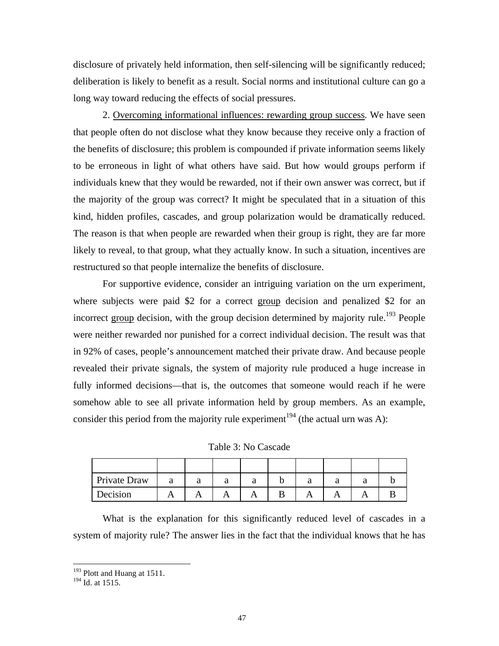disclosure of privately held information, then self-silencing will be significantly reduced; deliberation is likely to benefit as a result. Social norms and institutional culture can go a long way toward reducing the effects of social pressures.

2. Overcoming informational influences: rewarding group success. We have seen that people often do not disclose what they know because they receive only a fraction of the benefits of disclosure; this problem is compounded if private information seems likely to be erroneous in light of what others have said. But how would groups perform if individuals knew that they would be rewarded, not if their own answer was correct, but if the majority of the group was correct? It might be speculated that in a situation of this kind, hidden profiles, cascades, and group polarization would be dramatically reduced. The reason is that when people are rewarded when their group is right, they are far more likely to reveal, to that group, what they actually know. In such a situation, incentives are restructured so that people internalize the benefits of disclosure.

For supportive evidence, consider an intriguing variation on the urn experiment, where subjects were paid \$2 for a correct group decision and penalized \$2 for an incorrect group decision, with the group decision determined by majority rule.<sup>193</sup> People were neither rewarded nor punished for a correct individual decision. The result was that in 92% of cases, people's announcement matched their private draw. And because people revealed their private signals, the system of majority rule produced a huge increase in fully informed decisions—that is, the outcomes that someone would reach if he were somehow able to see all private information held by group members. As an example, consider this period from the majority rule experiment<sup>194</sup> (the actual urn was A):

| Private Draw | ാ | a | $\mathbf a$ |  | a |  |  |
|--------------|---|---|-------------|--|---|--|--|
| Decision     |   |   | A           |  | n |  |  |

Table 3: No Cascade

What is the explanation for this significantly reduced level of cascades in a system of majority rule? The answer lies in the fact that the individual knows that he has

 $\overline{a}$ 

<span id="page-48-0"></span><sup>&</sup>lt;sup>193</sup> Plott and Huang at 1511.

<span id="page-48-1"></span><sup>&</sup>lt;sup>194</sup> Id. at 1515.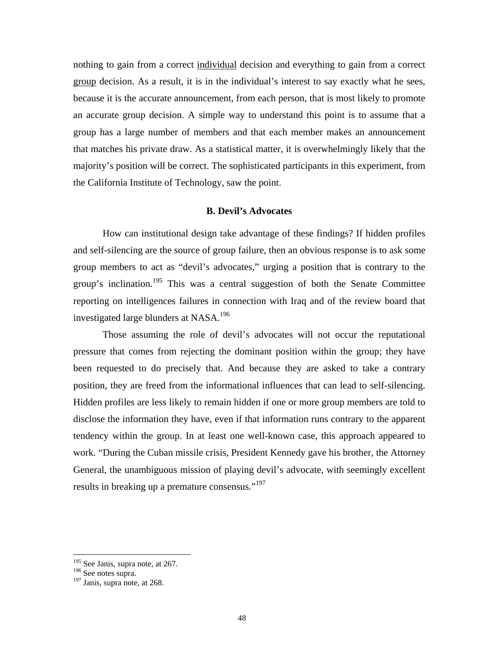nothing to gain from a correct individual decision and everything to gain from a correct group decision. As a result, it is in the individual's interest to say exactly what he sees, because it is the accurate announcement, from each person, that is most likely to promote an accurate group decision. A simple way to understand this point is to assume that a group has a large number of members and that each member makes an announcement that matches his private draw. As a statistical matter, it is overwhelmingly likely that the majority's position will be correct. The sophisticated participants in this experiment, from the California Institute of Technology, saw the point.

### **B. Devil's Advocates**

How can institutional design take advantage of these findings? If hidden profiles and self-silencing are the source of group failure, then an obvious response is to ask some group members to act as "devil's advocates," urging a position that is contrary to the group's inclination.<sup>195</sup> This was a central suggestion of both the Senate Committee reporting on intelligences failures in connection with Iraq and of the review board that investigated large blunders at NASA.<sup>196</sup>

Those assuming the role of devil's advocates will not occur the reputational pressure that comes from rejecting the dominant position within the group; they have been requested to do precisely that. And because they are asked to take a contrary position, they are freed from the informational influences that can lead to self-silencing. Hidden profiles are less likely to remain hidden if one or more group members are told to disclose the information they have, even if that information runs contrary to the apparent tendency within the group. In at least one well-known case, this approach appeared to work. "During the Cuban missile crisis, President Kennedy gave his brother, the Attorney General, the unambiguous mission of playing devil's advocate, with seemingly excellent results in breaking up a premature consensus."<sup>[197](#page-49-2)</sup>

<span id="page-49-0"></span><sup>&</sup>lt;sup>195</sup> See Janis, supra note, at 267.

<span id="page-49-1"></span><sup>&</sup>lt;sup>196</sup> See notes supra.

<span id="page-49-2"></span> $197$  Janis, supra note, at 268.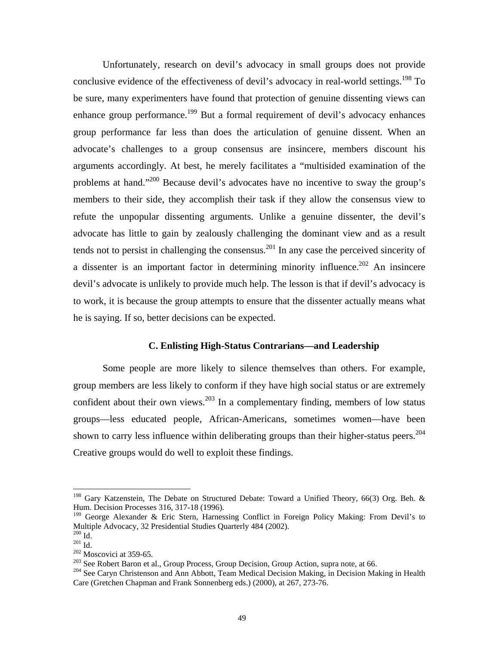Unfortunately, research on devil's advocacy in small groups does not provide conclusive evidence of the effectiveness of devil's advocacy in real-world settings.<sup>198</sup> To be sure, many experimenters have found that protection of genuine dissenting views can enhance group performance.<sup>199</sup> But a formal requirement of devil's advocacy enhances group performance far less than does the articulation of genuine dissent. When an advocate's challenges to a group consensus are insincere, members discount his arguments accordingly. At best, he merely facilitates a "multisided examination of the problems at hand."[200](#page-50-2) Because devil's advocates have no incentive to sway the group's members to their side, they accomplish their task if they allow the consensus view to refute the unpopular dissenting arguments. Unlike a genuine dissenter, the devil's advocate has little to gain by zealously challenging the dominant view and as a result tends not to persist in challenging the consensus.<sup>201</sup> In any case the perceived sincerity of a dissenter is an important factor in determining minority influence.<sup>202</sup> An insincere devil's advocate is unlikely to provide much help. The lesson is that if devil's advocacy is to work, it is because the group attempts to ensure that the dissenter actually means what he is saying. If so, better decisions can be expected.

## **C. Enlisting High-Status Contrarians—and Leadership**

Some people are more likely to silence themselves than others. For example, group members are less likely to conform if they have high social status or are extremely confident about their own views. $203$  In a complementary finding, members of low status groups—less educated people, African-Americans, sometimes women—have been shown to carry less influence within deliberating groups than their higher-status peers.<sup>204</sup> Creative groups would do well to exploit these findings.

<span id="page-50-0"></span><sup>&</sup>lt;sup>198</sup> Gary Katzenstein, The Debate on Structured Debate: Toward a Unified Theory, 66(3) Org. Beh. & Hum. Decision Processes 316, 317-18 (1996).

<span id="page-50-1"></span><sup>&</sup>lt;sup>199</sup> George Alexander & Eric Stern, Harnessing Conflict in Foreign Policy Making: From Devil's to Multiple Advocacy, 32 Presidential Studies Quarterly 484 (2002).

<span id="page-50-3"></span>

<span id="page-50-4"></span>

<span id="page-50-6"></span><span id="page-50-5"></span>

<span id="page-50-2"></span><sup>&</sup>lt;sup>200</sup> Id.<br><sup>201</sup> Id.<br><sup>202</sup> Moscovici at 359-65.<br><sup>202</sup> See Robert Baron et al., Group Process, Group Decision, Group Action, supra note, at 66.<br><sup>203</sup> See Caryn Christenson and Ann Abbott, Team Medical Decision Making, in Dec Care (Gretchen Chapman and Frank Sonnenberg eds.) (2000), at 267, 273-76.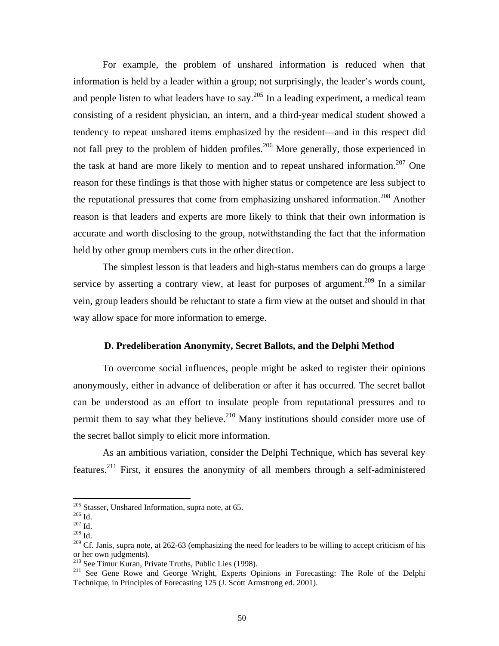For example, the problem of unshared information is reduced when that information is held by a leader within a group; not surprisingly, the leader's words count, and people listen to what leaders have to say.<sup>205</sup> In a leading experiment, a medical team consisting of a resident physician, an intern, and a third-year medical student showed a tendency to repeat unshared items emphasized by the resident—and in this respect did not fall prey to the problem of hidden profiles.<sup>206</sup> More generally, those experienced in the task at hand are more likely to mention and to repeat unshared information.<sup>207</sup> One reason for these findings is that those with higher status or competence are less subject to the reputational pressures that come from emphasizing unshared information.<sup>208</sup> Another reason is that leaders and experts are more likely to think that their own information is accurate and worth disclosing to the group, notwithstanding the fact that the information held by other group members cuts in the other direction.

The simplest lesson is that leaders and high-status members can do groups a large service by asserting a contrary view, at least for purposes of argument.<sup>209</sup> In a similar vein, group leaders should be reluctant to state a firm view at the outset and should in that way allow space for more information to emerge.

## **D. Predeliberation Anonymity, Secret Ballots, and the Delphi Method**

To overcome social influences, people might be asked to register their opinions anonymously, either in advance of deliberation or after it has occurred. The secret ballot can be understood as an effort to insulate people from reputational pressures and to permit them to say what they believe. $210$  Many institutions should consider more use of the secret ballot simply to elicit more information.

As an ambitious variation, consider the Delphi Technique, which has several key features[.211](#page-51-6) First, it ensures the anonymity of all members through a self-administered

<span id="page-51-0"></span><sup>&</sup>lt;sup>205</sup> Stasser, Unshared Information, supra note, at 65.<br><sup>206</sup> Id. <sup>207</sup> Id. <sup>207</sup> Id.

<span id="page-51-1"></span>

<span id="page-51-2"></span>

<span id="page-51-3"></span>

<span id="page-51-4"></span><sup>&</sup>lt;sup>209</sup> Cf. Janis, supra note, at 262-63 (emphasizing the need for leaders to be willing to accept criticism of his or her own judgments).

<span id="page-51-6"></span><span id="page-51-5"></span>

<sup>&</sup>lt;sup>210</sup> See Timur Kuran, Private Truths, Public Lies (1998). <sup>211</sup> See Gene Rowe and George Wright, Experts Opinions in Forecasting: The Role of the Delphi Technique, in Principles of Forecasting 125 (J. Scott Armstrong ed. 2001).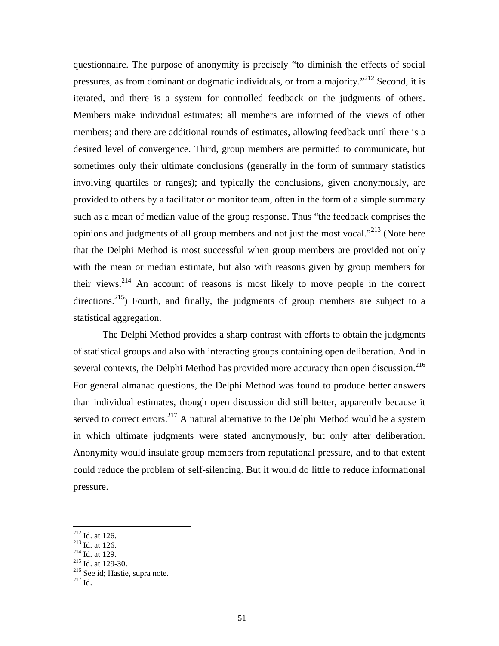questionnaire. The purpose of anonymity is precisely "to diminish the effects of social pressures, as from dominant or dogmatic individuals, or from a majority."<sup>212</sup> Second, it is iterated, and there is a system for controlled feedback on the judgments of others. Members make individual estimates; all members are informed of the views of other members; and there are additional rounds of estimates, allowing feedback until there is a desired level of convergence. Third, group members are permitted to communicate, but sometimes only their ultimate conclusions (generally in the form of summary statistics involving quartiles or ranges); and typically the conclusions, given anonymously, are provided to others by a facilitator or monitor team, often in the form of a simple summary such as a mean of median value of the group response. Thus "the feedback comprises the opinions and judgments of all group members and not just the most vocal."<sup>213</sup> (Note here that the Delphi Method is most successful when group members are provided not only with the mean or median estimate, but also with reasons given by group members for their views.<sup>214</sup> An account of reasons is most likely to move people in the correct directions.<sup>215</sup>) Fourth, and finally, the judgments of group members are subject to a statistical aggregation.

The Delphi Method provides a sharp contrast with efforts to obtain the judgments of statistical groups and also with interacting groups containing open deliberation. And in several contexts, the Delphi Method has provided more accuracy than open discussion.<sup>[216](#page-52-4)</sup> For general almanac questions, the Delphi Method was found to produce better answers than individual estimates, though open discussion did still better, apparently because it served to correct errors.<sup>217</sup> A natural alternative to the Delphi Method would be a system in which ultimate judgments were stated anonymously, but only after deliberation. Anonymity would insulate group members from reputational pressure, and to that extent could reduce the problem of self-silencing. But it would do little to reduce informational pressure.

<span id="page-52-0"></span> $212$  Id. at 126.

<span id="page-52-1"></span>

<span id="page-52-2"></span>

<span id="page-52-4"></span><span id="page-52-3"></span>

<sup>&</sup>lt;sup>213</sup> Id. at 126.<br><sup>214</sup> Id. at 129.<br><sup>215</sup> Id. at 129-30.<br><sup>216</sup> See id; Hastie, supra note.<br><sup>217</sup> Id.

<span id="page-52-5"></span>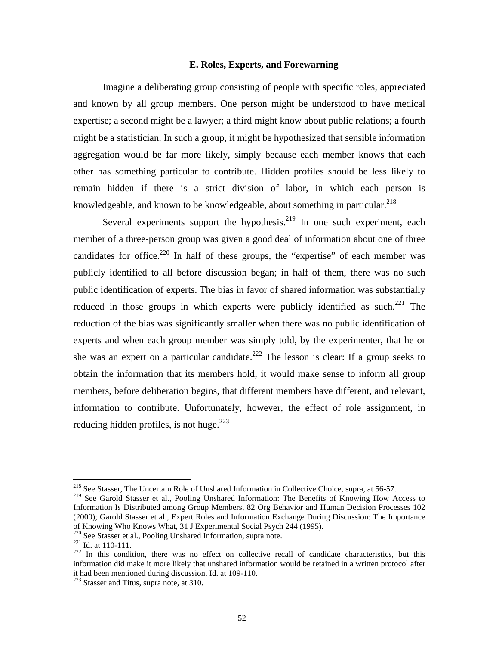# **E. Roles, Experts, and Forewarning**

Imagine a deliberating group consisting of people with specific roles, appreciated and known by all group members. One person might be understood to have medical expertise; a second might be a lawyer; a third might know about public relations; a fourth might be a statistician. In such a group, it might be hypothesized that sensible information aggregation would be far more likely, simply because each member knows that each other has something particular to contribute. Hidden profiles should be less likely to remain hidden if there is a strict division of labor, in which each person is knowledgeable, and known to be knowledgeable, about something in particular.<sup>218</sup>

Several experiments support the hypothesis.<sup>219</sup> In one such experiment, each member of a three-person group was given a good deal of information about one of three candidates for office.<sup>220</sup> In half of these groups, the "expertise" of each member was publicly identified to all before discussion began; in half of them, there was no such public identification of experts. The bias in favor of shared information was substantially reduced in those groups in which experts were publicly identified as such.<sup>221</sup> The reduction of the bias was significantly smaller when there was no public identification of experts and when each group member was simply told, by the experimenter, that he or she was an expert on a particular candidate.<sup>222</sup> The lesson is clear: If a group seeks to obtain the information that its members hold, it would make sense to inform all group members, before deliberation begins, that different members have different, and relevant, information to contribute. Unfortunately, however, the effect of role assignment, in reducing hidden profiles, is not huge. $223$ 

<span id="page-53-0"></span><sup>&</sup>lt;sup>218</sup> See Stasser, The Uncertain Role of Unshared Information in Collective Choice, supra, at 56-57.

<span id="page-53-1"></span><sup>&</sup>lt;sup>219</sup> See Garold Stasser et al., Pooling Unshared Information: The Benefits of Knowing How Access to Information Is Distributed among Group Members, 82 Org Behavior and Human Decision Processes 102 (2000); Garold Stasser et al., Expert Roles and Information Exchange During Discussion: The Importance of Knowing Who Knows What, 31 J Experimental Social Psych 244 (1995).<br>
<sup>220</sup> See Stasser et al., Pooling Unshared Information, supra note.<br>
<sup>221</sup> Id. at 110-111.<br>
<sup>222</sup> In this condition, there was no effect on collective

<span id="page-53-2"></span>

<span id="page-53-3"></span>

<span id="page-53-4"></span>information did make it more likely that unshared information would be retained in a written protocol after it had been mentioned during discussion. Id. at 109-110. 223 Stasser and Titus, supra note, at 310.

<span id="page-53-5"></span>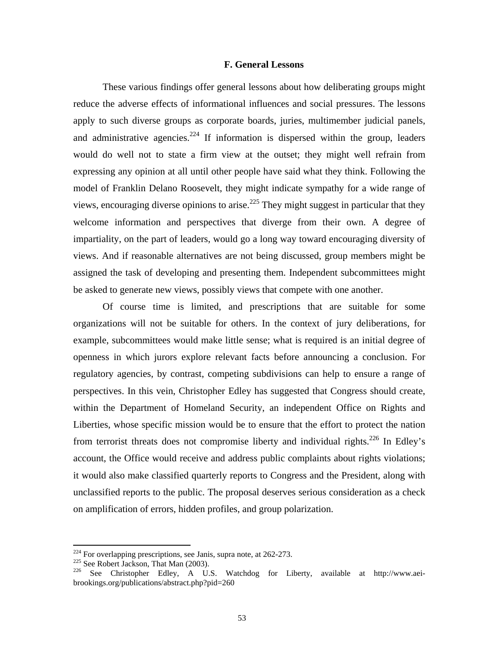### **F. General Lessons**

These various findings offer general lessons about how deliberating groups might reduce the adverse effects of informational influences and social pressures. The lessons apply to such diverse groups as corporate boards, juries, multimember judicial panels, and administrative agencies.  $224$  If information is dispersed within the group, leaders would do well not to state a firm view at the outset; they might well refrain from expressing any opinion at all until other people have said what they think. Following the model of Franklin Delano Roosevelt, they might indicate sympathy for a wide range of views, encouraging diverse opinions to arise.<sup>225</sup> They might suggest in particular that they welcome information and perspectives that diverge from their own. A degree of impartiality, on the part of leaders, would go a long way toward encouraging diversity of views. And if reasonable alternatives are not being discussed, group members might be assigned the task of developing and presenting them. Independent subcommittees might be asked to generate new views, possibly views that compete with one another.

Of course time is limited, and prescriptions that are suitable for some organizations will not be suitable for others. In the context of jury deliberations, for example, subcommittees would make little sense; what is required is an initial degree of openness in which jurors explore relevant facts before announcing a conclusion. For regulatory agencies, by contrast, competing subdivisions can help to ensure a range of perspectives. In this vein, Christopher Edley has suggested that Congress should create, within the Department of Homeland Security, an independent Office on Rights and Liberties, whose specific mission would be to ensure that the effort to protect the nation from terrorist threats does not compromise liberty and individual rights.<sup>226</sup> In Edley's account, the Office would receive and address public complaints about rights violations; it would also make classified quarterly reports to Congress and the President, along with unclassified reports to the public. The proposal deserves serious consideration as a check on amplification of errors, hidden profiles, and group polarization.

<span id="page-54-0"></span> $224$  For overlapping prescriptions, see Janis, supra note, at 262-273.

<span id="page-54-2"></span><span id="page-54-1"></span>

<sup>225</sup> See Robert Jackson, That Man (2003).<br><sup>226</sup> See Christopher Edley, A U.S. Watchdog for Liberty, available at http://www.aeibrookings.org/publications/abstract.php?pid=260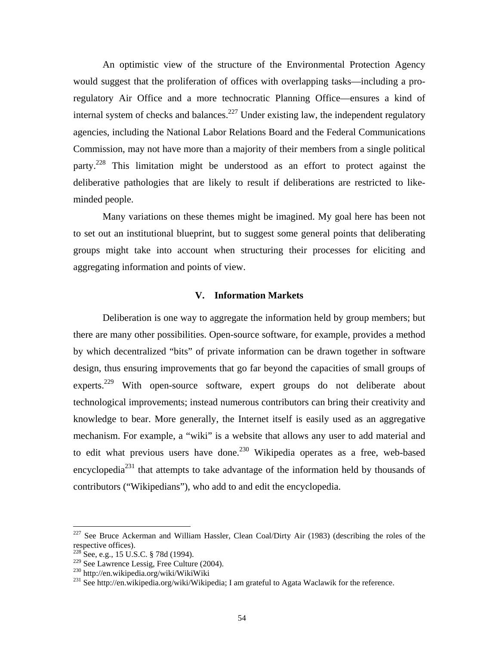An optimistic view of the structure of the Environmental Protection Agency would suggest that the proliferation of offices with overlapping tasks—including a proregulatory Air Office and a more technocratic Planning Office—ensures a kind of internal system of checks and balances.<sup>227</sup> Under existing law, the independent regulatory agencies, including the National Labor Relations Board and the Federal Communications Commission, may not have more than a majority of their members from a single political party.<sup>228</sup> This limitation might be understood as an effort to protect against the deliberative pathologies that are likely to result if deliberations are restricted to likeminded people.

Many variations on these themes might be imagined. My goal here has been not to set out an institutional blueprint, but to suggest some general points that deliberating groups might take into account when structuring their processes for eliciting and aggregating information and points of view.

### **V. Information Markets**

Deliberation is one way to aggregate the information held by group members; but there are many other possibilities. Open-source software, for example, provides a method by which decentralized "bits" of private information can be drawn together in software design, thus ensuring improvements that go far beyond the capacities of small groups of experts.<sup>229</sup> With open-source software, expert groups do not deliberate about technological improvements; instead numerous contributors can bring their creativity and knowledge to bear. More generally, the Internet itself is easily used as an aggregative mechanism. For example, a "wiki" is a website that allows any user to add material and to edit what previous users have done.<sup>230</sup> Wikipedia operates as a free, web-based encyclopedia<sup>231</sup> that attempts to take advantage of the information held by thousands of contributors ("Wikipedians"), who add to and edit the encyclopedia.

 $\overline{a}$ 

<span id="page-55-0"></span> $227$  See Bruce Ackerman and William Hassler, Clean Coal/Dirty Air (1983) (describing the roles of the respective offices).

<span id="page-55-2"></span><span id="page-55-1"></span>

<sup>&</sup>lt;sup>228</sup> See, e.g., 15 U.S.C. § 78d (1994).<br><sup>229</sup> See Lawrence Lessig, Free Culture (2004).

<span id="page-55-4"></span><span id="page-55-3"></span>

<sup>&</sup>lt;sup>230</sup> http://en.wikipedia.org/wiki/WikiWiki<br><sup>231</sup> See http://en.wikipedia.org/wiki/Wikipedia; I am grateful to Agata Waclawik for the reference.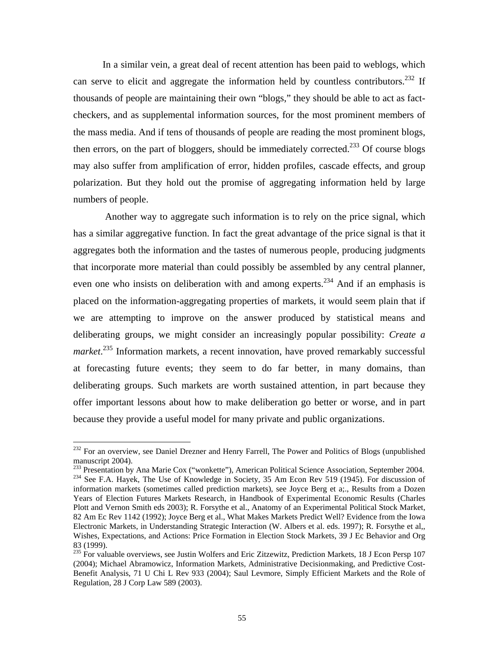In a similar vein, a great deal of recent attention has been paid to weblogs, which can serve to elicit and aggregate the information held by countless contributors.<sup>232</sup> If thousands of people are maintaining their own "blogs," they should be able to act as factcheckers, and as supplemental information sources, for the most prominent members of the mass media. And if tens of thousands of people are reading the most prominent blogs, then errors, on the part of bloggers, should be immediately corrected.<sup>233</sup> Of course blogs may also suffer from amplification of error, hidden profiles, cascade effects, and group polarization. But they hold out the promise of aggregating information held by large numbers of people.

Another way to aggregate such information is to rely on the price signal, which has a similar aggregative function. In fact the great advantage of the price signal is that it aggregates both the information and the tastes of numerous people, producing judgments that incorporate more material than could possibly be assembled by any central planner, even one who insists on deliberation with and among experts.<sup>234</sup> And if an emphasis is placed on the information-aggregating properties of markets, it would seem plain that if we are attempting to improve on the answer produced by statistical means and deliberating groups, we might consider an increasingly popular possibility: *Create a market*. [235](#page-56-3) Information markets, a recent innovation, have proved remarkably successful at forecasting future events; they seem to do far better, in many domains, than deliberating groups. Such markets are worth sustained attention, in part because they offer important lessons about how to make deliberation go better or worse, and in part because they provide a useful model for many private and public organizations.

<span id="page-56-0"></span><sup>&</sup>lt;sup>232</sup> For an overview, see Daniel Drezner and Henry Farrell, The Power and Politics of Blogs (unpublished

<span id="page-56-2"></span><span id="page-56-1"></span>manuscript 2004).<br><sup>233</sup> Presentation by Ana Marie Cox ("wonkette"), American Political Science Association, September 2004.<br><sup>234</sup> See F.A. Hayek, The Use of Knowledge in Society, 35 Am Econ Rev 519 (1945). For discussion o information markets (sometimes called prediction markets), see Joyce Berg et a;., Results from a Dozen Years of Election Futures Markets Research, in Handbook of Experimental Economic Results (Charles Plott and Vernon Smith eds 2003); R. Forsythe et al., Anatomy of an Experimental Political Stock Market, 82 Am Ec Rev 1142 (1992); Joyce Berg et al., What Makes Markets Predict Well? Evidence from the Iowa Electronic Markets, in Understanding Strategic Interaction (W. Albers et al. eds. 1997); R. Forsythe et al,, Wishes, Expectations, and Actions: Price Formation in Election Stock Markets, 39 J Ec Behavior and Org 83 (1999).

<span id="page-56-3"></span><sup>&</sup>lt;sup>235</sup> For valuable overviews, see Justin Wolfers and Eric Zitzewitz, Prediction Markets, 18 J Econ Persp 107 (2004); Michael Abramowicz, Information Markets, Administrative Decisionmaking, and Predictive Cost-Benefit Analysis, 71 U Chi L Rev 933 (2004); Saul Levmore, Simply Efficient Markets and the Role of Regulation, 28 J Corp Law 589 (2003).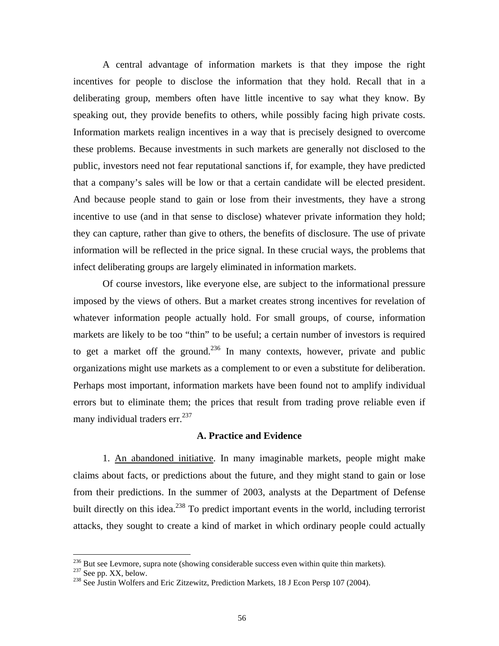A central advantage of information markets is that they impose the right incentives for people to disclose the information that they hold. Recall that in a deliberating group, members often have little incentive to say what they know. By speaking out, they provide benefits to others, while possibly facing high private costs. Information markets realign incentives in a way that is precisely designed to overcome these problems. Because investments in such markets are generally not disclosed to the public, investors need not fear reputational sanctions if, for example, they have predicted that a company's sales will be low or that a certain candidate will be elected president. And because people stand to gain or lose from their investments, they have a strong incentive to use (and in that sense to disclose) whatever private information they hold; they can capture, rather than give to others, the benefits of disclosure. The use of private information will be reflected in the price signal. In these crucial ways, the problems that infect deliberating groups are largely eliminated in information markets.

Of course investors, like everyone else, are subject to the informational pressure imposed by the views of others. But a market creates strong incentives for revelation of whatever information people actually hold. For small groups, of course, information markets are likely to be too "thin" to be useful; a certain number of investors is required to get a market off the ground.<sup>236</sup> In many contexts, however, private and public organizations might use markets as a complement to or even a substitute for deliberation. Perhaps most important, information markets have been found not to amplify individual errors but to eliminate them; the prices that result from trading prove reliable even if many individual traders err.<sup>[237](#page-57-1)</sup>

# **A. Practice and Evidence**

1. An abandoned initiative. In many imaginable markets, people might make claims about facts, or predictions about the future, and they might stand to gain or lose from their predictions. In the summer of 2003, analysts at the Department of Defense built directly on this idea.<sup>238</sup> To predict important events in the world, including terrorist attacks, they sought to create a kind of market in which ordinary people could actually

<span id="page-57-0"></span><sup>&</sup>lt;sup>236</sup> But see Levmore, supra note (showing considerable success even within quite thin markets).

<span id="page-57-2"></span><span id="page-57-1"></span>

<sup>&</sup>lt;sup>237</sup> See pp. XX, below.<br><sup>238</sup> See Justin Wolfers and Eric Zitzewitz, Prediction Markets, 18 J Econ Persp 107 (2004).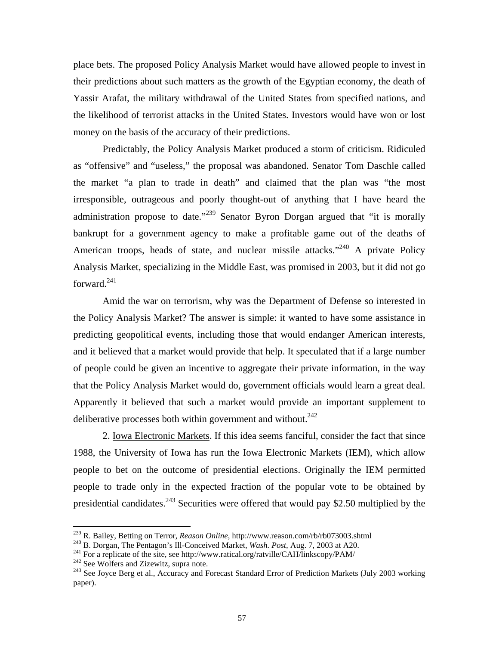place bets. The proposed Policy Analysis Market would have allowed people to invest in their predictions about such matters as the growth of the Egyptian economy, the death of Yassir Arafat, the military withdrawal of the United States from specified nations, and the likelihood of terrorist attacks in the United States. Investors would have won or lost money on the basis of the accuracy of their predictions.

Predictably, the Policy Analysis Market produced a storm of criticism. Ridiculed as "offensive" and "useless," the proposal was abandoned. Senator Tom Daschle called the market "a plan to trade in death" and claimed that the plan was "the most irresponsible, outrageous and poorly thought-out of anything that I have heard the administration propose to date."<sup>239</sup> Senator Byron Dorgan argued that "it is morally bankrupt for a government agency to make a profitable game out of the deaths of American troops, heads of state, and nuclear missile attacks."<sup>240</sup> A private Policy Analysis Market, specializing in the Middle East, was promised in 2003, but it did not go forward. $241$ 

Amid the war on terrorism, why was the Department of Defense so interested in the Policy Analysis Market? The answer is simple: it wanted to have some assistance in predicting geopolitical events, including those that would endanger American interests, and it believed that a market would provide that help. It speculated that if a large number of people could be given an incentive to aggregate their private information, in the way that the Policy Analysis Market would do, government officials would learn a great deal. Apparently it believed that such a market would provide an important supplement to deliberative processes both within government and without.<sup>242</sup>

2. Iowa Electronic Markets. If this idea seems fanciful, consider the fact that since 1988, the University of Iowa has run the Iowa Electronic Markets (IEM), which allow people to bet on the outcome of presidential elections. Originally the IEM permitted people to trade only in the expected fraction of the popular vote to be obtained by presidential candidates.<sup>243</sup> Securities were offered that would pay \$2.50 multiplied by the

<span id="page-58-0"></span><sup>&</sup>lt;sup>239</sup> R. Bailey, Betting on Terror, Reason Online, http://www.reason.com/rb/rb073003.shtml

<span id="page-58-1"></span>

<span id="page-58-2"></span>

<span id="page-58-4"></span><span id="page-58-3"></span>

<sup>&</sup>lt;sup>240</sup> B. Dorgan, The Pentagon's III-Conceived Market, *Wash. Post*, Aug. 7, 2003 at A20.<br><sup>241</sup> For a replicate of the site, see http://www.ratical.org/ratville/CAH/linkscopy/PAM/<br><sup>242</sup> See Wolfers and Zizewitz, supra note paper).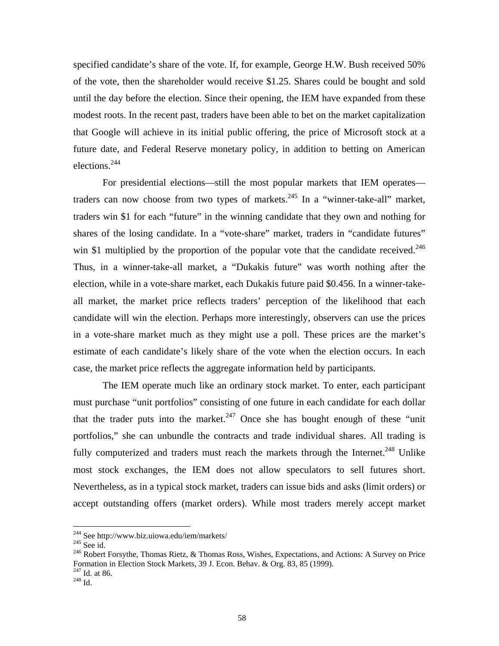specified candidate's share of the vote. If, for example, George H.W. Bush received 50% of the vote, then the shareholder would receive \$1.25. Shares could be bought and sold until the day before the election. Since their opening, the IEM have expanded from these modest roots. In the recent past, traders have been able to bet on the market capitalization that Google will achieve in its initial public offering, the price of Microsoft stock at a future date, and Federal Reserve monetary policy, in addition to betting on American elections.[244](#page-59-0)

For presidential elections—still the most popular markets that IEM operates traders can now choose from two types of markets.<sup>245</sup> In a "winner-take-all" market, traders win \$1 for each "future" in the winning candidate that they own and nothing for shares of the losing candidate. In a "vote-share" market, traders in "candidate futures" win \$1 multiplied by the proportion of the popular vote that the candidate received. $246$ Thus, in a winner-take-all market, a "Dukakis future" was worth nothing after the election, while in a vote-share market, each Dukakis future paid \$0.456. In a winner-takeall market, the market price reflects traders' perception of the likelihood that each candidate will win the election. Perhaps more interestingly, observers can use the prices in a vote-share market much as they might use a poll. These prices are the market's estimate of each candidate's likely share of the vote when the election occurs. In each case, the market price reflects the aggregate information held by participants.

The IEM operate much like an ordinary stock market. To enter, each participant must purchase "unit portfolios" consisting of one future in each candidate for each dollar that the trader puts into the market.<sup>247</sup> Once she has bought enough of these "unit" portfolios," she can unbundle the contracts and trade individual shares. All trading is fully computerized and traders must reach the markets through the Internet.<sup>248</sup> Unlike most stock exchanges, the IEM does not allow speculators to sell futures short. Nevertheless, as in a typical stock market, traders can issue bids and asks (limit orders) or accept outstanding offers (market orders). While most traders merely accept market

<span id="page-59-0"></span><sup>&</sup>lt;sup>244</sup> See http://www.biz.uiowa.edu/iem/markets/

<span id="page-59-2"></span><span id="page-59-1"></span>

<sup>&</sup>lt;sup>245</sup> See id. <sup>246</sup> Robert Forsythe, Thomas Rietz, & Thomas Ross, Wishes, Expectations, and Actions: A Survey on Price Formation in Election Stock Markets, 39 J. Econ. Behav. & Org. 83, 85 (1999).<br><sup>247</sup> Id. at 86.<br><sup>248</sup> Id.

<span id="page-59-3"></span>

<span id="page-59-4"></span>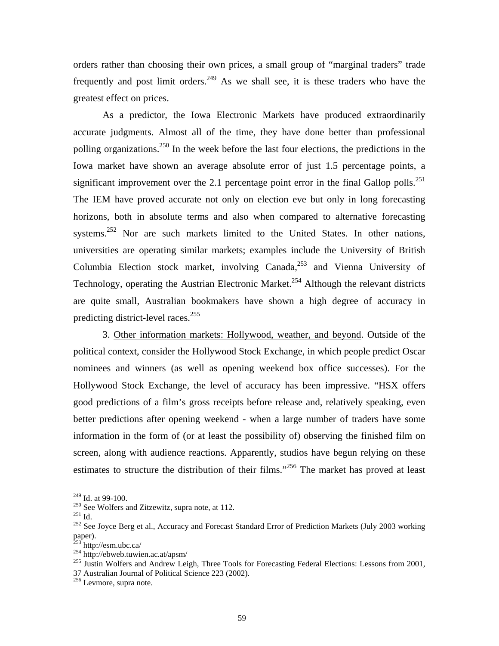orders rather than choosing their own prices, a small group of "marginal traders" trade frequently and post limit orders.  $249$  As we shall see, it is these traders who have the greatest effect on prices.

As a predictor, the Iowa Electronic Markets have produced extraordinarily accurate judgments. Almost all of the time, they have done better than professional polling organizations.<sup>250</sup> In the week before the last four elections, the predictions in the Iowa market have shown an average absolute error of just 1.5 percentage points, a significant improvement over the 2.1 percentage point error in the final Gallop polls.<sup>251</sup> The IEM have proved accurate not only on election eve but only in long forecasting horizons, both in absolute terms and also when compared to alternative forecasting systems.<sup>252</sup> Nor are such markets limited to the United States. In other nations, universities are operating similar markets; examples include the University of British Columbia Election stock market, involving Canada,  $253$  and Vienna University of Technology, operating the Austrian Electronic Market.<sup>254</sup> Although the relevant districts are quite small, Australian bookmakers have shown a high degree of accuracy in predicting district-level races[.255](#page-60-6)

3. Other information markets: Hollywood, weather, and beyond. Outside of the political context, consider the Hollywood Stock Exchange, in which people predict Oscar nominees and winners (as well as opening weekend box office successes). For the Hollywood Stock Exchange, the level of accuracy has been impressive. "HSX offers good predictions of a film's gross receipts before release and, relatively speaking, even better predictions after opening weekend - when a large number of traders have some information in the form of (or at least the possibility of) observing the finished film on screen, along with audience reactions. Apparently, studios have begun relying on these estimates to structure the distribution of their films."<sup>256</sup> The market has proved at least

<span id="page-60-0"></span> $249$  Id. at 99-100.

<span id="page-60-1"></span>

<span id="page-60-3"></span><span id="page-60-2"></span>

<sup>&</sup>lt;sup>250</sup> See Wolfers and Zitzewitz, supra note, at 112.<br><sup>251</sup> Id. <sup>252</sup> See Joyce Berg et al., Accuracy and Forecast Standard Error of Prediction Markets (July 2003 working paper).<br><sup>253</sup> http://esm.ubc.ca/

<span id="page-60-4"></span>

<span id="page-60-6"></span><span id="page-60-5"></span>

<sup>254</sup> http://ebweb.tuwien.ac.at/apsm/<br>255 http://ebweb.tuwien.ac.at/apsm/<br>255 Justin Wolfers and Andrew Leigh, Three Tools for Forecasting Federal Elections: Lessons from 2001, 37 Australian Journal of Political Science 223 (2002).

<span id="page-60-7"></span> $256$  Levmore, supra note.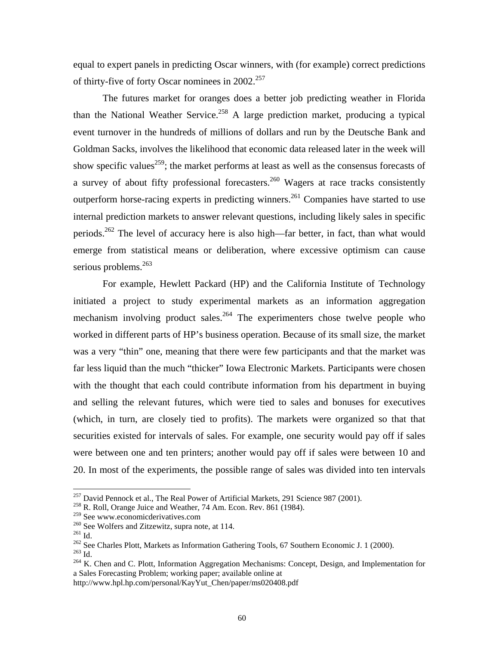equal to expert panels in predicting Oscar winners, with (for example) correct predictions of thirty-five of forty Oscar nominees in 2002.<sup>257</sup>

The futures market for oranges does a better job predicting weather in Florida than the National Weather Service.<sup>258</sup> A large prediction market, producing a typical event turnover in the hundreds of millions of dollars and run by the Deutsche Bank and Goldman Sacks, involves the likelihood that economic data released later in the week will show specific values<sup>259</sup>; the market performs at least as well as the consensus forecasts of a survey of about fifty professional forecasters.<sup>260</sup> Wagers at race tracks consistently outperform horse-racing experts in predicting winners.<sup>261</sup> Companies have started to use internal prediction markets to answer relevant questions, including likely sales in specific periods[.262](#page-61-5) The level of accuracy here is also high—far better, in fact, than what would emerge from statistical means or deliberation, where excessive optimism can cause serious problems.<sup>263</sup>

For example, Hewlett Packard (HP) and the California Institute of Technology initiated a project to study experimental markets as an information aggregation mechanism involving product sales.<sup>264</sup> The experimenters chose twelve people who worked in different parts of HP's business operation. Because of its small size, the market was a very "thin" one, meaning that there were few participants and that the market was far less liquid than the much "thicker" Iowa Electronic Markets. Participants were chosen with the thought that each could contribute information from his department in buying and selling the relevant futures, which were tied to sales and bonuses for executives (which, in turn, are closely tied to profits). The markets were organized so that that securities existed for intervals of sales. For example, one security would pay off if sales were between one and ten printers; another would pay off if sales were between 10 and 20. In most of the experiments, the possible range of sales was divided into ten intervals

<span id="page-61-0"></span><sup>&</sup>lt;sup>257</sup> David Pennock et al., The Real Power of Artificial Markets, 291 Science 987 (2001).<br><sup>258</sup> R. Roll, Orange Juice and Weather, 74 Am. Econ. Rev. 861 (1984).<br><sup>259</sup> See www.economicderivatives.com

<span id="page-61-1"></span>

<span id="page-61-2"></span>

<span id="page-61-3"></span>

<span id="page-61-5"></span><span id="page-61-4"></span>

<sup>&</sup>lt;sup>260</sup> See Wolfers and Zitzewitz, supra note, at 114.<br><sup>261</sup> Id.<br><sup>262</sup> See Charles Plott, Markets as Information Gathering Tools, 67 Southern Economic J. 1 (2000).<br><sup>262</sup> Id.<br><sup>264</sup> K. Chen and C. Plott, Information Aggregatio

<span id="page-61-6"></span>

<span id="page-61-7"></span>a Sales Forecasting Problem; working paper; available online at

http://www.hpl.hp.com/personal/KayYut\_Chen/paper/ms020408.pdf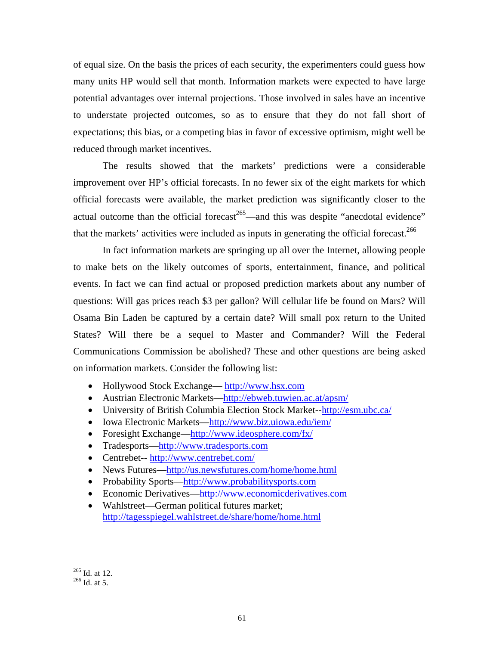of equal size. On the basis the prices of each security, the experimenters could guess how many units HP would sell that month. Information markets were expected to have large potential advantages over internal projections. Those involved in sales have an incentive to understate projected outcomes, so as to ensure that they do not fall short of expectations; this bias, or a competing bias in favor of excessive optimism, might well be reduced through market incentives.

The results showed that the markets' predictions were a considerable improvement over HP's official forecasts. In no fewer six of the eight markets for which official forecasts were available, the market prediction was significantly closer to the actual outcome than the official forecast<sup> $265$ </sup>—and this was despite "anecdotal evidence" that the markets' activities were included as inputs in generating the official forecast.<sup>266</sup>

In fact information markets are springing up all over the Internet, allowing people to make bets on the likely outcomes of sports, entertainment, finance, and political events. In fact we can find actual or proposed prediction markets about any number of questions: Will gas prices reach \$3 per gallon? Will cellular life be found on Mars? Will Osama Bin Laden be captured by a certain date? Will small pox return to the United States? Will there be a sequel to Master and Commander? Will the Federal Communications Commission be abolished? These and other questions are being asked on information markets. Consider the following list:

- Hollywood Stock Exchange— [http://www.hsx.com](http://www.hsx.com/)
- Austrian Electronic Markets[—http://ebweb.tuwien.ac.at/apsm/](http://ebweb.tuwien.ac.at/apsm/)
- University of British Columbia Election Stock Market--<http://esm.ubc.ca/>
- Iowa Electronic Markets—<http://www.biz.uiowa.edu/iem/>
- Foresight Exchange—<http://www.ideosphere.com/fx/>
- Tradesports—[http://www.tradesports.com](http://www.tradesports.com/)
- Centrebet-- <http://www.centrebet.com/>
- News Futures[—http://us.newsfutures.com/home/home.html](http://us.newsfutures.com/home/home.html)
- Probability Sports[—http://www.probabilitysports.com](http://www.probabilitysports.com/)
- Economic Derivatives[—http://www.economicderivatives.com](http://www.economicderivatives.com/)
- Wahlstreet—German political futures market; <http://tagesspiegel.wahlstreet.de/share/home/home.html>

<span id="page-62-0"></span> $265$  Id. at 12.

<span id="page-62-1"></span> $266$  Id. at 5.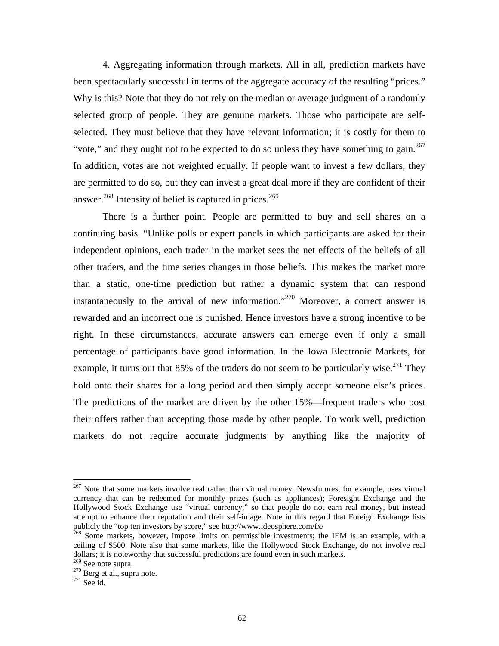4. Aggregating information through markets. All in all, prediction markets have been spectacularly successful in terms of the aggregate accuracy of the resulting "prices." Why is this? Note that they do not rely on the median or average judgment of a randomly selected group of people. They are genuine markets. Those who participate are selfselected. They must believe that they have relevant information; it is costly for them to "vote," and they ought not to be expected to do so unless they have something to gain.<sup>267</sup> In addition, votes are not weighted equally. If people want to invest a few dollars, they are permitted to do so, but they can invest a great deal more if they are confident of their answer.<sup>268</sup> Intensity of belief is captured in prices.<sup>269</sup>

There is a further point. People are permitted to buy and sell shares on a continuing basis. "Unlike polls or expert panels in which participants are asked for their independent opinions, each trader in the market sees the net effects of the beliefs of all other traders, and the time series changes in those beliefs. This makes the market more than a static, one-time prediction but rather a dynamic system that can respond instantaneously to the arrival of new information."<sup>270</sup> Moreover, a correct answer is rewarded and an incorrect one is punished. Hence investors have a strong incentive to be right. In these circumstances, accurate answers can emerge even if only a small percentage of participants have good information. In the Iowa Electronic Markets, for example, it turns out that 85% of the traders do not seem to be particularly wise.<sup>271</sup> They hold onto their shares for a long period and then simply accept someone else's prices. The predictions of the market are driven by the other 15%—frequent traders who post their offers rather than accepting those made by other people. To work well, prediction markets do not require accurate judgments by anything like the majority of

<span id="page-63-0"></span><sup>&</sup>lt;sup>267</sup> Note that some markets involve real rather than virtual money. Newsfutures, for example, uses virtual currency that can be redeemed for monthly prizes (such as appliances); Foresight Exchange and the Hollywood Stock Exchange use "virtual currency," so that people do not earn real money, but instead attempt to enhance their reputation and their self-image. Note in this regard that Foreign Exchange lists publicly the "top ten investors by score," see http://www.ideosphere.com/fx/<br><sup>268</sup> Some markets, however, impose limits on permissible investments; the IEM is an example, with a

<span id="page-63-1"></span>ceiling of \$500. Note also that some markets, like the Hollywood Stock Exchange, do not involve real dollars; it is noteworthy that successful predictions are found even in such markets.<br><sup>269</sup> See note supra.

<span id="page-63-2"></span>

<span id="page-63-3"></span> $^{270}$  Berg et al., supra note.<br> $^{271}$  See id.

<span id="page-63-4"></span>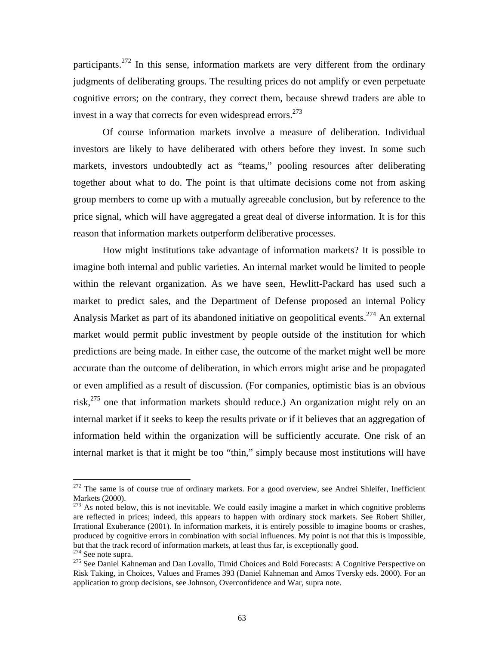participants.<sup>272</sup> In this sense, information markets are very different from the ordinary judgments of deliberating groups. The resulting prices do not amplify or even perpetuate cognitive errors; on the contrary, they correct them, because shrewd traders are able to invest in a way that corrects for even widespread errors.<sup>[273](#page-64-1)</sup>

Of course information markets involve a measure of deliberation. Individual investors are likely to have deliberated with others before they invest. In some such markets, investors undoubtedly act as "teams," pooling resources after deliberating together about what to do. The point is that ultimate decisions come not from asking group members to come up with a mutually agreeable conclusion, but by reference to the price signal, which will have aggregated a great deal of diverse information. It is for this reason that information markets outperform deliberative processes.

How might institutions take advantage of information markets? It is possible to imagine both internal and public varieties. An internal market would be limited to people within the relevant organization. As we have seen, Hewlitt-Packard has used such a market to predict sales, and the Department of Defense proposed an internal Policy Analysis Market as part of its abandoned initiative on geopolitical events.<sup>274</sup> An external market would permit public investment by people outside of the institution for which predictions are being made. In either case, the outcome of the market might well be more accurate than the outcome of deliberation, in which errors might arise and be propagated or even amplified as a result of discussion. (For companies, optimistic bias is an obvious risk, $275$  one that information markets should reduce.) An organization might rely on an internal market if it seeks to keep the results private or if it believes that an aggregation of information held within the organization will be sufficiently accurate. One risk of an internal market is that it might be too "thin," simply because most institutions will have

 $\overline{a}$ 

<span id="page-64-0"></span> $272$  The same is of course true of ordinary markets. For a good overview, see Andrei Shleifer, Inefficient Markets (2000).

<span id="page-64-1"></span> $273$  As noted below, this is not inevitable. We could easily imagine a market in which cognitive problems are reflected in prices; indeed, this appears to happen with ordinary stock markets. See Robert Shiller, Irrational Exuberance (2001). In information markets, it is entirely possible to imagine booms or crashes, produced by cognitive errors in combination with social influences. My point is not that this is impossible, but that the track record of information markets, at least thus far, is exceptionally good.<br><sup>274</sup> See note supra.<br><sup>275</sup> See Daniel Kahneman and Dan Lovallo, Timid Choices and Bold Forecasts: A Cognitive Perspective on

<span id="page-64-3"></span><span id="page-64-2"></span>Risk Taking, in Choices, Values and Frames 393 (Daniel Kahneman and Amos Tversky eds. 2000). For an application to group decisions, see Johnson, Overconfidence and War, supra note.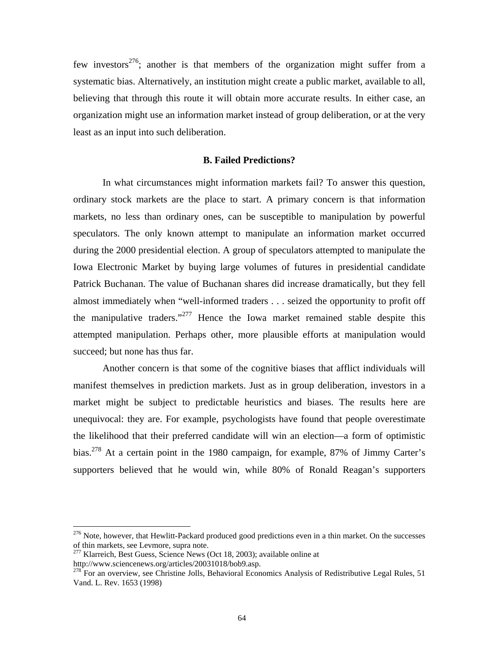few investors<sup>276</sup>; another is that members of the organization might suffer from a systematic bias. Alternatively, an institution might create a public market, available to all, believing that through this route it will obtain more accurate results. In either case, an organization might use an information market instead of group deliberation, or at the very least as an input into such deliberation.

#### **B. Failed Predictions?**

In what circumstances might information markets fail? To answer this question, ordinary stock markets are the place to start. A primary concern is that information markets, no less than ordinary ones, can be susceptible to manipulation by powerful speculators. The only known attempt to manipulate an information market occurred during the 2000 presidential election. A group of speculators attempted to manipulate the Iowa Electronic Market by buying large volumes of futures in presidential candidate Patrick Buchanan. The value of Buchanan shares did increase dramatically, but they fell almost immediately when "well-informed traders . . . seized the opportunity to profit off the manipulative traders." $277$  Hence the Iowa market remained stable despite this attempted manipulation. Perhaps other, more plausible efforts at manipulation would succeed; but none has thus far.

Another concern is that some of the cognitive biases that afflict individuals will manifest themselves in prediction markets. Just as in group deliberation, investors in a market might be subject to predictable heuristics and biases. The results here are unequivocal: they are. For example, psychologists have found that people overestimate the likelihood that their preferred candidate will win an election—a form of optimistic bias.[278](#page-65-2) At a certain point in the 1980 campaign, for example, 87% of Jimmy Carter's supporters believed that he would win, while 80% of Ronald Reagan's supporters

<span id="page-65-0"></span> $276$  Note, however, that Hewlitt-Packard produced good predictions even in a thin market. On the successes of thin markets, see Levmore, supra note.

<span id="page-65-1"></span><sup>&</sup>lt;sup>277</sup> Klarreich, Best Guess, Science News (Oct 18, 2003); available online at http://www.sciencenews.org/articles/20031018/bob9.asp.

<span id="page-65-2"></span> $\frac{278}{278}$  For an overview, see Christine Jolls, Behavioral Economics Analysis of Redistributive Legal Rules, 51 Vand. L. Rev. 1653 (1998)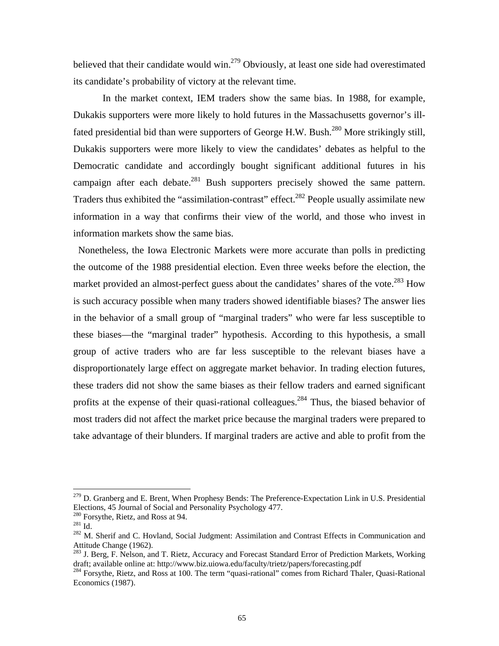believed that their candidate would win.<sup>279</sup> Obviously, at least one side had overestimated its candidate's probability of victory at the relevant time.

In the market context, IEM traders show the same bias. In 1988, for example, Dukakis supporters were more likely to hold futures in the Massachusetts governor's illfated presidential bid than were supporters of George H.W. Bush.<sup>280</sup> More strikingly still, Dukakis supporters were more likely to view the candidates' debates as helpful to the Democratic candidate and accordingly bought significant additional futures in his campaign after each debate.<sup>281</sup> Bush supporters precisely showed the same pattern. Traders thus exhibited the "assimilation-contrast" effect.<sup>282</sup> People usually assimilate new information in a way that confirms their view of the world, and those who invest in information markets show the same bias.

Nonetheless, the Iowa Electronic Markets were more accurate than polls in predicting the outcome of the 1988 presidential election. Even three weeks before the election, the market provided an almost-perfect guess about the candidates' shares of the vote.<sup>283</sup> How is such accuracy possible when many traders showed identifiable biases? The answer lies in the behavior of a small group of "marginal traders" who were far less susceptible to these biases—the "marginal trader" hypothesis. According to this hypothesis, a small group of active traders who are far less susceptible to the relevant biases have a disproportionately large effect on aggregate market behavior. In trading election futures, these traders did not show the same biases as their fellow traders and earned significant profits at the expense of their quasi-rational colleagues.<sup>284</sup> Thus, the biased behavior of most traders did not affect the market price because the marginal traders were prepared to take advantage of their blunders. If marginal traders are active and able to profit from the

 $\overline{a}$ 

<span id="page-66-0"></span><sup>&</sup>lt;sup>279</sup> D. Granberg and E. Brent, When Prophesy Bends: The Preference-Expectation Link in U.S. Presidential Elections, 45 Journal of Social and Personality Psychology 477.

<span id="page-66-1"></span>

<span id="page-66-3"></span><span id="page-66-2"></span>

<sup>&</sup>lt;sup>280</sup> Forsythe, Rietz, and Ross at 94.  $\frac{281}{10}$  Id. 282 M. Sherif and C. Hovland, Social Judgment: Assimilation and Contrast Effects in Communication and  $\frac{282}{10}$ Attitude Change (1962).

<span id="page-66-4"></span><sup>&</sup>lt;sup>283</sup> J. Berg, F. Nelson, and T. Rietz, Accuracy and Forecast Standard Error of Prediction Markets, Working draft; available online at: http://www.biz.uiowa.edu/faculty/trietz/papers/forecasting.pdf<br><sup>284</sup> Forsythe, Rietz, and Ross at 100. The term "quasi-rational" comes from Richard Thaler, Quasi-Rational

<span id="page-66-5"></span>Economics (1987).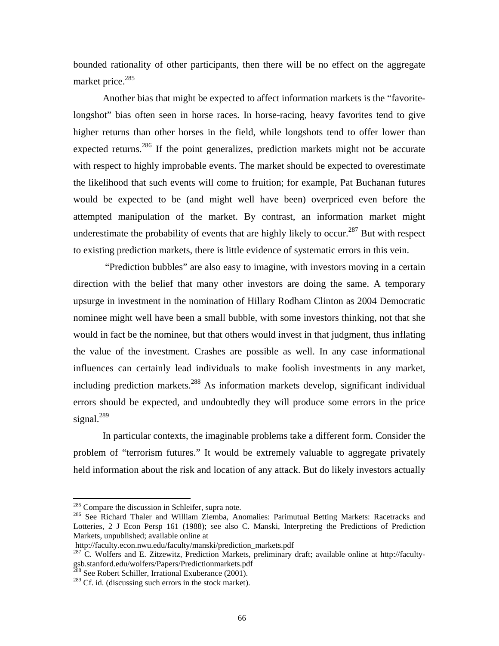bounded rationality of other participants, then there will be no effect on the aggregate market price.<sup>285</sup>

 Another bias that might be expected to affect information markets is the "favoritelongshot" bias often seen in horse races. In horse-racing, heavy favorites tend to give higher returns than other horses in the field, while longshots tend to offer lower than expected returns.<sup>286</sup> If the point generalizes, prediction markets might not be accurate with respect to highly improbable events. The market should be expected to overestimate the likelihood that such events will come to fruition; for example, Pat Buchanan futures would be expected to be (and might well have been) overpriced even before the attempted manipulation of the market. By contrast, an information market might underestimate the probability of events that are highly likely to occur.<sup>287</sup> But with respect to existing prediction markets, there is little evidence of systematic errors in this vein.

"Prediction bubbles" are also easy to imagine, with investors moving in a certain direction with the belief that many other investors are doing the same. A temporary upsurge in investment in the nomination of Hillary Rodham Clinton as 2004 Democratic nominee might well have been a small bubble, with some investors thinking, not that she would in fact be the nominee, but that others would invest in that judgment, thus inflating the value of the investment. Crashes are possible as well. In any case informational influences can certainly lead individuals to make foolish investments in any market, including prediction markets.<sup>288</sup> As information markets develop, significant individual errors should be expected, and undoubtedly they will produce some errors in the price signal.<sup>[289](#page-67-4)</sup>

In particular contexts, the imaginable problems take a different form. Consider the problem of "terrorism futures." It would be extremely valuable to aggregate privately held information about the risk and location of any attack. But do likely investors actually

 $\overline{a}$ 

<span id="page-67-1"></span><span id="page-67-0"></span>

<sup>&</sup>lt;sup>285</sup> Compare the discussion in Schleifer, supra note.<br><sup>286</sup> See Richard Thaler and William Ziemba, Anomalies: Parimutual Betting Markets: Racetracks and Lotteries, 2 J Econ Persp 161 (1988); see also C. Manski, Interpreting the Predictions of Prediction Markets, unpublished; available online at

<span id="page-67-2"></span>

http://faculty.econ.nwu.edu/faculty/manski/prediction\_markets.pdf 287 C. Wolfers and E. Zitzewitz, Prediction Markets, preliminary draft; available online at http://facultygsb.stanford.edu/wolfers/Papers/Predictionmarkets.pdf<sup>288</sup> See Robert Schiller, Irrational Exuberance (2001).

<span id="page-67-3"></span>

<span id="page-67-4"></span><sup>&</sup>lt;sup>289</sup> Cf. id. (discussing such errors in the stock market).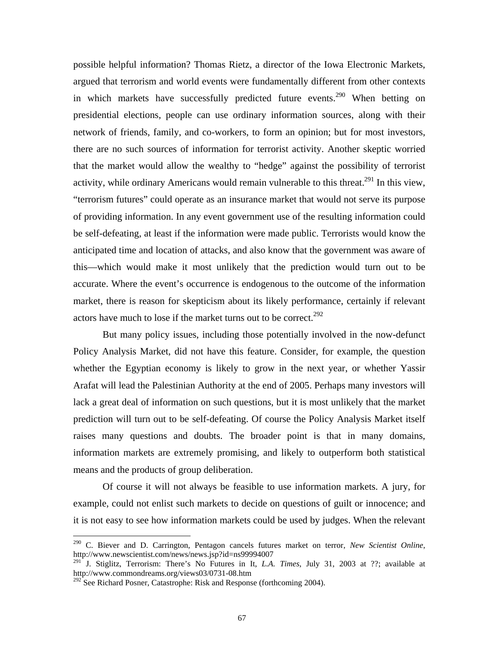possible helpful information? Thomas Rietz, a director of the Iowa Electronic Markets, argued that terrorism and world events were fundamentally different from other contexts in which markets have successfully predicted future events.<sup>290</sup> When betting on presidential elections, people can use ordinary information sources, along with their network of friends, family, and co-workers, to form an opinion; but for most investors, there are no such sources of information for terrorist activity. Another skeptic worried that the market would allow the wealthy to "hedge" against the possibility of terrorist activity, while ordinary Americans would remain vulnerable to this threat.<sup>291</sup> In this view, "terrorism futures" could operate as an insurance market that would not serve its purpose of providing information. In any event government use of the resulting information could be self-defeating, at least if the information were made public. Terrorists would know the anticipated time and location of attacks, and also know that the government was aware of this—which would make it most unlikely that the prediction would turn out to be accurate. Where the event's occurrence is endogenous to the outcome of the information market, there is reason for skepticism about its likely performance, certainly if relevant actors have much to lose if the market turns out to be correct.<sup>292</sup>

But many policy issues, including those potentially involved in the now-defunct Policy Analysis Market, did not have this feature. Consider, for example, the question whether the Egyptian economy is likely to grow in the next year, or whether Yassir Arafat will lead the Palestinian Authority at the end of 2005. Perhaps many investors will lack a great deal of information on such questions, but it is most unlikely that the market prediction will turn out to be self-defeating. Of course the Policy Analysis Market itself raises many questions and doubts. The broader point is that in many domains, information markets are extremely promising, and likely to outperform both statistical means and the products of group deliberation.

Of course it will not always be feasible to use information markets. A jury, for example, could not enlist such markets to decide on questions of guilt or innocence; and it is not easy to see how information markets could be used by judges. When the relevant

<span id="page-68-0"></span><sup>290</sup> C. Biever and D. Carrington, Pentagon cancels futures market on terror, *New Scientist Online*, http://www.newscientist.com/news/news.jsp?id=ns99994007

<span id="page-68-1"></span><sup>291</sup> J. Stiglitz, Terrorism: There's No Futures in It, *L.A. Times*, July 31, 2003 at ??; available at http://www.commondreams.org/views03/0731-08.htm

<span id="page-68-2"></span> $292$  See Richard Posner, Catastrophe: Risk and Response (forthcoming 2004).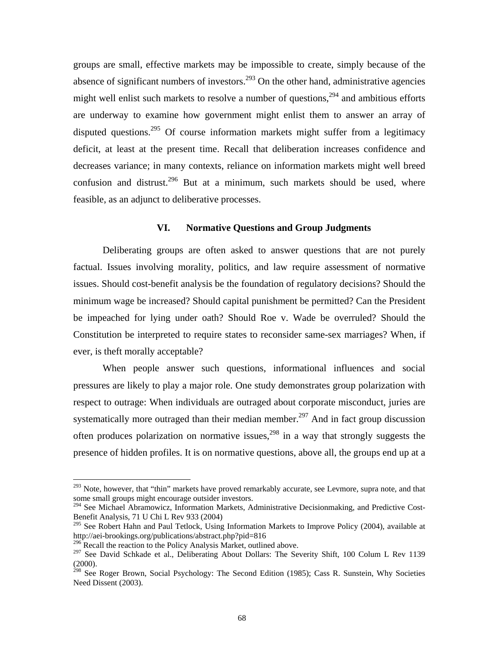groups are small, effective markets may be impossible to create, simply because of the absence of significant numbers of investors.<sup>293</sup> On the other hand, administrative agencies might well enlist such markets to resolve a number of questions,<sup>294</sup> and ambitious efforts are underway to examine how government might enlist them to answer an array of disputed questions.<sup>295</sup> Of course information markets might suffer from a legitimacy deficit, at least at the present time. Recall that deliberation increases confidence and decreases variance; in many contexts, reliance on information markets might well breed confusion and distrust.<sup>296</sup> But at a minimum, such markets should be used, where feasible, as an adjunct to deliberative processes.

### **VI. Normative Questions and Group Judgments**

Deliberating groups are often asked to answer questions that are not purely factual. Issues involving morality, politics, and law require assessment of normative issues. Should cost-benefit analysis be the foundation of regulatory decisions? Should the minimum wage be increased? Should capital punishment be permitted? Can the President be impeached for lying under oath? Should Roe v. Wade be overruled? Should the Constitution be interpreted to require states to reconsider same-sex marriages? When, if ever, is theft morally acceptable?

When people answer such questions, informational influences and social pressures are likely to play a major role. One study demonstrates group polarization with respect to outrage: When individuals are outraged about corporate misconduct, juries are systematically more outraged than their median member.<sup>297</sup> And in fact group discussion often produces polarization on normative issues,<sup>298</sup> in a way that strongly suggests the presence of hidden profiles. It is on normative questions, above all, the groups end up at a

<span id="page-69-0"></span><sup>&</sup>lt;sup>293</sup> Note, however, that "thin" markets have proved remarkably accurate, see Levmore, supra note, and that some small groups might encourage outsider investors.

<span id="page-69-1"></span><sup>&</sup>lt;sup>294</sup> See Michael Abramowicz, Information Markets, Administrative Decisionmaking, and Predictive Cost-Benefit Analysis, 71 U Chi L Rev 933 (2004)

<span id="page-69-2"></span><sup>&</sup>lt;sup>295</sup> See Robert Hahn and Paul Tetlock, Using Information Markets to Improve Policy (2004), available at http://aei-brookings.org/publications/abstract.php?pid=816

<span id="page-69-3"></span><sup>&</sup>lt;sup>296</sup> Recall the reaction to the Policy Analysis Market, outlined above.

<span id="page-69-4"></span><sup>&</sup>lt;sup>297</sup> See David Schkade et al., Deliberating About Dollars: The Severity Shift, 100 Colum L Rev 1139 (2000).

<span id="page-69-5"></span><sup>&</sup>lt;sup>298</sup> See Roger Brown, Social Psychology: The Second Edition (1985); Cass R. Sunstein, Why Societies Need Dissent (2003).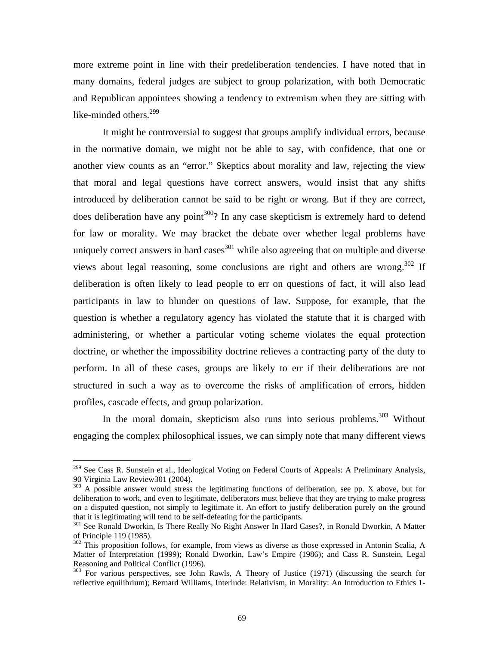<span id="page-70-4"></span>more extreme point in line with their predeliberation tendencies. I have noted that in many domains, federal judges are subject to group polarization, with both Democratic and Republican appointees showing a tendency to extremism when they are sitting with like-minded others. $299$ 

It might be controversial to suggest that groups amplify individual errors, because in the normative domain, we might not be able to say, with confidence, that one or another view counts as an "error." Skeptics about morality and law, rejecting the view that moral and legal questions have correct answers, would insist that any shifts introduced by deliberation cannot be said to be right or wrong. But if they are correct, does deliberation have any point<sup>300</sup>? In any case skepticism is extremely hard to defend for law or morality. We may bracket the debate over whether legal problems have uniquely correct answers in hard cases $^{301}$  while also agreeing that on multiple and diverse views about legal reasoning, some conclusions are right and others are wrong.<sup>302</sup> If deliberation is often likely to lead people to err on questions of fact, it will also lead participants in law to blunder on questions of law. Suppose, for example, that the question is whether a regulatory agency has violated the statute that it is charged with administering, or whether a particular voting scheme violates the equal protection doctrine, or whether the impossibility doctrine relieves a contracting party of the duty to perform. In all of these cases, groups are likely to err if their deliberations are not structured in such a way as to overcome the risks of amplification of errors, hidden profiles, cascade effects, and group polarization.

In the moral domain, skepticism also runs into serious problems.<sup>303</sup> Without engaging the complex philosophical issues, we can simply note that many different views

<span id="page-70-0"></span><sup>&</sup>lt;sup>299</sup> See Cass R. Sunstein et al., Ideological Voting on Federal Courts of Appeals: A Preliminary Analysis, 90 Virginia Law Review301 (2004).<br><sup>300</sup> A possible answer would stress the legitimating functions of deliberation, see pp. X above, but for

<span id="page-70-1"></span>deliberation to work, and even to legitimate, deliberators must believe that they are trying to make progress on a disputed question, not simply to legitimate it. An effort to justify deliberation purely on the ground that it is legitimating will tend to be self-defeating for the participants.

<span id="page-70-2"></span><sup>&</sup>lt;sup>301</sup> See Ronald Dworkin, Is There Really No Right Answer In Hard Cases?, in Ronald Dworkin, A Matter of Principle 119 (1985).<br><sup>302</sup> This proposition follows, for example, from views as diverse as those expressed in Antonin Scalia, A

<span id="page-70-3"></span>Matter of Interpretation (1999); Ronald Dworkin, Law's Empire (1986); and Cass R. Sunstein, Legal Reasoning and Political Conflict (1996).

<sup>&</sup>lt;sup>303</sup> For various perspectives, see John Rawls, A Theory of Justice (1971) (discussing the search for reflective equilibrium); Bernard Williams, Interlude: Relativism, in Morality: An Introduction to Ethics 1-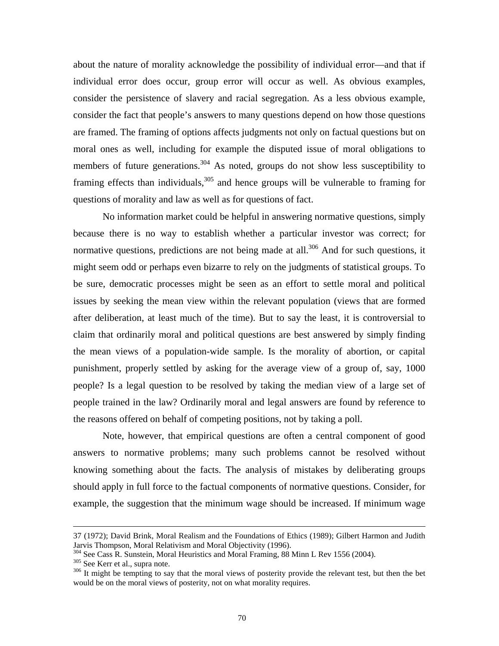about the nature of morality acknowledge the possibility of individual error—and that if individual error does occur, group error will occur as well. As obvious examples, consider the persistence of slavery and racial segregation. As a less obvious example, consider the fact that people's answers to many questions depend on how those questions are framed. The framing of options affects judgments not only on factual questions but on moral ones as well, including for example the disputed issue of moral obligations to members of future generations.<sup>304</sup> As noted, groups do not show less susceptibility to framing effects than individuals,  $305$  and hence groups will be vulnerable to framing for questions of morality and law as well as for questions of fact.

No information market could be helpful in answering normative questions, simply because there is no way to establish whether a particular investor was correct; for normative questions, predictions are not being made at all.<sup>306</sup> And for such questions, it might seem odd or perhaps even bizarre to rely on the judgments of statistical groups. To be sure, democratic processes might be seen as an effort to settle moral and political issues by seeking the mean view within the relevant population (views that are formed after deliberation, at least much of the time). But to say the least, it is controversial to claim that ordinarily moral and political questions are best answered by simply finding the mean views of a population-wide sample. Is the morality of abortion, or capital punishment, properly settled by asking for the average view of a group of, say, 1000 people? Is a legal question to be resolved by taking the median view of a large set of people trained in the law? Ordinarily moral and legal answers are found by reference to the reasons offered on behalf of competing positions, not by taking a poll.

Note, however, that empirical questions are often a central component of good answers to normative problems; many such problems cannot be resolved without knowing something about the facts. The analysis of mistakes by deliberating groups should apply in full force to the factual components of normative questions. Consider, for example, the suggestion that the minimum wage should be increased. If minimum wage

 <sup>37 (1972);</sup> David Brink, Moral Realism and the Foundations of Ethics (1989); Gilbert Harmon and Judith Jarvis Thompson, Moral Relativism and Moral Objectivity (1996).<br><sup>304</sup> See Cass R. Sunstein, Moral Heuristics and Moral Framing, 88 Minn L Rev 1556 (2004).<br><sup>305</sup> See Kerr et al., supra note.<br><sup>305</sup> It might be tempting to sa

<span id="page-71-0"></span>

<span id="page-71-1"></span>

<span id="page-71-2"></span>would be on the moral views of posterity, not on what morality requires.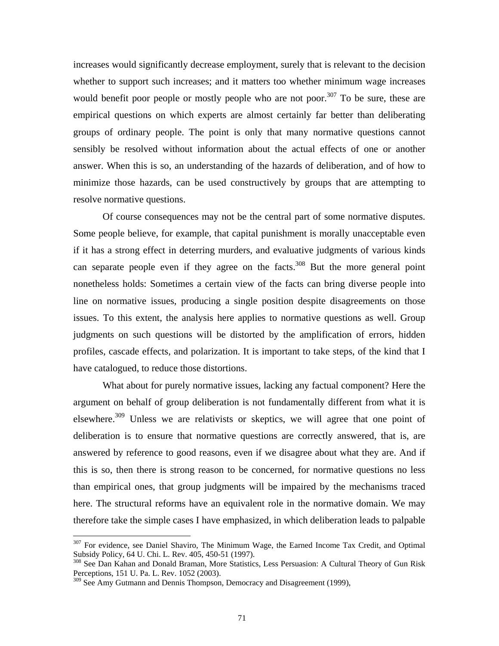increases would significantly decrease employment, surely that is relevant to the decision whether to support such increases; and it matters too whether minimum wage increases would benefit poor people or mostly people who are not poor.<sup>307</sup> To be sure, these are empirical questions on which experts are almost certainly far better than deliberating groups of ordinary people. The point is only that many normative questions cannot sensibly be resolved without information about the actual effects of one or another answer. When this is so, an understanding of the hazards of deliberation, and of how to minimize those hazards, can be used constructively by groups that are attempting to resolve normative questions.

Of course consequences may not be the central part of some normative disputes. Some people believe, for example, that capital punishment is morally unacceptable even if it has a strong effect in deterring murders, and evaluative judgments of various kinds can separate people even if they agree on the facts.<sup>308</sup> But the more general point nonetheless holds: Sometimes a certain view of the facts can bring diverse people into line on normative issues, producing a single position despite disagreements on those issues. To this extent, the analysis here applies to normative questions as well. Group judgments on such questions will be distorted by the amplification of errors, hidden profiles, cascade effects, and polarization. It is important to take steps, of the kind that I have catalogued, to reduce those distortions.

What about for purely normative issues, lacking any factual component? Here the argument on behalf of group deliberation is not fundamentally different from what it is elsewhere[.309](#page-72-2) Unless we are relativists or skeptics, we will agree that one point of deliberation is to ensure that normative questions are correctly answered, that is, are answered by reference to good reasons, even if we disagree about what they are. And if this is so, then there is strong reason to be concerned, for normative questions no less than empirical ones, that group judgments will be impaired by the mechanisms traced here. The structural reforms have an equivalent role in the normative domain. We may therefore take the simple cases I have emphasized, in which deliberation leads to palpable

 $\overline{a}$ 

<span id="page-72-0"></span><sup>&</sup>lt;sup>307</sup> For evidence, see Daniel Shaviro, The Minimum Wage, the Earned Income Tax Credit, and Optimal Subsidy Policy, 64 U. Chi. L. Rev. 405, 450-51 (1997).<br><sup>308</sup> See Dan Kahan and Donald Braman, More Statistics, Less Persuasion: A Cultural Theory of Gun Risk

<span id="page-72-1"></span>Perceptions, 151 U. Pa. L. Rev. 1052 (2003).

<span id="page-72-2"></span><sup>&</sup>lt;sup>309</sup> See Amy Gutmann and Dennis Thompson, Democracy and Disagreement (1999),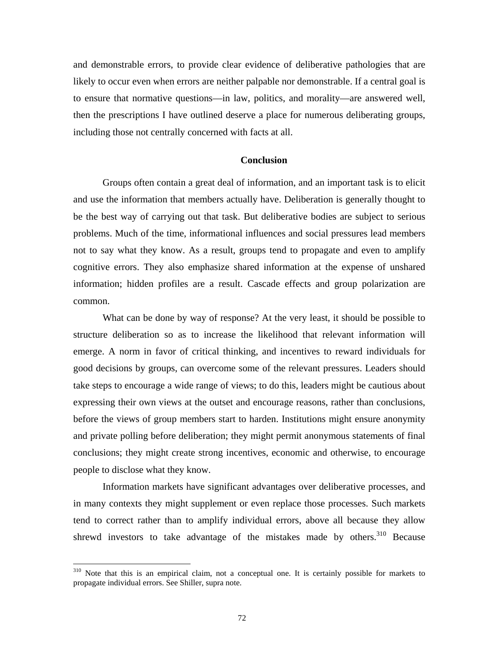and demonstrable errors, to provide clear evidence of deliberative pathologies that are likely to occur even when errors are neither palpable nor demonstrable. If a central goal is to ensure that normative questions—in law, politics, and morality—are answered well, then the prescriptions I have outlined deserve a place for numerous deliberating groups, including those not centrally concerned with facts at all.

## **Conclusion**

Groups often contain a great deal of information, and an important task is to elicit and use the information that members actually have. Deliberation is generally thought to be the best way of carrying out that task. But deliberative bodies are subject to serious problems. Much of the time, informational influences and social pressures lead members not to say what they know. As a result, groups tend to propagate and even to amplify cognitive errors. They also emphasize shared information at the expense of unshared information; hidden profiles are a result. Cascade effects and group polarization are common.

What can be done by way of response? At the very least, it should be possible to structure deliberation so as to increase the likelihood that relevant information will emerge. A norm in favor of critical thinking, and incentives to reward individuals for good decisions by groups, can overcome some of the relevant pressures. Leaders should take steps to encourage a wide range of views; to do this, leaders might be cautious about expressing their own views at the outset and encourage reasons, rather than conclusions, before the views of group members start to harden. Institutions might ensure anonymity and private polling before deliberation; they might permit anonymous statements of final conclusions; they might create strong incentives, economic and otherwise, to encourage people to disclose what they know.

Information markets have significant advantages over deliberative processes, and in many contexts they might supplement or even replace those processes. Such markets tend to correct rather than to amplify individual errors, above all because they allow shrewd investors to take advantage of the mistakes made by others. $310$  Because

 $\overline{a}$ 

<span id="page-73-0"></span><sup>&</sup>lt;sup>310</sup> Note that this is an empirical claim, not a conceptual one. It is certainly possible for markets to propagate individual errors. See Shiller, supra note.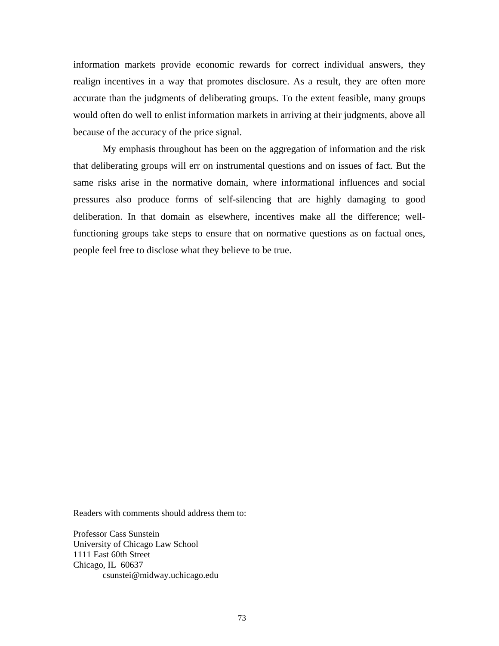information markets provide economic rewards for correct individual answers, they realign incentives in a way that promotes disclosure. As a result, they are often more accurate than the judgments of deliberating groups. To the extent feasible, many groups would often do well to enlist information markets in arriving at their judgments, above all because of the accuracy of the price signal.

My emphasis throughout has been on the aggregation of information and the risk that deliberating groups will err on instrumental questions and on issues of fact. But the same risks arise in the normative domain, where informational influences and social pressures also produce forms of self-silencing that are highly damaging to good deliberation. In that domain as elsewhere, incentives make all the difference; wellfunctioning groups take steps to ensure that on normative questions as on factual ones, people feel free to disclose what they believe to be true.

Readers with comments should address them to:

Professor Cass Sunstein University of Chicago Law School 1111 East 60th Street Chicago, IL 60637 csunstei@midway.uchicago.edu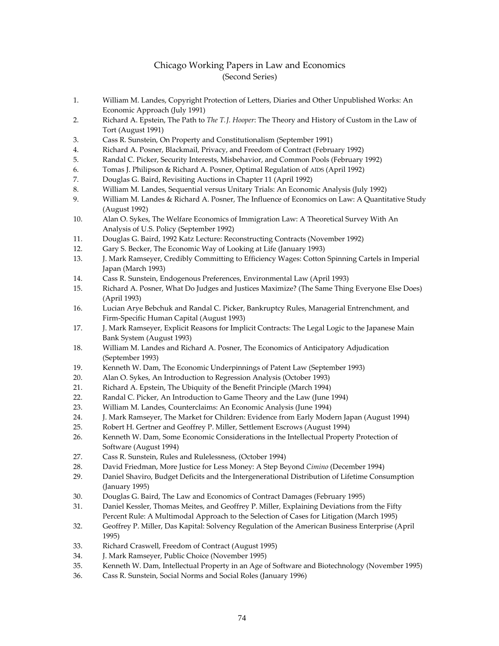## Chicago Working Papers in Law and Economics (Second Series)

- 1. William M. Landes, Copyright Protection of Letters, Diaries and Other Unpublished Works: An Economic Approach (July 1991)
- 2. Richard A. Epstein, The Path to *The T. J. Hooper*: The Theory and History of Custom in the Law of Tort (August 1991)
- 3. Cass R. Sunstein, On Property and Constitutionalism (September 1991)
- 4. Richard A. Posner, Blackmail, Privacy, and Freedom of Contract (February 1992)
- 5. Randal C. Picker, Security Interests, Misbehavior, and Common Pools (February 1992)
- 6. Tomas J. Philipson & Richard A. Posner, Optimal Regulation of AIDS (April 1992)
- 7. Douglas G. Baird, Revisiting Auctions in Chapter 11 (April 1992)
- 8. William M. Landes, Sequential versus Unitary Trials: An Economic Analysis (July 1992)
- 9. William M. Landes & Richard A. Posner, The Influence of Economics on Law: A Quantitative Study (August 1992)
- 10. Alan O. Sykes, The Welfare Economics of Immigration Law: A Theoretical Survey With An Analysis of U.S. Policy (September 1992)
- 11. Douglas G. Baird, 1992 Katz Lecture: Reconstructing Contracts (November 1992)
- 12. Gary S. Becker, The Economic Way of Looking at Life (January 1993)
- 13. J. Mark Ramseyer, Credibly Committing to Efficiency Wages: Cotton Spinning Cartels in Imperial Japan (March 1993)
- 14. Cass R. Sunstein, Endogenous Preferences, Environmental Law (April 1993)
- 15. Richard A. Posner, What Do Judges and Justices Maximize? (The Same Thing Everyone Else Does) (April 1993)
- 16. Lucian Arye Bebchuk and Randal C. Picker, Bankruptcy Rules, Managerial Entrenchment, and Firm-Specific Human Capital (August 1993)
- 17. J. Mark Ramseyer, Explicit Reasons for Implicit Contracts: The Legal Logic to the Japanese Main Bank System (August 1993)
- 18. William M. Landes and Richard A. Posner, The Economics of Anticipatory Adjudication (September 1993)
- 19. Kenneth W. Dam, The Economic Underpinnings of Patent Law (September 1993)
- 20. Alan O. Sykes, An Introduction to Regression Analysis (October 1993)
- 21. Richard A. Epstein, The Ubiquity of the Benefit Principle (March 1994)
- 22. Randal C. Picker, An Introduction to Game Theory and the Law (June 1994)
- 23. William M. Landes, Counterclaims: An Economic Analysis (June 1994)
- 24. J. Mark Ramseyer, The Market for Children: Evidence from Early Modern Japan (August 1994)
- 25. Robert H. Gertner and Geoffrey P. Miller, Settlement Escrows (August 1994)
- 26. Kenneth W. Dam, Some Economic Considerations in the Intellectual Property Protection of Software (August 1994)
- 27. Cass R. Sunstein, Rules and Rulelessness, (October 1994)
- 28. David Friedman, More Justice for Less Money: A Step Beyond *Cimino* (December 1994)
- 29. Daniel Shaviro, Budget Deficits and the Intergenerational Distribution of Lifetime Consumption (January 1995)
- 30. Douglas G. Baird, The Law and Economics of Contract Damages (February 1995)
- 31. Daniel Kessler, Thomas Meites, and Geoffrey P. Miller, Explaining Deviations from the Fifty Percent Rule: A Multimodal Approach to the Selection of Cases for Litigation (March 1995)
- 32. Geoffrey P. Miller, Das Kapital: Solvency Regulation of the American Business Enterprise (April 1995)
- 33. Richard Craswell, Freedom of Contract (August 1995)
- 34. J. Mark Ramseyer, Public Choice (November 1995)
- 35. Kenneth W. Dam, Intellectual Property in an Age of Software and Biotechnology (November 1995)
- 36. Cass R. Sunstein, Social Norms and Social Roles (January 1996)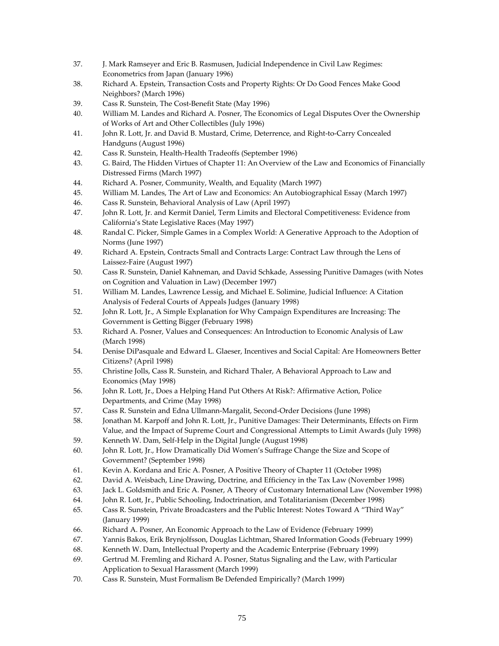- 37. J. Mark Ramseyer and Eric B. Rasmusen, Judicial Independence in Civil Law Regimes: Econometrics from Japan (January 1996)
- 38. Richard A. Epstein, Transaction Costs and Property Rights: Or Do Good Fences Make Good Neighbors? (March 1996)
- 39. Cass R. Sunstein, The Cost-Benefit State (May 1996)
- 40. William M. Landes and Richard A. Posner, The Economics of Legal Disputes Over the Ownership of Works of Art and Other Collectibles (July 1996)
- 41. John R. Lott, Jr. and David B. Mustard, Crime, Deterrence, and Right-to-Carry Concealed Handguns (August 1996)
- 42. Cass R. Sunstein, Health-Health Tradeoffs (September 1996)
- 43. G. Baird, The Hidden Virtues of Chapter 11: An Overview of the Law and Economics of Financially Distressed Firms (March 1997)
- 44. Richard A. Posner, Community, Wealth, and Equality (March 1997)
- 45. William M. Landes, The Art of Law and Economics: An Autobiographical Essay (March 1997)
- 46. Cass R. Sunstein, Behavioral Analysis of Law (April 1997)
- 47. John R. Lott, Jr. and Kermit Daniel, Term Limits and Electoral Competitiveness: Evidence from California's State Legislative Races (May 1997)
- 48. Randal C. Picker, Simple Games in a Complex World: A Generative Approach to the Adoption of Norms (June 1997)
- 49. Richard A. Epstein, Contracts Small and Contracts Large: Contract Law through the Lens of Laissez-Faire (August 1997)
- 50. Cass R. Sunstein, Daniel Kahneman, and David Schkade, Assessing Punitive Damages (with Notes on Cognition and Valuation in Law) (December 1997)
- 51. William M. Landes, Lawrence Lessig, and Michael E. Solimine, Judicial Influence: A Citation Analysis of Federal Courts of Appeals Judges (January 1998)
- 52. John R. Lott, Jr., A Simple Explanation for Why Campaign Expenditures are Increasing: The Government is Getting Bigger (February 1998)
- 53. Richard A. Posner, Values and Consequences: An Introduction to Economic Analysis of Law (March 1998)
- 54. Denise DiPasquale and Edward L. Glaeser, Incentives and Social Capital: Are Homeowners Better Citizens? (April 1998)
- 55. Christine Jolls, Cass R. Sunstein, and Richard Thaler, A Behavioral Approach to Law and Economics (May 1998)
- 56. John R. Lott, Jr., Does a Helping Hand Put Others At Risk?: Affirmative Action, Police Departments, and Crime (May 1998)
- 57. Cass R. Sunstein and Edna Ullmann-Margalit, Second-Order Decisions (June 1998)
- 58. Jonathan M. Karpoff and John R. Lott, Jr., Punitive Damages: Their Determinants, Effects on Firm Value, and the Impact of Supreme Court and Congressional Attempts to Limit Awards (July 1998)
- 59. Kenneth W. Dam, Self-Help in the Digital Jungle (August 1998)
- 60. John R. Lott, Jr., How Dramatically Did Women's Suffrage Change the Size and Scope of Government? (September 1998)
- 61. Kevin A. Kordana and Eric A. Posner, A Positive Theory of Chapter 11 (October 1998)
- 62. David A. Weisbach, Line Drawing, Doctrine, and Efficiency in the Tax Law (November 1998)
- 63. Jack L. Goldsmith and Eric A. Posner, A Theory of Customary International Law (November 1998)
- 64. John R. Lott, Jr., Public Schooling, Indoctrination, and Totalitarianism (December 1998)
- 65. Cass R. Sunstein, Private Broadcasters and the Public Interest: Notes Toward A "Third Way" (January 1999)
- 66. Richard A. Posner, An Economic Approach to the Law of Evidence (February 1999)
- 67. Yannis Bakos, Erik Brynjolfsson, Douglas Lichtman, Shared Information Goods (February 1999)
- 68. Kenneth W. Dam, Intellectual Property and the Academic Enterprise (February 1999)
- 69. Gertrud M. Fremling and Richard A. Posner, Status Signaling and the Law, with Particular Application to Sexual Harassment (March 1999)
- 70. Cass R. Sunstein, Must Formalism Be Defended Empirically? (March 1999)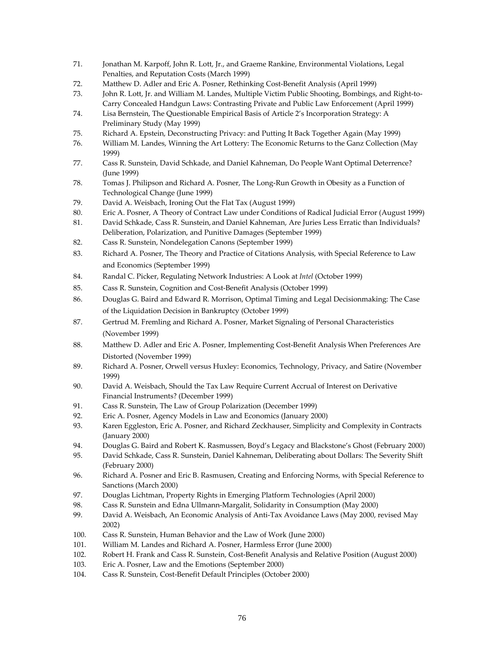- 71. Jonathan M. Karpoff, John R. Lott, Jr., and Graeme Rankine, Environmental Violations, Legal Penalties, and Reputation Costs (March 1999)
- 72. Matthew D. Adler and Eric A. Posner, Rethinking Cost-Benefit Analysis (April 1999)
- 73. John R. Lott, Jr. and William M. Landes, Multiple Victim Public Shooting, Bombings, and Right-to-Carry Concealed Handgun Laws: Contrasting Private and Public Law Enforcement (April 1999)
- 74. Lisa Bernstein, The Questionable Empirical Basis of Article 2's Incorporation Strategy: A Preliminary Study (May 1999)
- 75. Richard A. Epstein, Deconstructing Privacy: and Putting It Back Together Again (May 1999)
- 76. William M. Landes, Winning the Art Lottery: The Economic Returns to the Ganz Collection (May 1999)
- 77. Cass R. Sunstein, David Schkade, and Daniel Kahneman, Do People Want Optimal Deterrence? (June 1999)
- 78. Tomas J. Philipson and Richard A. Posner, The Long-Run Growth in Obesity as a Function of Technological Change (June 1999)
- 79. David A. Weisbach, Ironing Out the Flat Tax (August 1999)
- 80. Eric A. Posner, A Theory of Contract Law under Conditions of Radical Judicial Error (August 1999)
- 81. David Schkade, Cass R. Sunstein, and Daniel Kahneman, Are Juries Less Erratic than Individuals? Deliberation, Polarization, and Punitive Damages (September 1999)
- 82. Cass R. Sunstein, Nondelegation Canons (September 1999)
- 83. Richard A. Posner, The Theory and Practice of Citations Analysis, with Special Reference to Law and Economics (September 1999)
- 84. Randal C. Picker, Regulating Network Industries: A Look at *Intel* (October 1999)
- 85. Cass R. Sunstein, Cognition and Cost-Benefit Analysis (October 1999)
- 86. Douglas G. Baird and Edward R. Morrison, Optimal Timing and Legal Decisionmaking: The Case of the Liquidation Decision in Bankruptcy (October 1999)
- 87. Gertrud M. Fremling and Richard A. Posner, Market Signaling of Personal Characteristics (November 1999)
- 88. Matthew D. Adler and Eric A. Posner, Implementing Cost-Benefit Analysis When Preferences Are Distorted (November 1999)
- 89. Richard A. Posner, Orwell versus Huxley: Economics, Technology, Privacy, and Satire (November 1999)
- 90. David A. Weisbach, Should the Tax Law Require Current Accrual of Interest on Derivative Financial Instruments? (December 1999)
- 91. Cass R. Sunstein, The Law of Group Polarization (December 1999)
- 92. Eric A. Posner, Agency Models in Law and Economics (January 2000)
- 93. Karen Eggleston, Eric A. Posner, and Richard Zeckhauser, Simplicity and Complexity in Contracts (January 2000)
- 94. Douglas G. Baird and Robert K. Rasmussen, Boyd's Legacy and Blackstone's Ghost (February 2000)
- 95. David Schkade, Cass R. Sunstein, Daniel Kahneman, Deliberating about Dollars: The Severity Shift (February 2000)
- 96. Richard A. Posner and Eric B. Rasmusen, Creating and Enforcing Norms, with Special Reference to Sanctions (March 2000)
- 97. Douglas Lichtman, Property Rights in Emerging Platform Technologies (April 2000)
- 98. Cass R. Sunstein and Edna Ullmann-Margalit, Solidarity in Consumption (May 2000)
- 99. David A. Weisbach, An Economic Analysis of Anti-Tax Avoidance Laws (May 2000, revised May 2002)
- 100. Cass R. Sunstein, Human Behavior and the Law of Work (June 2000)
- 101. William M. Landes and Richard A. Posner, Harmless Error (June 2000)
- 102. Robert H. Frank and Cass R. Sunstein, Cost-Benefit Analysis and Relative Position (August 2000)
- 103. Eric A. Posner, Law and the Emotions (September 2000)
- 104. Cass R. Sunstein, Cost-Benefit Default Principles (October 2000)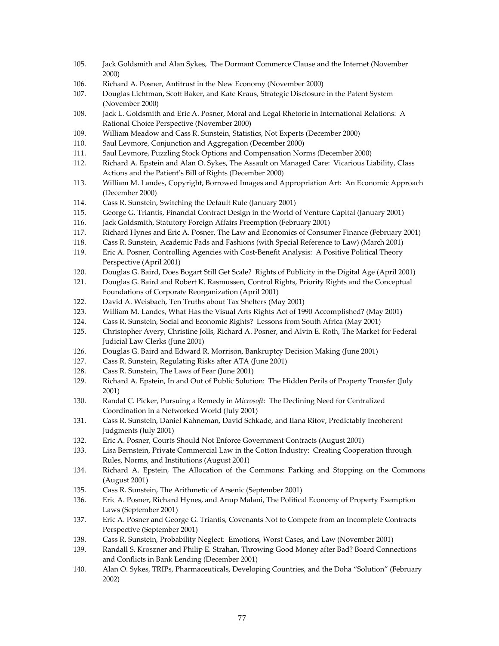- 105. Jack Goldsmith and Alan Sykes, The Dormant Commerce Clause and the Internet (November 2000)
- 106. Richard A. Posner, Antitrust in the New Economy (November 2000)
- 107. Douglas Lichtman, Scott Baker, and Kate Kraus, Strategic Disclosure in the Patent System (November 2000)
- 108. Jack L. Goldsmith and Eric A. Posner, Moral and Legal Rhetoric in International Relations: A Rational Choice Perspective (November 2000)
- 109. William Meadow and Cass R. Sunstein, Statistics, Not Experts (December 2000)
- 110. Saul Levmore, Conjunction and Aggregation (December 2000)
- 111. Saul Levmore, Puzzling Stock Options and Compensation Norms (December 2000)
- 112. Richard A. Epstein and Alan O. Sykes, The Assault on Managed Care: Vicarious Liability, Class Actions and the Patient's Bill of Rights (December 2000)
- 113. William M. Landes, Copyright, Borrowed Images and Appropriation Art: An Economic Approach (December 2000)
- 114. Cass R. Sunstein, Switching the Default Rule (January 2001)
- 115. George G. Triantis, Financial Contract Design in the World of Venture Capital (January 2001)
- 116. Jack Goldsmith, Statutory Foreign Affairs Preemption (February 2001)
- 117. Richard Hynes and Eric A. Posner, The Law and Economics of Consumer Finance (February 2001)
- 118. Cass R. Sunstein, Academic Fads and Fashions (with Special Reference to Law) (March 2001)
- 119. Eric A. Posner, Controlling Agencies with Cost-Benefit Analysis: A Positive Political Theory Perspective (April 2001)
- 120. Douglas G. Baird, Does Bogart Still Get Scale? Rights of Publicity in the Digital Age (April 2001)
- 121. Douglas G. Baird and Robert K. Rasmussen, Control Rights, Priority Rights and the Conceptual Foundations of Corporate Reorganization (April 2001)
- 122. David A. Weisbach, Ten Truths about Tax Shelters (May 2001)
- 123. William M. Landes, What Has the Visual Arts Rights Act of 1990 Accomplished? (May 2001)
- 124. Cass R. Sunstein, Social and Economic Rights? Lessons from South Africa (May 2001)
- 125. Christopher Avery, Christine Jolls, Richard A. Posner, and Alvin E. Roth, The Market for Federal Judicial Law Clerks (June 2001)
- 126. Douglas G. Baird and Edward R. Morrison, Bankruptcy Decision Making (June 2001)
- 127. Cass R. Sunstein, Regulating Risks after ATA (June 2001)
- 128. Cass R. Sunstein, The Laws of Fear (June 2001)
- 129. Richard A. Epstein, In and Out of Public Solution: The Hidden Perils of Property Transfer (July 2001)
- 130. Randal C. Picker, Pursuing a Remedy in *Microsoft*: The Declining Need for Centralized Coordination in a Networked World (July 2001)
- 131. Cass R. Sunstein, Daniel Kahneman, David Schkade, and Ilana Ritov, Predictably Incoherent Judgments (July 2001)
- 132. Eric A. Posner, Courts Should Not Enforce Government Contracts (August 2001)
- 133. Lisa Bernstein, Private Commercial Law in the Cotton Industry: Creating Cooperation through Rules, Norms, and Institutions (August 2001)
- 134. Richard A. Epstein, The Allocation of the Commons: Parking and Stopping on the Commons (August 2001)
- 135. Cass R. Sunstein, The Arithmetic of Arsenic (September 2001)
- 136. Eric A. Posner, Richard Hynes, and Anup Malani, The Political Economy of Property Exemption Laws (September 2001)
- 137. Eric A. Posner and George G. Triantis, Covenants Not to Compete from an Incomplete Contracts Perspective (September 2001)
- 138. Cass R. Sunstein, Probability Neglect: Emotions, Worst Cases, and Law (November 2001)
- 139. Randall S. Kroszner and Philip E. Strahan, Throwing Good Money after Bad? Board Connections and Conflicts in Bank Lending (December 2001)
- 140. Alan O. Sykes, TRIPs, Pharmaceuticals, Developing Countries, and the Doha "Solution" (February 2002)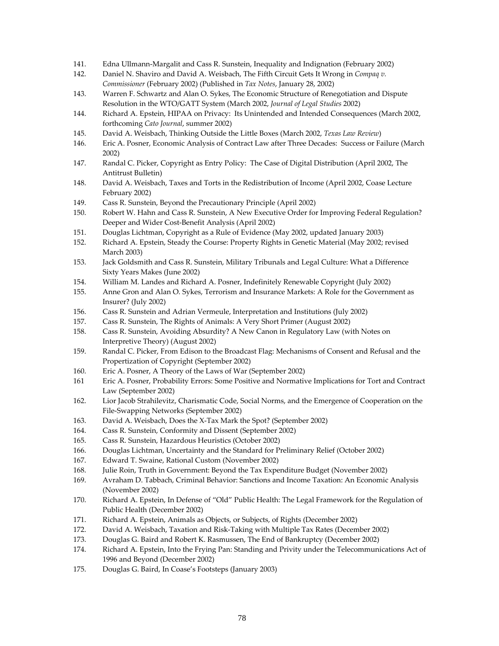- 141. Edna Ullmann-Margalit and Cass R. Sunstein, Inequality and Indignation (February 2002)
- 142. Daniel N. Shaviro and David A. Weisbach, The Fifth Circuit Gets It Wrong in *Compaq v. Commissioner* (February 2002) (Published in *Tax Notes*, January 28, 2002)
- 143. Warren F. Schwartz and Alan O. Sykes, The Economic Structure of Renegotiation and Dispute Resolution in the WTO/GATT System (March 2002, *Journal of Legal Studies* 2002)
- 144. Richard A. Epstein, HIPAA on Privacy: Its Unintended and Intended Consequences (March 2002, forthcoming *Cato Journal*, summer 2002)
- 145. David A. Weisbach, Thinking Outside the Little Boxes (March 2002, *Texas Law Review*)
- 146. Eric A. Posner, Economic Analysis of Contract Law after Three Decades: Success or Failure (March 2002)
- 147. Randal C. Picker, Copyright as Entry Policy: The Case of Digital Distribution (April 2002, The Antitrust Bulletin)
- 148. David A. Weisbach, Taxes and Torts in the Redistribution of Income (April 2002, Coase Lecture February 2002)
- 149. Cass R. Sunstein, Beyond the Precautionary Principle (April 2002)
- 150. Robert W. Hahn and Cass R. Sunstein, A New Executive Order for Improving Federal Regulation? Deeper and Wider Cost-Benefit Analysis (April 2002)
- 151. Douglas Lichtman, Copyright as a Rule of Evidence (May 2002, updated January 2003)
- 152. Richard A. Epstein, Steady the Course: Property Rights in Genetic Material (May 2002; revised March 2003)
- 153. Jack Goldsmith and Cass R. Sunstein, Military Tribunals and Legal Culture: What a Difference Sixty Years Makes (June 2002)
- 154. William M. Landes and Richard A. Posner, Indefinitely Renewable Copyright (July 2002)
- 155. Anne Gron and Alan O. Sykes, Terrorism and Insurance Markets: A Role for the Government as Insurer? (July 2002)
- 156. Cass R. Sunstein and Adrian Vermeule, Interpretation and Institutions (July 2002)
- 157. Cass R. Sunstein, The Rights of Animals: A Very Short Primer (August 2002)
- 158. Cass R. Sunstein, Avoiding Absurdity? A New Canon in Regulatory Law (with Notes on Interpretive Theory) (August 2002)
- 159. Randal C. Picker, From Edison to the Broadcast Flag: Mechanisms of Consent and Refusal and the Propertization of Copyright (September 2002)
- 160. Eric A. Posner, A Theory of the Laws of War (September 2002)
- 161 Eric A. Posner, Probability Errors: Some Positive and Normative Implications for Tort and Contract Law (September 2002)
- 162. Lior Jacob Strahilevitz, Charismatic Code, Social Norms, and the Emergence of Cooperation on the File-Swapping Networks (September 2002)
- 163. David A. Weisbach, Does the X-Tax Mark the Spot? (September 2002)
- 164. Cass R. Sunstein, Conformity and Dissent (September 2002)
- 165. Cass R. Sunstein, Hazardous Heuristics (October 2002)
- 166. Douglas Lichtman, Uncertainty and the Standard for Preliminary Relief (October 2002)
- 167. Edward T. Swaine, Rational Custom (November 2002)
- 168. Julie Roin, Truth in Government: Beyond the Tax Expenditure Budget (November 2002)
- 169. Avraham D. Tabbach, Criminal Behavior: Sanctions and Income Taxation: An Economic Analysis (November 2002)
- 170. Richard A. Epstein, In Defense of "Old" Public Health: The Legal Framework for the Regulation of Public Health (December 2002)
- 171. Richard A. Epstein, Animals as Objects, or Subjects, of Rights (December 2002)
- 172. David A. Weisbach, Taxation and Risk-Taking with Multiple Tax Rates (December 2002)
- 173. Douglas G. Baird and Robert K. Rasmussen, The End of Bankruptcy (December 2002)
- 174. Richard A. Epstein, Into the Frying Pan: Standing and Privity under the Telecommunications Act of 1996 and Beyond (December 2002)
- 175. Douglas G. Baird, In Coase's Footsteps (January 2003)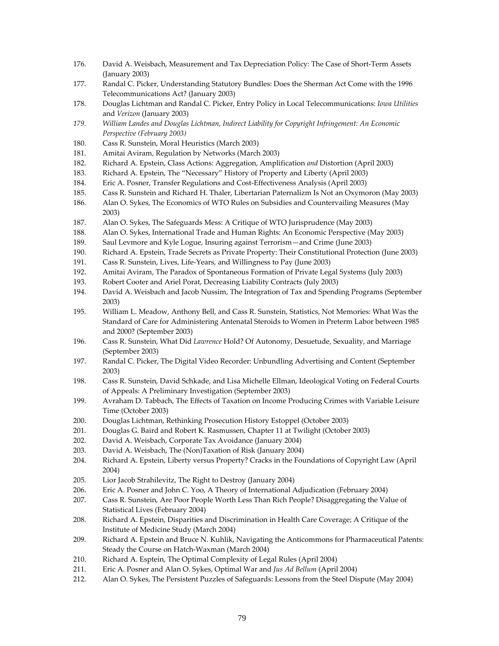- 176. David A. Weisbach, Measurement and Tax Depreciation Policy: The Case of Short-Term Assets (January 2003)
- 177. Randal C. Picker, Understanding Statutory Bundles: Does the Sherman Act Come with the 1996 Telecommunications Act? (January 2003)
- 178. Douglas Lichtman and Randal C. Picker, Entry Policy in Local Telecommunications: *Iowa Utilities* and *Verizon* (January 2003)
- *179. William Landes and Douglas Lichtman, Indirect Liability for Copyright Infringement: An Economic Perspective (February 2003)*
- 180. Cass R. Sunstein, Moral Heuristics (March 2003)
- 181. Amitai Aviram, Regulation by Networks (March 2003)
- 182. Richard A. Epstein, Class Actions: Aggregation, Amplification *and* Distortion (April 2003)
- 183. Richard A. Epstein, The "Necessary" History of Property and Liberty (April 2003)
- 184. Eric A. Posner, Transfer Regulations and Cost-Effectiveness Analysis (April 2003)
- 185. Cass R. Sunstein and Richard H. Thaler, Libertarian Paternalizm Is Not an Oxymoron (May 2003)
- 186. Alan O. Sykes, The Economics of WTO Rules on Subsidies and Countervailing Measures (May 2003)
- 187. Alan O. Sykes, The Safeguards Mess: A Critique of WTO Jurisprudence (May 2003)
- 188. Alan O. Sykes, International Trade and Human Rights: An Economic Perspective (May 2003)
- 189. Saul Levmore and Kyle Logue, Insuring against Terrorism—and Crime (June 2003)
- 190. Richard A. Epstein, Trade Secrets as Private Property: Their Constitutional Protection (June 2003)
- 191. Cass R. Sunstein, Lives, Life-Years, and Willingness to Pay (June 2003)
- 192. Amitai Aviram, The Paradox of Spontaneous Formation of Private Legal Systems (July 2003)
- 193. Robert Cooter and Ariel Porat, Decreasing Liability Contracts (July 2003)
- 194. David A. Weisbach and Jacob Nussim, The Integration of Tax and Spending Programs (September 2003)
- 195. William L. Meadow, Anthony Bell, and Cass R. Sunstein, Statistics, Not Memories: What Was the Standard of Care for Administering Antenatal Steroids to Women in Preterm Labor between 1985 and 2000? (September 2003)
- 196. Cass R. Sunstein, What Did *Lawrence* Hold? Of Autonomy, Desuetude, Sexuality, and Marriage (September 2003)
- 197. Randal C. Picker, The Digital Video Recorder: Unbundling Advertising and Content (September 2003)
- 198. Cass R. Sunstein, David Schkade, and Lisa Michelle Ellman, Ideological Voting on Federal Courts of Appeals: A Preliminary Investigation (September 2003)
- 199. Avraham D. Tabbach, The Effects of Taxation on Income Producing Crimes with Variable Leisure Time (October 2003)
- 200. Douglas Lichtman, Rethinking Prosecution History Estoppel (October 2003)
- 201. Douglas G. Baird and Robert K. Rasmussen, Chapter 11 at Twilight (October 2003)
- 202. David A. Weisbach, Corporate Tax Avoidance (January 2004)
- 203. David A. Weisbach, The (Non)Taxation of Risk (January 2004)
- 204. Richard A. Epstein, Liberty versus Property? Cracks in the Foundations of Copyright Law (April 2004)
- 205. Lior Jacob Strahilevitz, The Right to Destroy (January 2004)
- 206. Eric A. Posner and John C. Yoo, A Theory of International Adjudication (February 2004)
- 207. Cass R. Sunstein, Are Poor People Worth Less Than Rich People? Disaggregating the Value of Statistical Lives (February 2004)
- 208. Richard A. Epstein, Disparities and Discrimination in Health Care Coverage; A Critique of the Institute of Medicine Study (March 2004)
- 209. Richard A. Epstein and Bruce N. Kuhlik, Navigating the Anticommons for Pharmaceutical Patents: Steady the Course on Hatch-Waxman (March 2004)
- 210. Richard A. Esptein, The Optimal Complexity of Legal Rules (April 2004)
- 211. Eric A. Posner and Alan O. Sykes, Optimal War and *Jus Ad Bellum* (April 2004)
- 212. Alan O. Sykes, The Persistent Puzzles of Safeguards: Lessons from the Steel Dispute (May 2004)